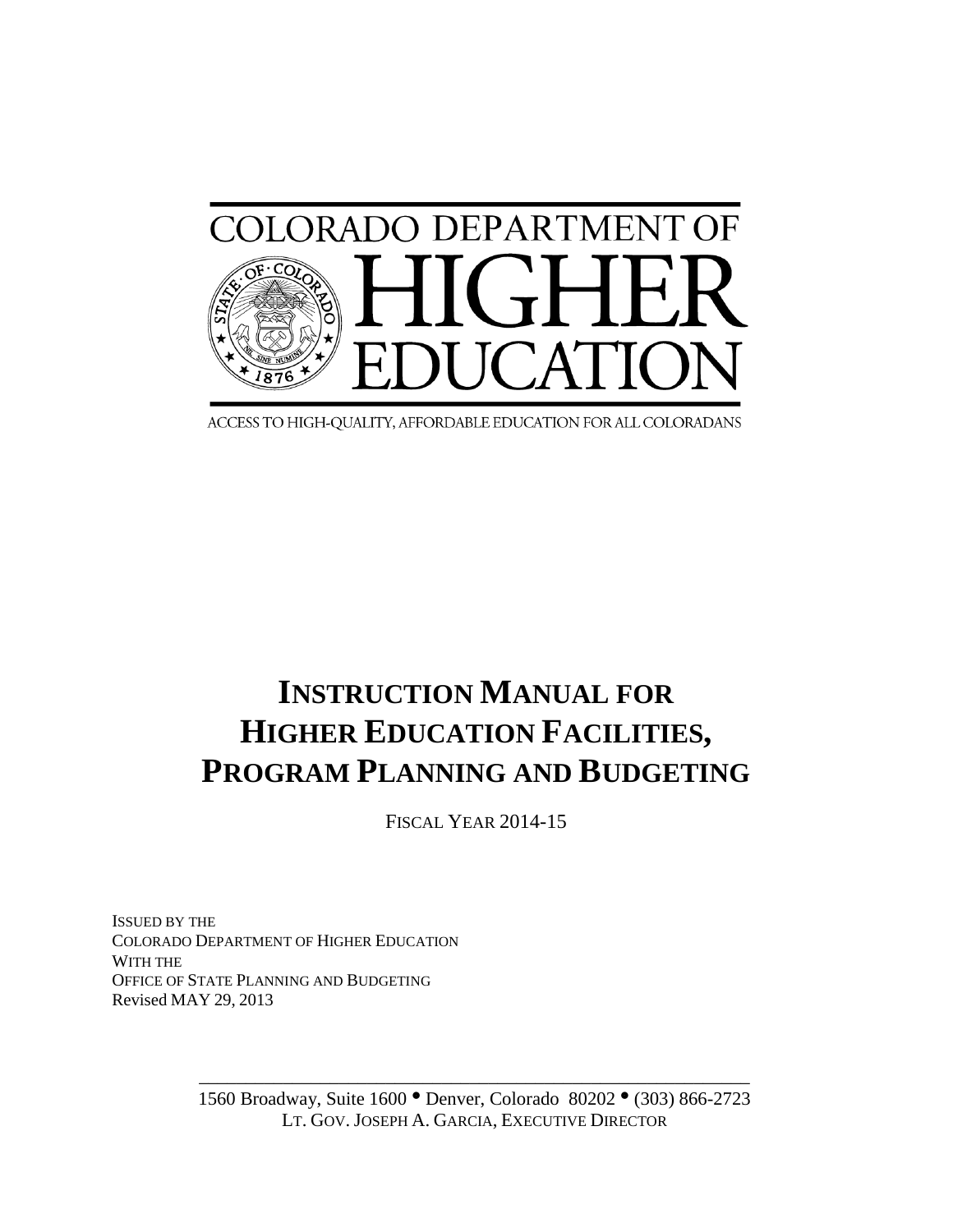

ACCESS TO HIGH-QUALITY, AFFORDABLE EDUCATION FOR ALL COLORADANS

# **INSTRUCTION MANUAL FOR HIGHER EDUCATION FACILITIES, PROGRAM PLANNING AND BUDGETING**

FISCAL YEAR 2014-15

ISSUED BY THE COLORADO DEPARTMENT OF HIGHER EDUCATION WITH THE OFFICE OF STATE PLANNING AND BUDGETING Revised MAY 29, 2013

> 1560 Broadway, Suite 1600 · Denver, Colorado 80202 · (303) 866-2723 LT. GOV. JOSEPH A. GARCIA, EXECUTIVE DIRECTOR

> \_\_\_\_\_\_\_\_\_\_\_\_\_\_\_\_\_\_\_\_\_\_\_\_\_\_\_\_\_\_\_\_\_\_\_\_\_\_\_\_\_\_\_\_\_\_\_\_\_\_\_\_\_\_\_\_\_\_\_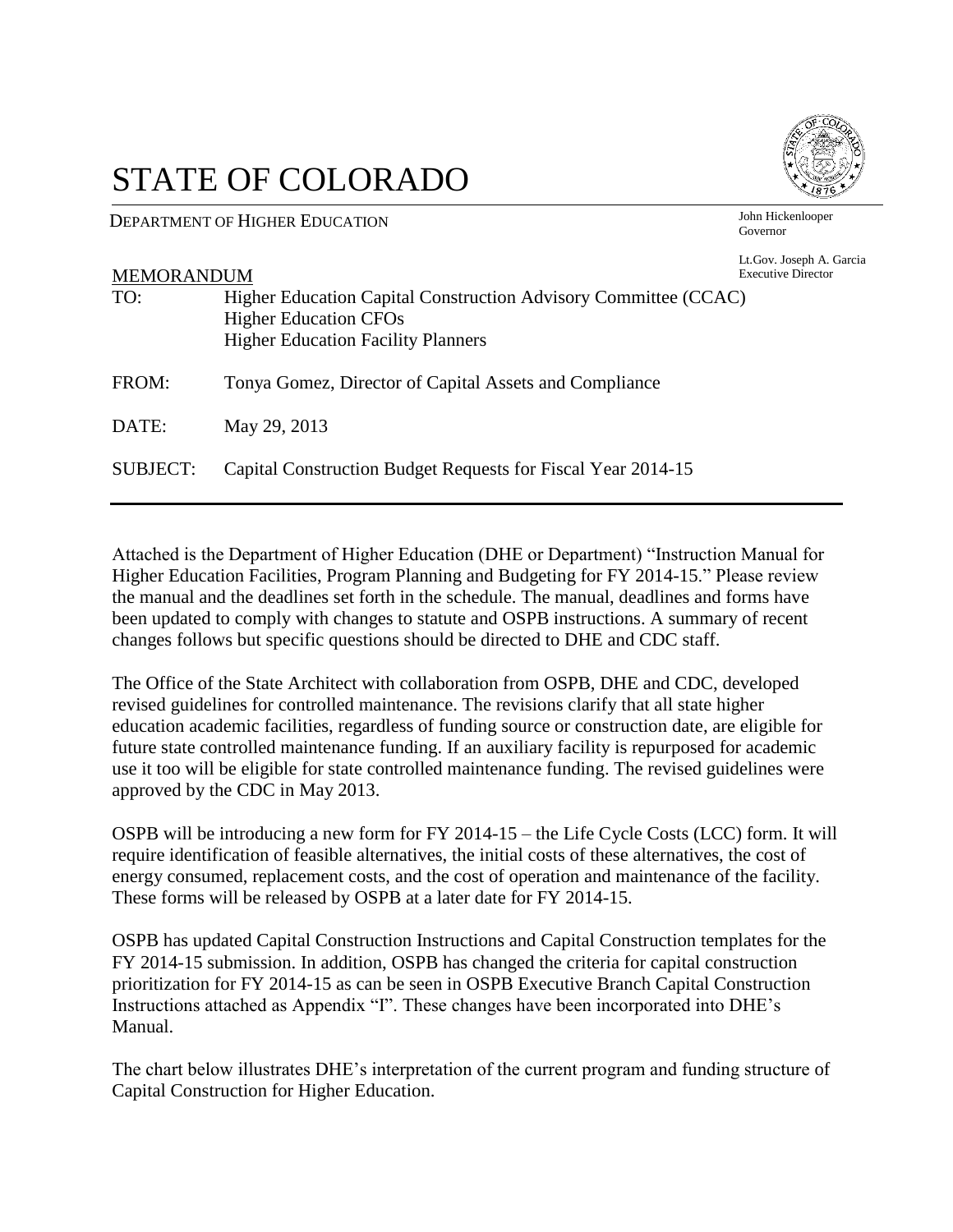# STATE OF COLORADO

DEPARTMENT OF HIGHER EDUCATION

John Hickenlooper Governor

Lt.Gov. Joseph A. Garcia

| <b>MEMORANDUM</b> |                                                                                                                                              | <b>Etios</b> :: : 000 pm : :: 0<br><b>Executive Director</b> |
|-------------------|----------------------------------------------------------------------------------------------------------------------------------------------|--------------------------------------------------------------|
| TO:               | Higher Education Capital Construction Advisory Committee (CCAC)<br><b>Higher Education CFOs</b><br><b>Higher Education Facility Planners</b> |                                                              |
| FROM:             | Tonya Gomez, Director of Capital Assets and Compliance                                                                                       |                                                              |
| DATE:             | May 29, 2013                                                                                                                                 |                                                              |
| <b>SUBJECT:</b>   | Capital Construction Budget Requests for Fiscal Year 2014-15                                                                                 |                                                              |

Attached is the Department of Higher Education (DHE or Department) "Instruction Manual for Higher Education Facilities, Program Planning and Budgeting for FY 2014-15." Please review the manual and the deadlines set forth in the schedule. The manual, deadlines and forms have been updated to comply with changes to statute and OSPB instructions. A summary of recent changes follows but specific questions should be directed to DHE and CDC staff.

The Office of the State Architect with collaboration from OSPB, DHE and CDC, developed revised guidelines for controlled maintenance. The revisions clarify that all state higher education academic facilities, regardless of funding source or construction date, are eligible for future state controlled maintenance funding. If an auxiliary facility is repurposed for academic use it too will be eligible for state controlled maintenance funding. The revised guidelines were approved by the CDC in May 2013.

OSPB will be introducing a new form for FY 2014-15 – the Life Cycle Costs (LCC) form. It will require identification of feasible alternatives, the initial costs of these alternatives, the cost of energy consumed, replacement costs, and the cost of operation and maintenance of the facility. These forms will be released by OSPB at a later date for FY 2014-15.

OSPB has updated Capital Construction Instructions and Capital Construction templates for the FY 2014-15 submission. In addition, OSPB has changed the criteria for capital construction prioritization for FY 2014-15 as can be seen in OSPB Executive Branch Capital Construction Instructions attached as Appendix "I". These changes have been incorporated into DHE's Manual.

The chart below illustrates DHE's interpretation of the current program and funding structure of Capital Construction for Higher Education.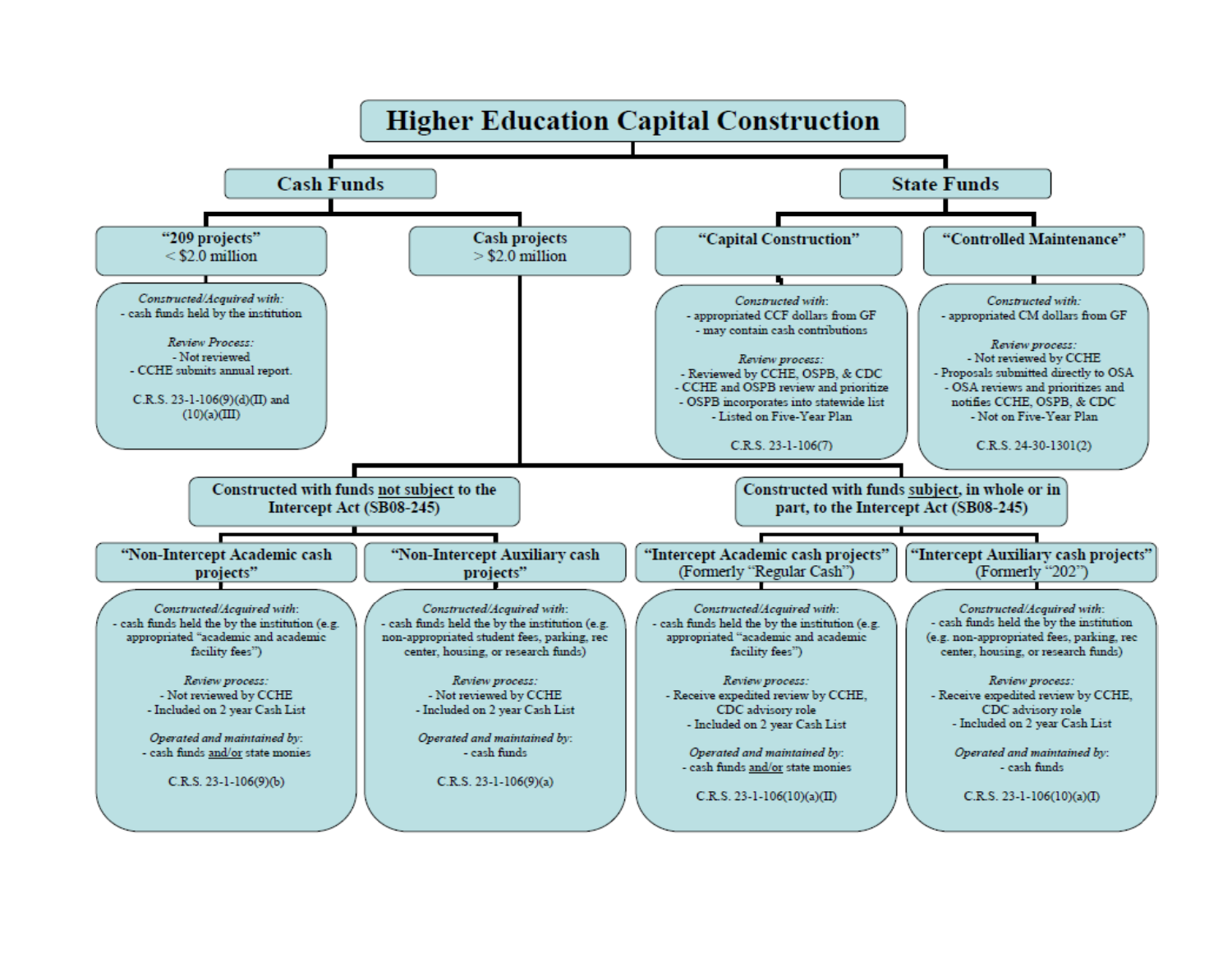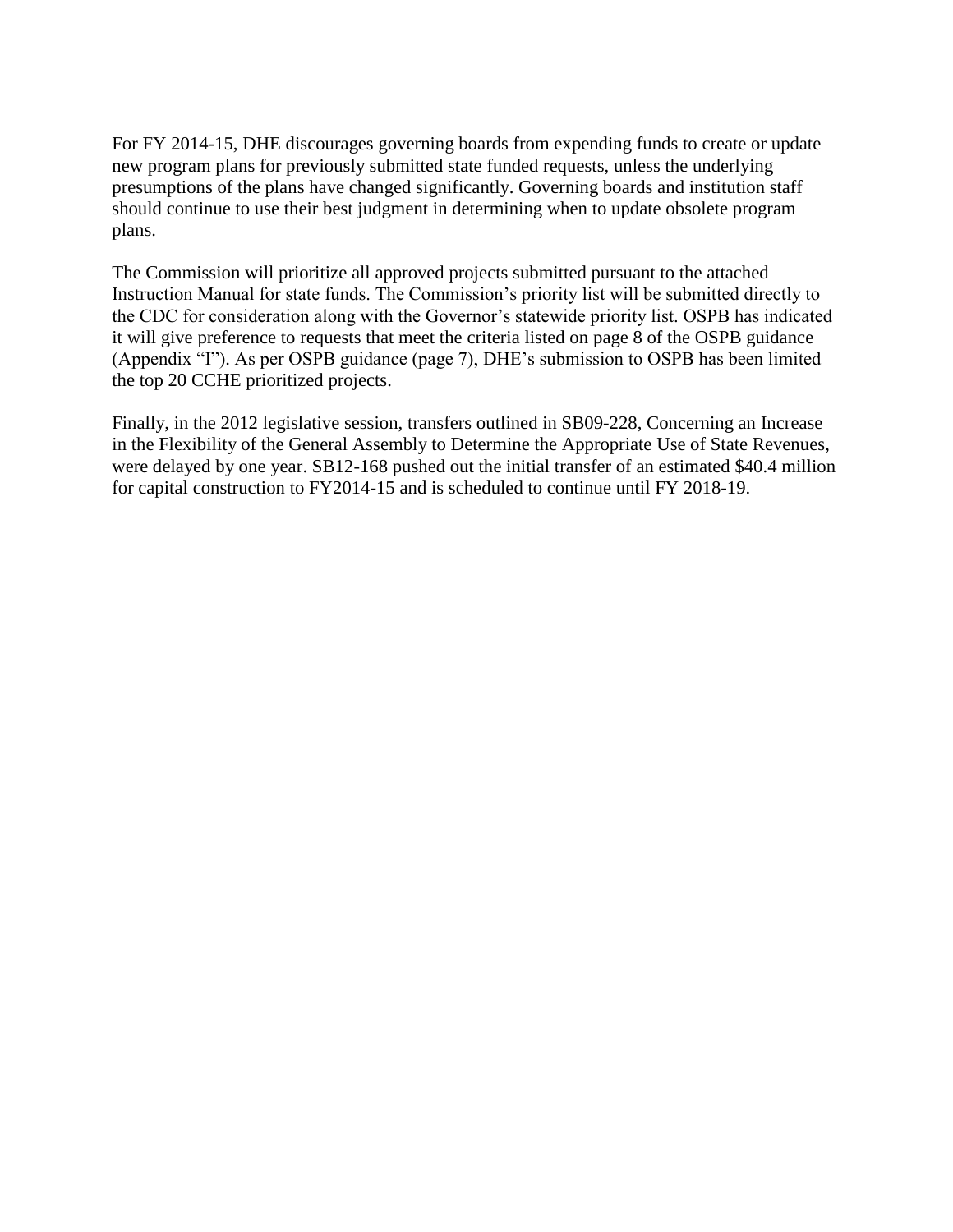For FY 2014-15, DHE discourages governing boards from expending funds to create or update new program plans for previously submitted state funded requests, unless the underlying presumptions of the plans have changed significantly. Governing boards and institution staff should continue to use their best judgment in determining when to update obsolete program plans.

The Commission will prioritize all approved projects submitted pursuant to the attached Instruction Manual for state funds. The Commission's priority list will be submitted directly to the CDC for consideration along with the Governor's statewide priority list. OSPB has indicated it will give preference to requests that meet the criteria listed on page 8 of the OSPB guidance (Appendix "I"). As per OSPB guidance (page 7), DHE's submission to OSPB has been limited the top 20 CCHE prioritized projects.

Finally, in the 2012 legislative session, transfers outlined in SB09-228, Concerning an Increase in the Flexibility of the General Assembly to Determine the Appropriate Use of State Revenues, were delayed by one year. SB12-168 pushed out the initial transfer of an estimated \$40.4 million for capital construction to FY2014-15 and is scheduled to continue until FY 2018-19.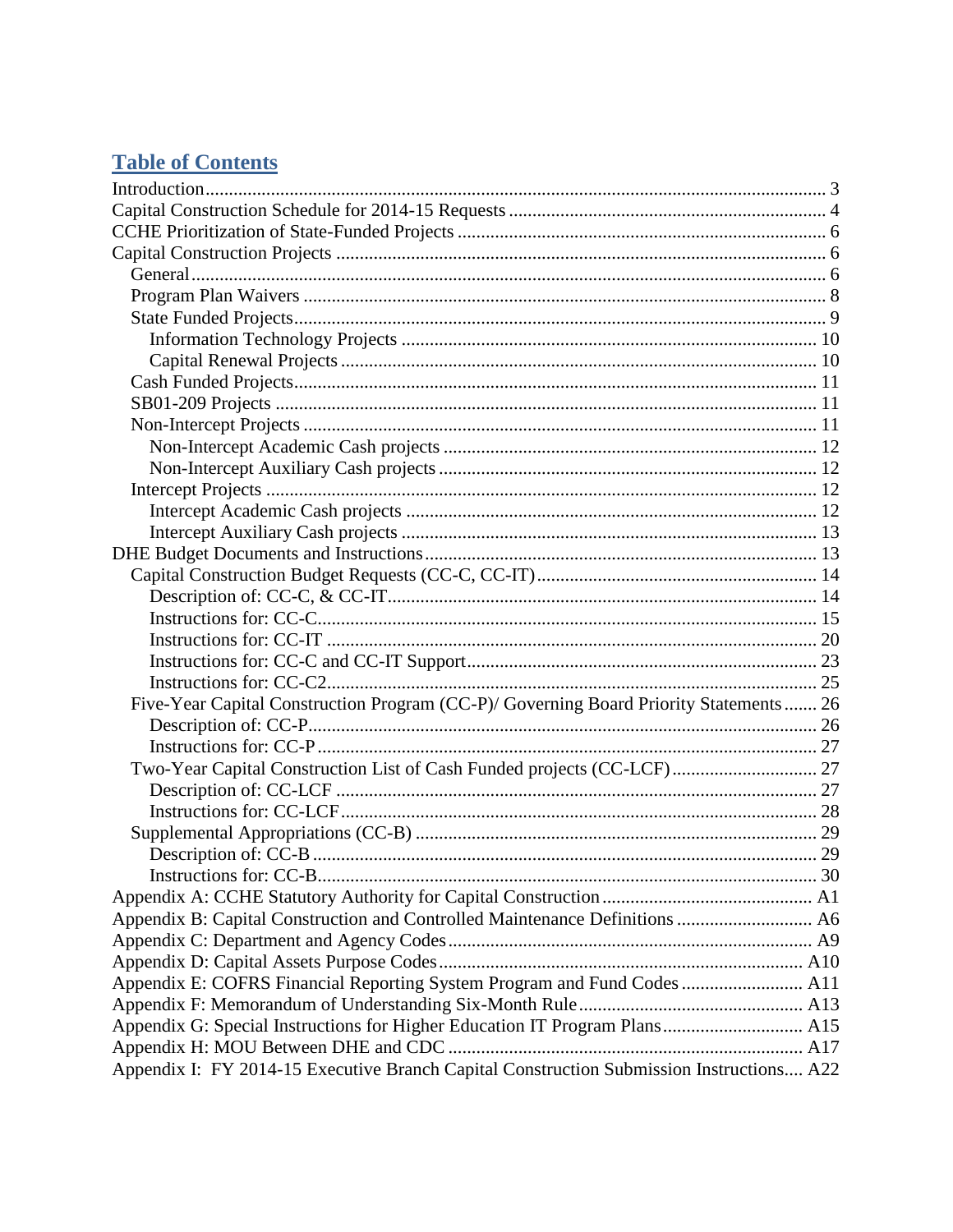# **Table of Contents**

| Five-Year Capital Construction Program (CC-P)/ Governing Board Priority Statements  26   |  |
|------------------------------------------------------------------------------------------|--|
|                                                                                          |  |
|                                                                                          |  |
| Two-Year Capital Construction List of Cash Funded projects (CC-LCF) 27                   |  |
|                                                                                          |  |
|                                                                                          |  |
|                                                                                          |  |
|                                                                                          |  |
|                                                                                          |  |
|                                                                                          |  |
| Appendix B: Capital Construction and Controlled Maintenance Definitions  A6              |  |
|                                                                                          |  |
|                                                                                          |  |
| Appendix E: COFRS Financial Reporting System Program and Fund Codes  A11                 |  |
|                                                                                          |  |
| Appendix G: Special Instructions for Higher Education IT Program Plans A15               |  |
|                                                                                          |  |
| Appendix I: FY 2014-15 Executive Branch Capital Construction Submission Instructions A22 |  |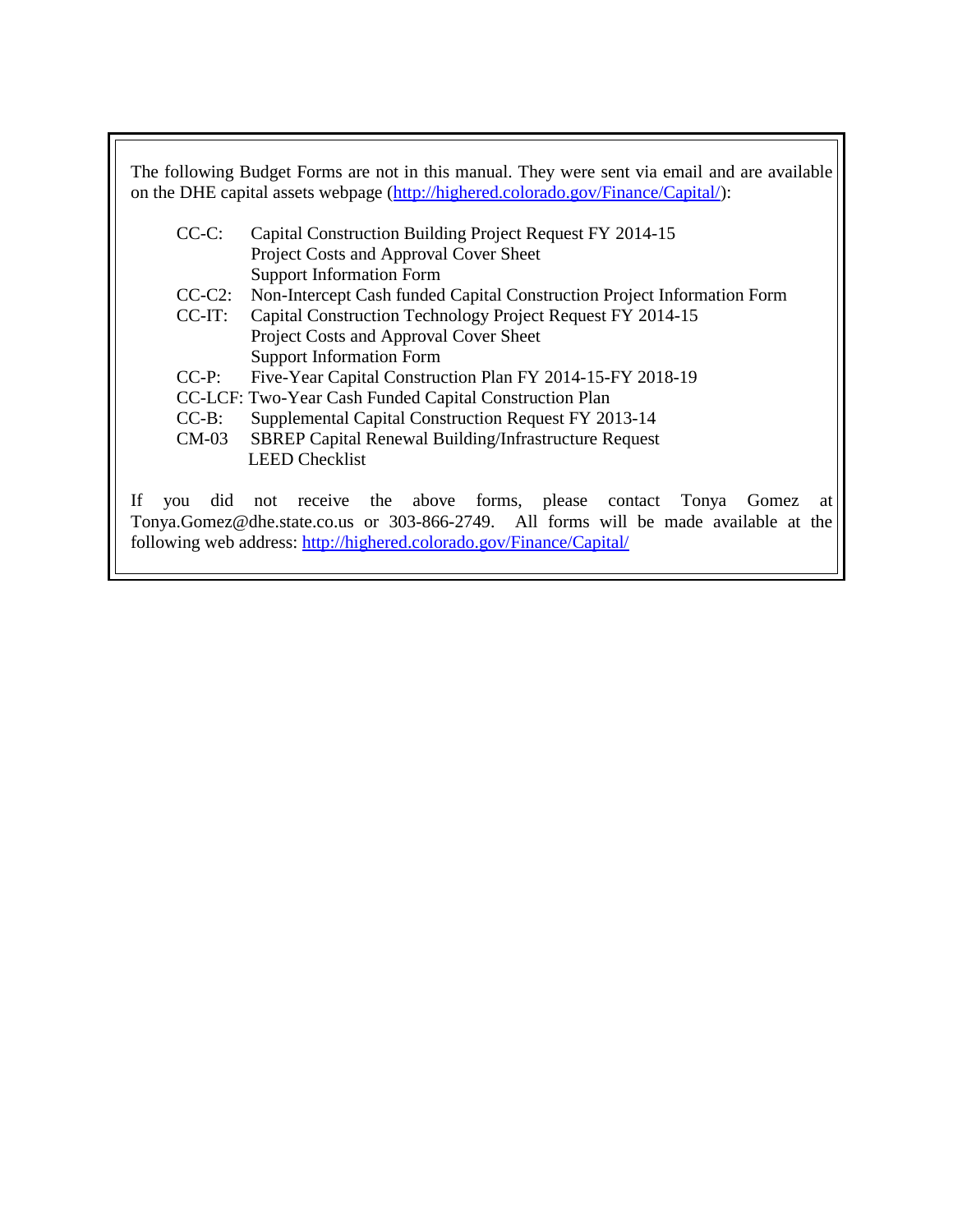The following Budget Forms are not in this manual. They were sent via email and are available on the DHE capital assets webpage [\(http://highered.colorado.gov/Finance/Capital/\)](http://highered.colorado.gov/Finance/Capital/): CC-C: Capital Construction Building Project Request FY 2014-15

- Project Costs and Approval Cover Sheet Support Information Form
- CC-C2: Non-Intercept Cash funded Capital Construction Project Information Form
- CC-IT: Capital Construction Technology Project Request FY 2014-15 Project Costs and Approval Cover Sheet Support Information Form
- CC-P: Five-Year Capital Construction Plan FY 2014-15-FY 2018-19
- CC-LCF: Two-Year Cash Funded Capital Construction Plan
- CC-B: Supplemental Capital Construction Request FY 2013-14
- CM-03 SBREP Capital Renewal Building/Infrastructure Request LEED Checklist

If you did not receive the above forms, please contact Tonya Gomez at Tonya.Gomez@dhe.state.co.us or 303-866-2749. All forms will be made available at the following web address:<http://highered.colorado.gov/Finance/Capital/>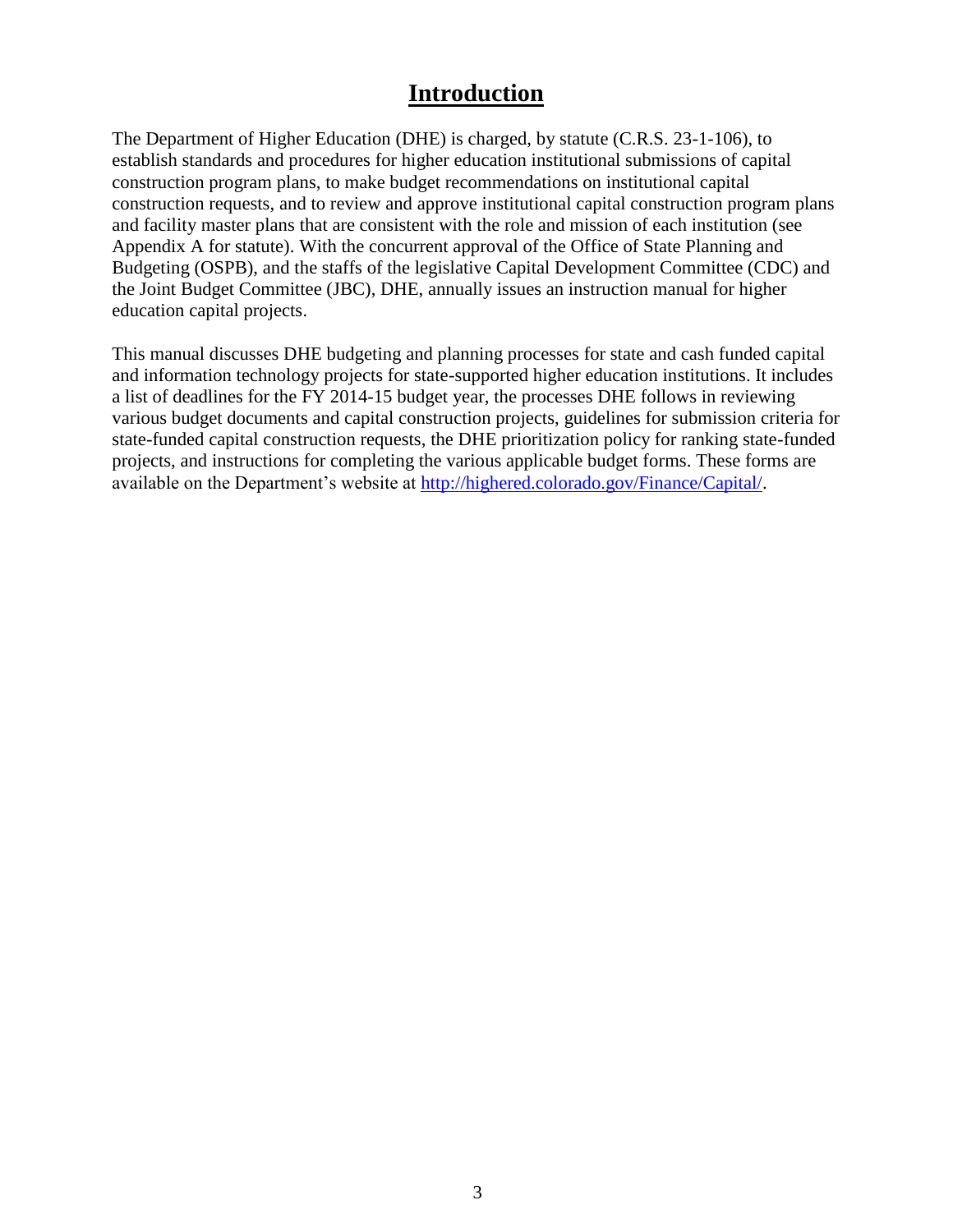# **Introduction**

<span id="page-6-0"></span>The Department of Higher Education (DHE) is charged, by statute (C.R.S. 23-1-106), to establish standards and procedures for higher education institutional submissions of capital construction program plans, to make budget recommendations on institutional capital construction requests, and to review and approve institutional capital construction program plans and facility master plans that are consistent with the role and mission of each institution (see Appendix A for statute). With the concurrent approval of the Office of State Planning and Budgeting (OSPB), and the staffs of the legislative Capital Development Committee (CDC) and the Joint Budget Committee (JBC), DHE, annually issues an instruction manual for higher education capital projects.

This manual discusses DHE budgeting and planning processes for state and cash funded capital and information technology projects for state-supported higher education institutions. It includes a list of deadlines for the FY 2014-15 budget year, the processes DHE follows in reviewing various budget documents and capital construction projects, guidelines for submission criteria for state-funded capital construction requests, the DHE prioritization policy for ranking state-funded projects, and instructions for completing the various applicable budget forms. These forms are available on the Department's website at [http://highered.colorado.gov/Finance/Capital/.](http://highered.colorado.gov/Finance/Capital/)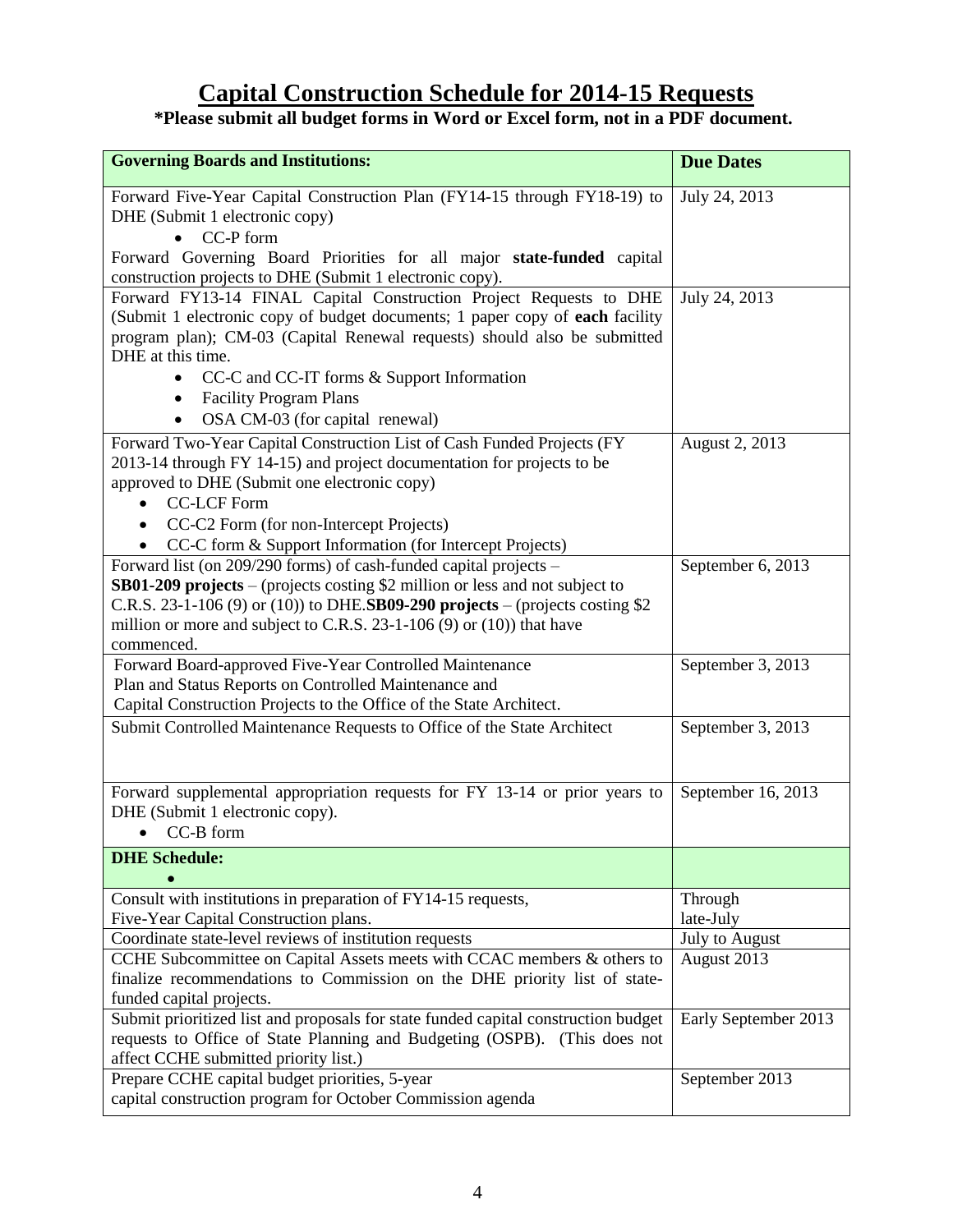# **Capital Construction Schedule for 2014-15 Requests**

#### <span id="page-7-0"></span>**\*Please submit all budget forms in Word or Excel form, not in a PDF document.**

| <b>Governing Boards and Institutions:</b>                                                                                                                                                                                                                                                                                                                             | <b>Due Dates</b>     |
|-----------------------------------------------------------------------------------------------------------------------------------------------------------------------------------------------------------------------------------------------------------------------------------------------------------------------------------------------------------------------|----------------------|
| Forward Five-Year Capital Construction Plan (FY14-15 through FY18-19) to<br>DHE (Submit 1 electronic copy)<br>$\bullet$ CC-P form<br>Forward Governing Board Priorities for all major state-funded capital                                                                                                                                                            | July 24, 2013        |
| construction projects to DHE (Submit 1 electronic copy).                                                                                                                                                                                                                                                                                                              |                      |
| Forward FY13-14 FINAL Capital Construction Project Requests to DHE<br>(Submit 1 electronic copy of budget documents; 1 paper copy of each facility<br>program plan); CM-03 (Capital Renewal requests) should also be submitted<br>DHE at this time.<br>CC-C and CC-IT forms & Support Information<br><b>Facility Program Plans</b><br>OSA CM-03 (for capital renewal) | July 24, 2013        |
| Forward Two-Year Capital Construction List of Cash Funded Projects (FY<br>2013-14 through FY 14-15) and project documentation for projects to be<br>approved to DHE (Submit one electronic copy)<br><b>CC-LCF Form</b><br>CC-C2 Form (for non-Intercept Projects)<br>CC-C form & Support Information (for Intercept Projects)                                         | August 2, 2013       |
| Forward list (on 209/290 forms) of cash-funded capital projects –<br>SB01-209 projects – (projects costing \$2 million or less and not subject to<br>C.R.S. 23-1-106 (9) or (10)) to DHE.SB09-290 projects – (projects costing $$2$<br>million or more and subject to C.R.S. 23-1-106 (9) or $(10)$ ) that have<br>commenced.                                         | September 6, 2013    |
| Forward Board-approved Five-Year Controlled Maintenance<br>Plan and Status Reports on Controlled Maintenance and<br>Capital Construction Projects to the Office of the State Architect.                                                                                                                                                                               | September 3, 2013    |
| Submit Controlled Maintenance Requests to Office of the State Architect                                                                                                                                                                                                                                                                                               | September 3, 2013    |
| Forward supplemental appropriation requests for FY 13-14 or prior years to<br>DHE (Submit 1 electronic copy).<br>$CC-B$ form<br>$\bullet$                                                                                                                                                                                                                             | September 16, 2013   |
| <b>DHE</b> Schedule:                                                                                                                                                                                                                                                                                                                                                  |                      |
| Consult with institutions in preparation of FY14-15 requests,<br>Five-Year Capital Construction plans.                                                                                                                                                                                                                                                                | Through<br>late-July |
| Coordinate state-level reviews of institution requests                                                                                                                                                                                                                                                                                                                | July to August       |
| CCHE Subcommittee on Capital Assets meets with CCAC members & others to<br>finalize recommendations to Commission on the DHE priority list of state-<br>funded capital projects.                                                                                                                                                                                      | August 2013          |
| Submit prioritized list and proposals for state funded capital construction budget<br>requests to Office of State Planning and Budgeting (OSPB). (This does not<br>affect CCHE submitted priority list.)                                                                                                                                                              | Early September 2013 |
| Prepare CCHE capital budget priorities, 5-year<br>capital construction program for October Commission agenda                                                                                                                                                                                                                                                          | September 2013       |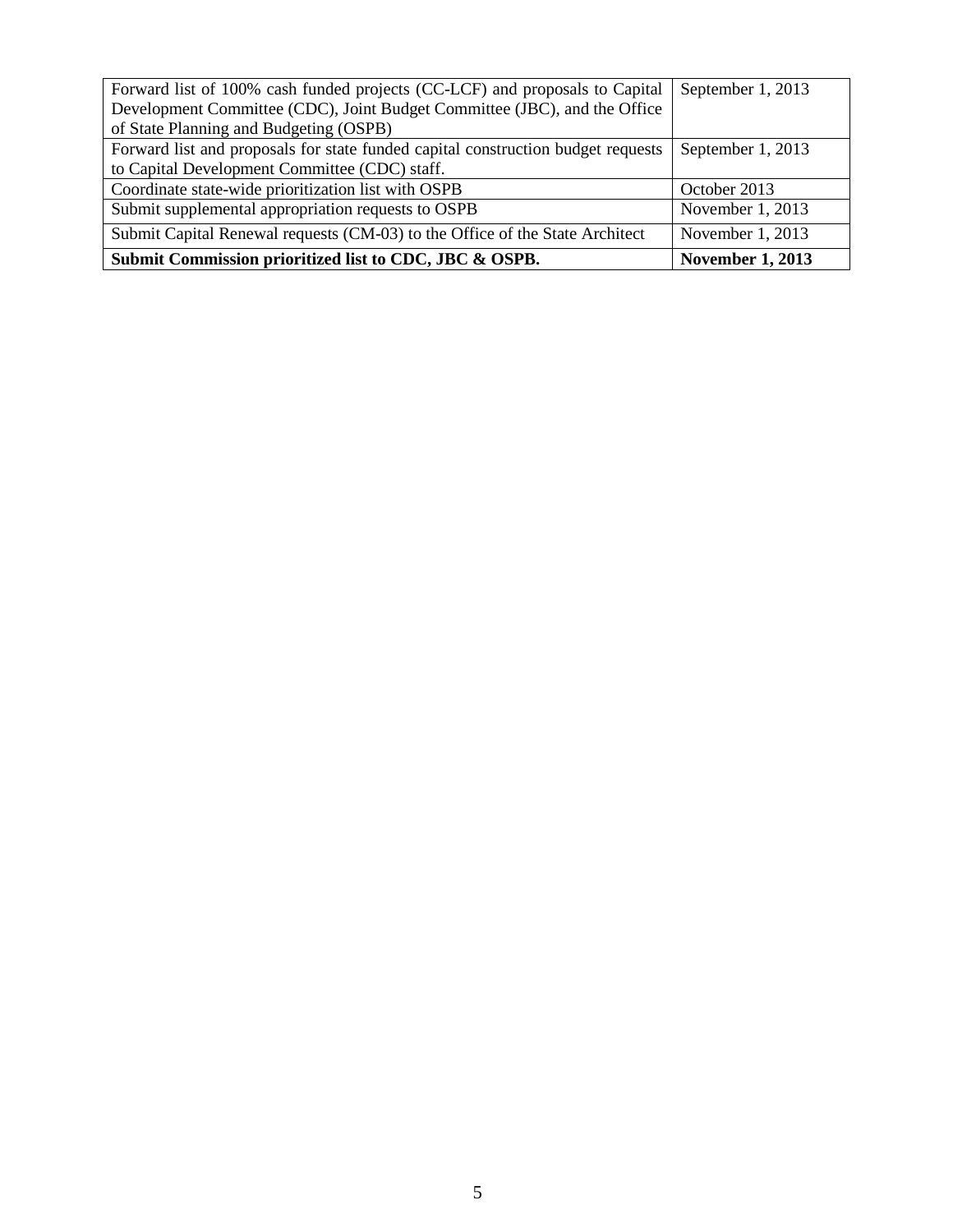| Forward list of 100% cash funded projects (CC-LCF) and proposals to Capital      | September 1, 2013       |
|----------------------------------------------------------------------------------|-------------------------|
| Development Committee (CDC), Joint Budget Committee (JBC), and the Office        |                         |
| of State Planning and Budgeting (OSPB)                                           |                         |
| Forward list and proposals for state funded capital construction budget requests | September 1, 2013       |
| to Capital Development Committee (CDC) staff.                                    |                         |
| Coordinate state-wide prioritization list with OSPB                              | October 2013            |
| Submit supplemental appropriation requests to OSPB                               | November 1, 2013        |
| Submit Capital Renewal requests (CM-03) to the Office of the State Architect     | November 1, 2013        |
| Submit Commission prioritized list to CDC, JBC & OSPB.                           | <b>November 1, 2013</b> |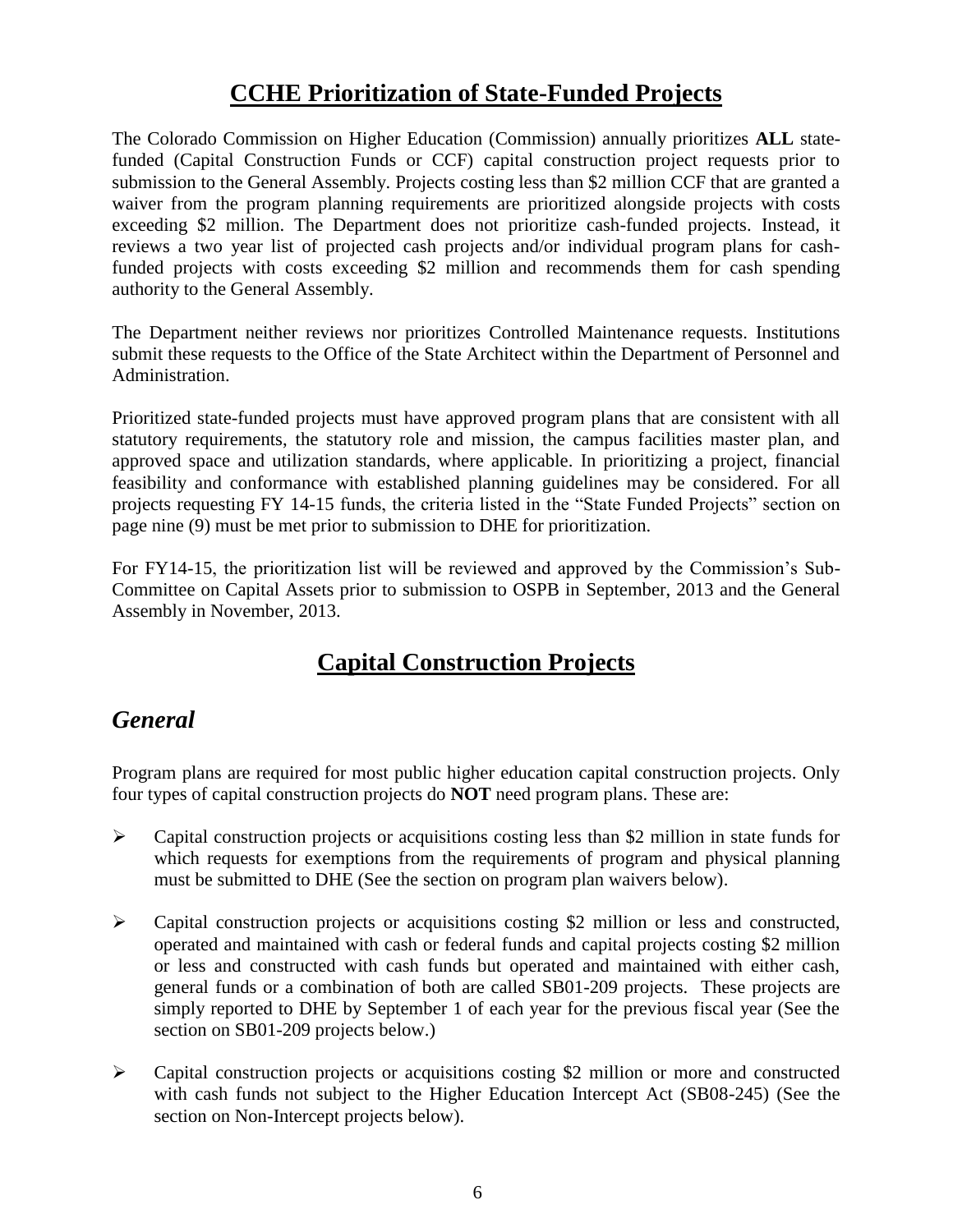# **CCHE Prioritization of State-Funded Projects**

<span id="page-9-0"></span>The Colorado Commission on Higher Education (Commission) annually prioritizes **ALL** statefunded (Capital Construction Funds or CCF) capital construction project requests prior to submission to the General Assembly. Projects costing less than \$2 million CCF that are granted a waiver from the program planning requirements are prioritized alongside projects with costs exceeding \$2 million. The Department does not prioritize cash-funded projects. Instead, it reviews a two year list of projected cash projects and/or individual program plans for cashfunded projects with costs exceeding \$2 million and recommends them for cash spending authority to the General Assembly.

The Department neither reviews nor prioritizes Controlled Maintenance requests. Institutions submit these requests to the Office of the State Architect within the Department of Personnel and Administration.

Prioritized state-funded projects must have approved program plans that are consistent with all statutory requirements, the statutory role and mission, the campus facilities master plan, and approved space and utilization standards, where applicable. In prioritizing a project, financial feasibility and conformance with established planning guidelines may be considered. For all projects requesting FY 14-15 funds, the criteria listed in the "State Funded Projects" section on page nine (9) must be met prior to submission to DHE for prioritization.

For FY14-15, the prioritization list will be reviewed and approved by the Commission's Sub-Committee on Capital Assets prior to submission to OSPB in September, 2013 and the General Assembly in November, 2013.

# **Capital Construction Projects**

# <span id="page-9-2"></span><span id="page-9-1"></span>*General*

Program plans are required for most public higher education capital construction projects. Only four types of capital construction projects do **NOT** need program plans. These are:

- $\triangleright$  Capital construction projects or acquisitions costing less than \$2 million in state funds for which requests for exemptions from the requirements of program and physical planning must be submitted to DHE (See the section on program plan waivers below).
- Capital construction projects or acquisitions costing \$2 million or less and constructed, operated and maintained with cash or federal funds and capital projects costing \$2 million or less and constructed with cash funds but operated and maintained with either cash, general funds or a combination of both are called SB01-209 projects. These projects are simply reported to DHE by September 1 of each year for the previous fiscal year (See the section on SB01-209 projects below.)
- $\triangleright$  Capital construction projects or acquisitions costing \$2 million or more and constructed with cash funds not subject to the Higher Education Intercept Act (SB08-245) (See the section on Non-Intercept projects below).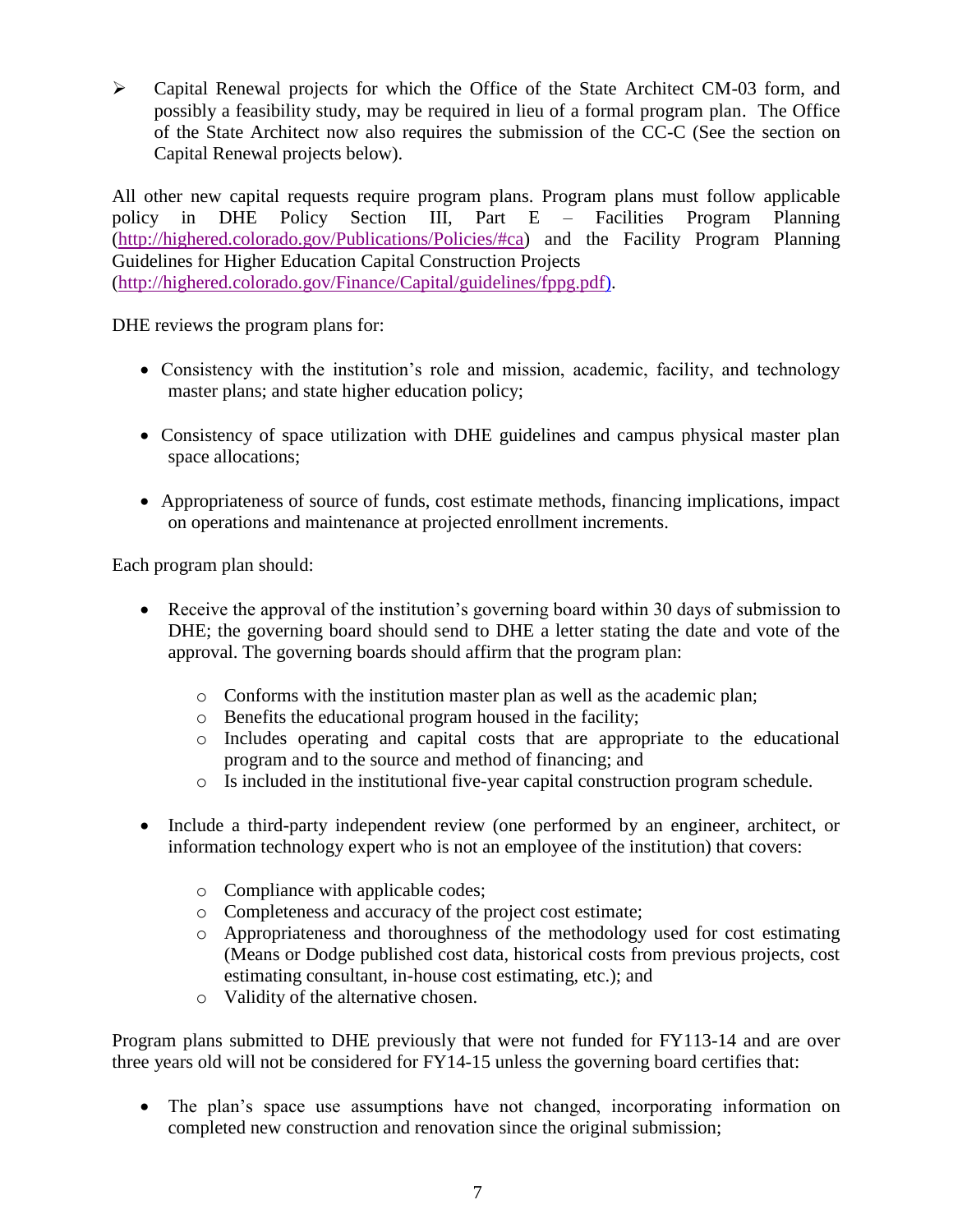$\triangleright$  Capital Renewal projects for which the Office of the State Architect CM-03 form, and possibly a feasibility study, may be required in lieu of a formal program plan. The Office of the State Architect now also requires the submission of the CC-C (See the section on Capital Renewal projects below).

All other new capital requests require program plans. Program plans must follow applicable policy in DHE Policy Section III, Part E – Facilities Program Planning [\(http://highered.colorado.gov/Publications/Policies/#ca\)](http://highered.colorado.gov/Publications/Policies/#ca) and the Facility Program Planning Guidelines for Higher Education Capital Construction Projects [\(http://highered.colorado.gov/Finance/Capital/guidelines/fppg.pdf\)](http://highered.colorado.gov/Finance/Capital/guidelines/fppg.pdf).

DHE reviews the program plans for:

- Consistency with the institution's role and mission, academic, facility, and technology master plans; and state higher education policy;
- Consistency of space utilization with DHE guidelines and campus physical master plan space allocations;
- Appropriateness of source of funds, cost estimate methods, financing implications, impact on operations and maintenance at projected enrollment increments.

Each program plan should:

- Receive the approval of the institution's governing board within 30 days of submission to DHE; the governing board should send to DHE a letter stating the date and vote of the approval. The governing boards should affirm that the program plan:
	- o Conforms with the institution master plan as well as the academic plan;
	- o Benefits the educational program housed in the facility;
	- o Includes operating and capital costs that are appropriate to the educational program and to the source and method of financing; and
	- $\circ$  Is included in the institutional five-year capital construction program schedule.
- Include a third-party independent review (one performed by an engineer, architect, or information technology expert who is not an employee of the institution) that covers:
	- o Compliance with applicable codes;
	- o Completeness and accuracy of the project cost estimate;
	- o Appropriateness and thoroughness of the methodology used for cost estimating (Means or Dodge published cost data, historical costs from previous projects, cost estimating consultant, in-house cost estimating, etc.); and
	- o Validity of the alternative chosen.

Program plans submitted to DHE previously that were not funded for FY113-14 and are over three years old will not be considered for FY14-15 unless the governing board certifies that:

 The plan's space use assumptions have not changed, incorporating information on completed new construction and renovation since the original submission;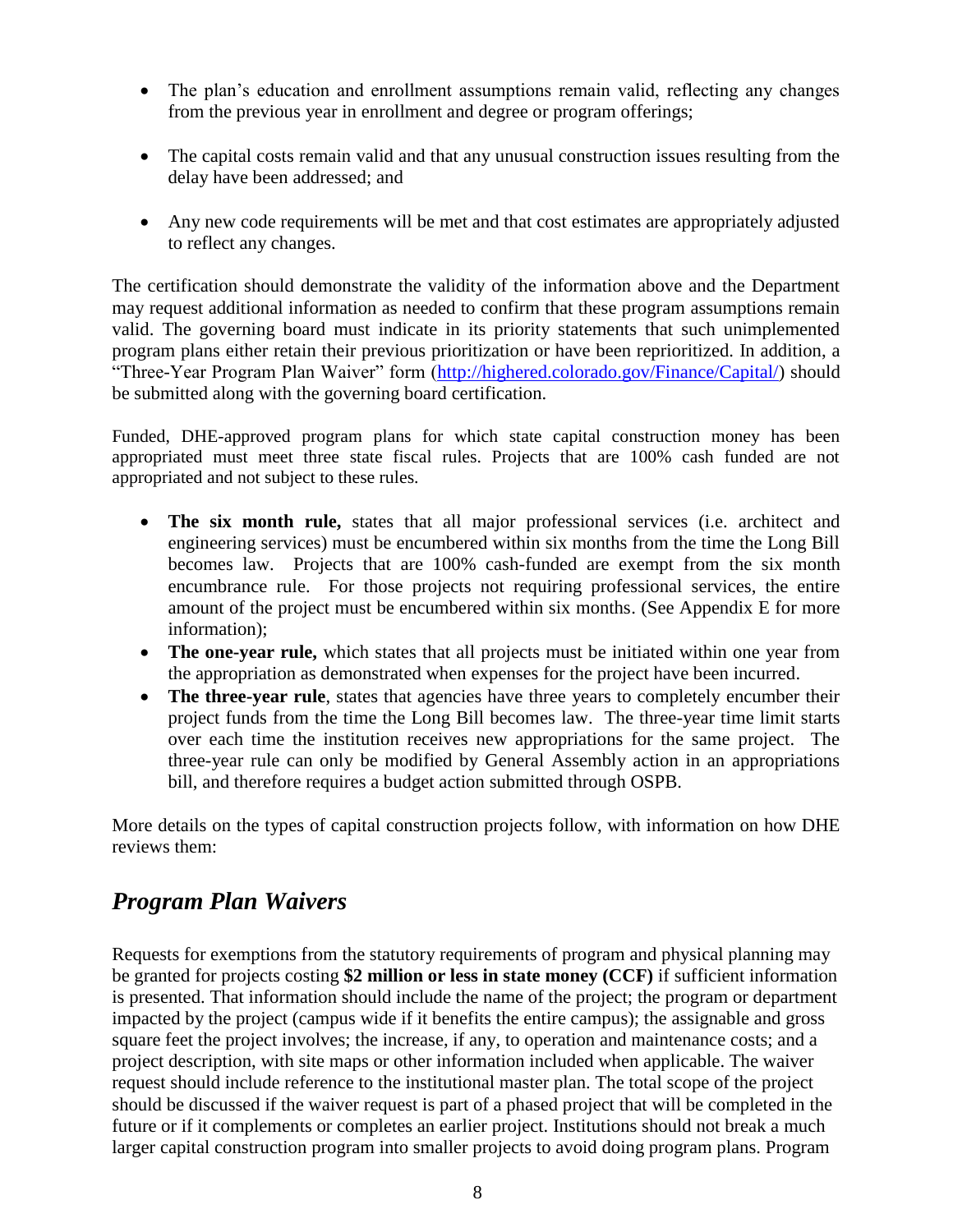- The plan's education and enrollment assumptions remain valid, reflecting any changes from the previous year in enrollment and degree or program offerings;
- The capital costs remain valid and that any unusual construction issues resulting from the delay have been addressed; and
- Any new code requirements will be met and that cost estimates are appropriately adjusted to reflect any changes.

The certification should demonstrate the validity of the information above and the Department may request additional information as needed to confirm that these program assumptions remain valid. The governing board must indicate in its priority statements that such unimplemented program plans either retain their previous prioritization or have been reprioritized. In addition, a "Three-Year Program Plan Waiver" form [\(http://highered.colorado.gov/Finance/Capital/\)](http://highered.colorado.gov/Finance/Capital/) should be submitted along with the governing board certification.

Funded, DHE-approved program plans for which state capital construction money has been appropriated must meet three state fiscal rules. Projects that are 100% cash funded are not appropriated and not subject to these rules.

- **The six month rule,** states that all major professional services (i.e. architect and engineering services) must be encumbered within six months from the time the Long Bill becomes law. Projects that are 100% cash-funded are exempt from the six month encumbrance rule. For those projects not requiring professional services, the entire amount of the project must be encumbered within six months. (See Appendix E for more information);
- The one-year rule, which states that all projects must be initiated within one year from the appropriation as demonstrated when expenses for the project have been incurred.
- The three-year rule, states that agencies have three years to completely encumber their project funds from the time the Long Bill becomes law. The three-year time limit starts over each time the institution receives new appropriations for the same project. The three-year rule can only be modified by General Assembly action in an appropriations bill, and therefore requires a budget action submitted through OSPB.

More details on the types of capital construction projects follow, with information on how DHE reviews them:

# <span id="page-11-0"></span>*Program Plan Waivers*

Requests for exemptions from the statutory requirements of program and physical planning may be granted for projects costing **\$2 million or less in state money (CCF)** if sufficient information is presented. That information should include the name of the project; the program or department impacted by the project (campus wide if it benefits the entire campus); the assignable and gross square feet the project involves; the increase, if any, to operation and maintenance costs; and a project description, with site maps or other information included when applicable. The waiver request should include reference to the institutional master plan. The total scope of the project should be discussed if the waiver request is part of a phased project that will be completed in the future or if it complements or completes an earlier project. Institutions should not break a much larger capital construction program into smaller projects to avoid doing program plans. Program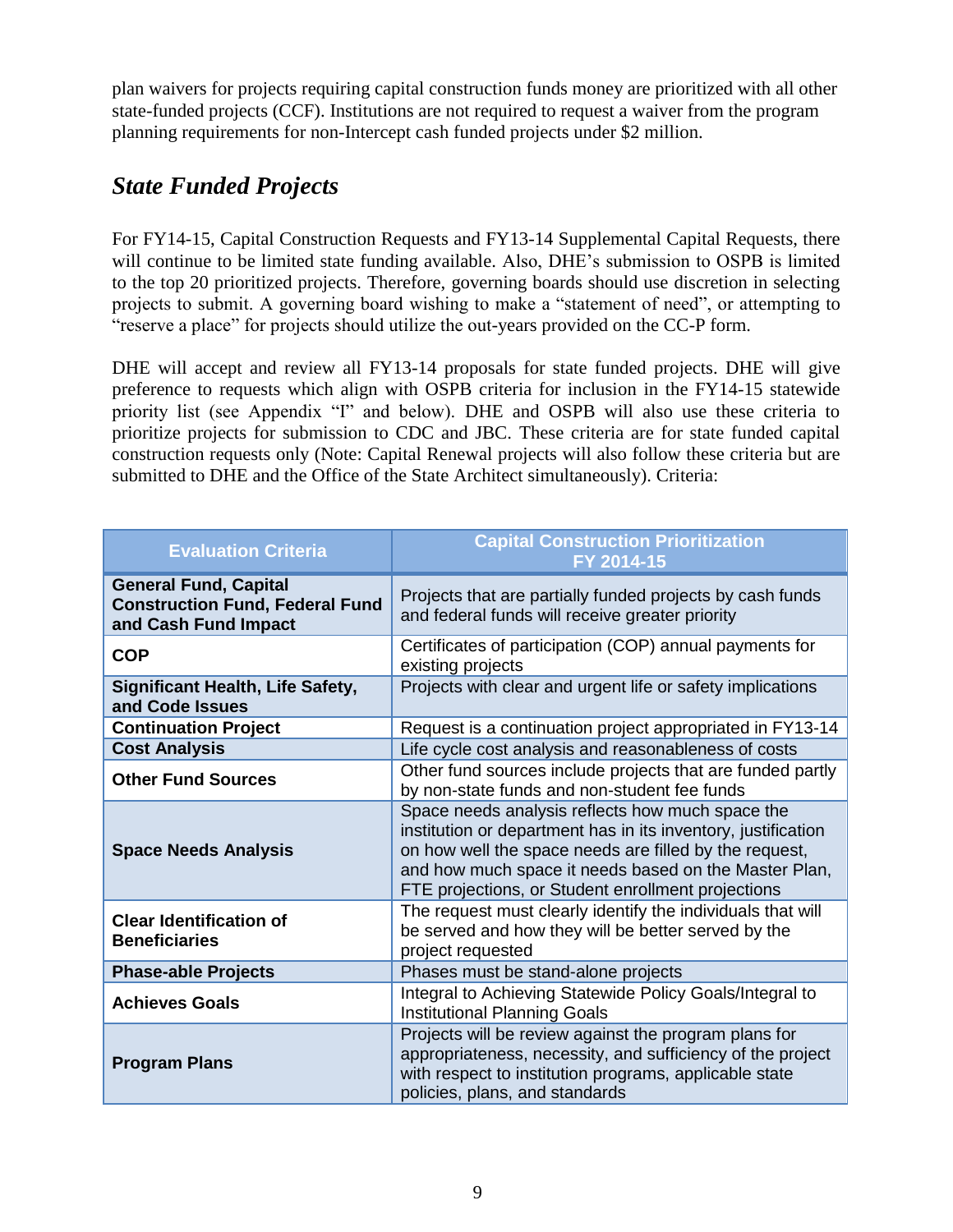plan waivers for projects requiring capital construction funds money are prioritized with all other state-funded projects (CCF). Institutions are not required to request a waiver from the program planning requirements for non-Intercept cash funded projects under \$2 million.

# <span id="page-12-0"></span>*State Funded Projects*

For FY14-15, Capital Construction Requests and FY13-14 Supplemental Capital Requests, there will continue to be limited state funding available. Also, DHE's submission to OSPB is limited to the top 20 prioritized projects. Therefore, governing boards should use discretion in selecting projects to submit. A governing board wishing to make a "statement of need", or attempting to "reserve a place" for projects should utilize the out-years provided on the CC-P form.

DHE will accept and review all FY13-14 proposals for state funded projects. DHE will give preference to requests which align with OSPB criteria for inclusion in the FY14-15 statewide priority list (see Appendix "I" and below). DHE and OSPB will also use these criteria to prioritize projects for submission to CDC and JBC. These criteria are for state funded capital construction requests only (Note: Capital Renewal projects will also follow these criteria but are submitted to DHE and the Office of the State Architect simultaneously). Criteria:

| <b>Evaluation Criteria</b>                                                                     | <b>Capital Construction Prioritization</b><br>FY 2014-15                                                                                                                                                                                                                                   |
|------------------------------------------------------------------------------------------------|--------------------------------------------------------------------------------------------------------------------------------------------------------------------------------------------------------------------------------------------------------------------------------------------|
| <b>General Fund, Capital</b><br><b>Construction Fund, Federal Fund</b><br>and Cash Fund Impact | Projects that are partially funded projects by cash funds<br>and federal funds will receive greater priority                                                                                                                                                                               |
| <b>COP</b>                                                                                     | Certificates of participation (COP) annual payments for<br>existing projects                                                                                                                                                                                                               |
| Significant Health, Life Safety,<br>and Code Issues                                            | Projects with clear and urgent life or safety implications                                                                                                                                                                                                                                 |
| <b>Continuation Project</b>                                                                    | Request is a continuation project appropriated in FY13-14                                                                                                                                                                                                                                  |
| <b>Cost Analysis</b>                                                                           | Life cycle cost analysis and reasonableness of costs                                                                                                                                                                                                                                       |
| <b>Other Fund Sources</b>                                                                      | Other fund sources include projects that are funded partly<br>by non-state funds and non-student fee funds                                                                                                                                                                                 |
| <b>Space Needs Analysis</b>                                                                    | Space needs analysis reflects how much space the<br>institution or department has in its inventory, justification<br>on how well the space needs are filled by the request,<br>and how much space it needs based on the Master Plan,<br>FTE projections, or Student enrollment projections |
| <b>Clear Identification of</b><br><b>Beneficiaries</b>                                         | The request must clearly identify the individuals that will<br>be served and how they will be better served by the<br>project requested                                                                                                                                                    |
| <b>Phase-able Projects</b>                                                                     | Phases must be stand-alone projects                                                                                                                                                                                                                                                        |
| <b>Achieves Goals</b>                                                                          | Integral to Achieving Statewide Policy Goals/Integral to<br><b>Institutional Planning Goals</b>                                                                                                                                                                                            |
| <b>Program Plans</b>                                                                           | Projects will be review against the program plans for<br>appropriateness, necessity, and sufficiency of the project<br>with respect to institution programs, applicable state<br>policies, plans, and standards                                                                            |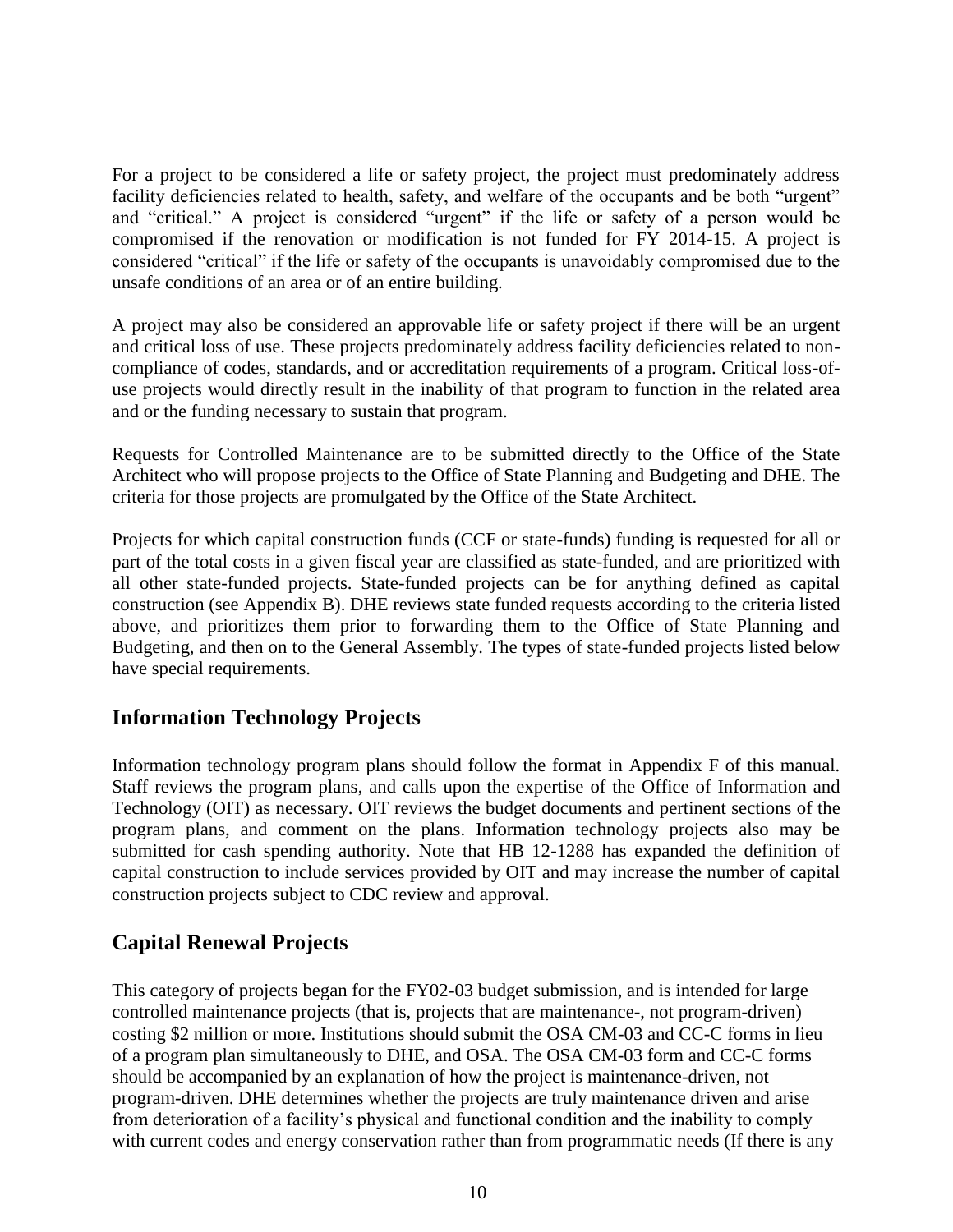For a project to be considered a life or safety project, the project must predominately address facility deficiencies related to health, safety, and welfare of the occupants and be both "urgent" and "critical." A project is considered "urgent" if the life or safety of a person would be compromised if the renovation or modification is not funded for FY 2014-15. A project is considered "critical" if the life or safety of the occupants is unavoidably compromised due to the unsafe conditions of an area or of an entire building.

A project may also be considered an approvable life or safety project if there will be an urgent and critical loss of use. These projects predominately address facility deficiencies related to noncompliance of codes, standards, and or accreditation requirements of a program. Critical loss-ofuse projects would directly result in the inability of that program to function in the related area and or the funding necessary to sustain that program.

Requests for Controlled Maintenance are to be submitted directly to the Office of the State Architect who will propose projects to the Office of State Planning and Budgeting and DHE. The criteria for those projects are promulgated by the Office of the State Architect.

Projects for which capital construction funds (CCF or state-funds) funding is requested for all or part of the total costs in a given fiscal year are classified as state-funded, and are prioritized with all other state-funded projects. State-funded projects can be for anything defined as capital construction (see Appendix B). DHE reviews state funded requests according to the criteria listed above, and prioritizes them prior to forwarding them to the Office of State Planning and Budgeting, and then on to the General Assembly. The types of state-funded projects listed below have special requirements.

### <span id="page-13-0"></span>**Information Technology Projects**

Information technology program plans should follow the format in Appendix F of this manual. Staff reviews the program plans, and calls upon the expertise of the Office of Information and Technology (OIT) as necessary. OIT reviews the budget documents and pertinent sections of the program plans, and comment on the plans. Information technology projects also may be submitted for cash spending authority. Note that HB 12-1288 has expanded the definition of capital construction to include services provided by OIT and may increase the number of capital construction projects subject to CDC review and approval.

### <span id="page-13-1"></span>**Capital Renewal Projects**

This category of projects began for the FY02-03 budget submission, and is intended for large controlled maintenance projects (that is, projects that are maintenance-, not program-driven) costing \$2 million or more. Institutions should submit the OSA CM-03 and CC-C forms in lieu of a program plan simultaneously to DHE, and OSA. The OSA CM-03 form and CC-C forms should be accompanied by an explanation of how the project is maintenance-driven, not program-driven. DHE determines whether the projects are truly maintenance driven and arise from deterioration of a facility's physical and functional condition and the inability to comply with current codes and energy conservation rather than from programmatic needs (If there is any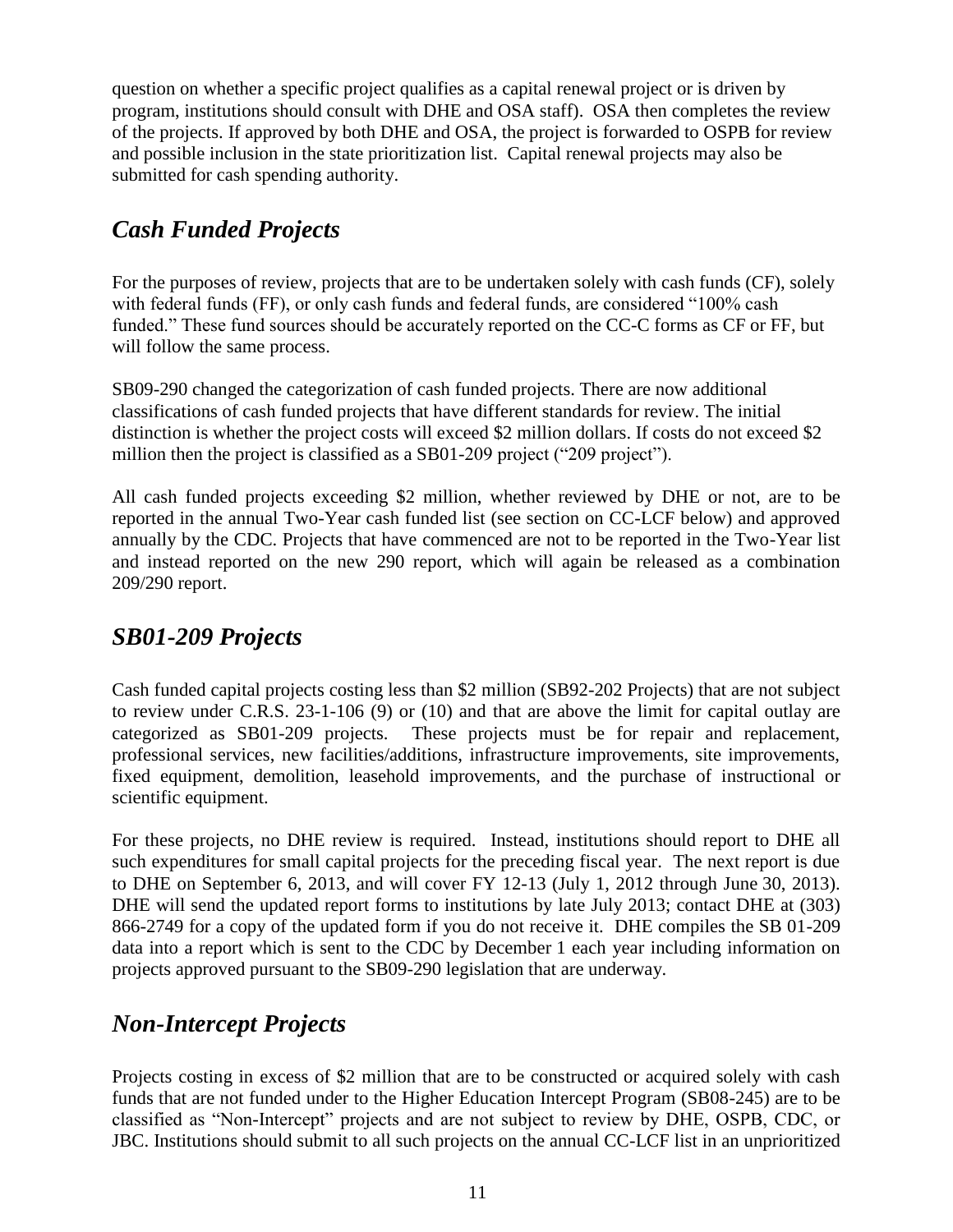question on whether a specific project qualifies as a capital renewal project or is driven by program, institutions should consult with DHE and OSA staff). OSA then completes the review of the projects. If approved by both DHE and OSA, the project is forwarded to OSPB for review and possible inclusion in the state prioritization list. Capital renewal projects may also be submitted for cash spending authority.

# <span id="page-14-0"></span>*Cash Funded Projects*

For the purposes of review, projects that are to be undertaken solely with cash funds (CF), solely with federal funds (FF), or only cash funds and federal funds, are considered "100% cash funded." These fund sources should be accurately reported on the CC-C forms as CF or FF, but will follow the same process.

SB09-290 changed the categorization of cash funded projects. There are now additional classifications of cash funded projects that have different standards for review. The initial distinction is whether the project costs will exceed \$2 million dollars. If costs do not exceed \$2 million then the project is classified as a SB01-209 project ("209 project").

All cash funded projects exceeding \$2 million, whether reviewed by DHE or not, are to be reported in the annual Two-Year cash funded list (see section on CC-LCF below) and approved annually by the CDC. Projects that have commenced are not to be reported in the Two-Year list and instead reported on the new 290 report, which will again be released as a combination 209/290 report.

# <span id="page-14-1"></span>*SB01-209 Projects*

Cash funded capital projects costing less than \$2 million (SB92-202 Projects) that are not subject to review under C.R.S. 23-1-106 (9) or (10) and that are above the limit for capital outlay are categorized as SB01-209 projects. These projects must be for repair and replacement, professional services, new facilities/additions, infrastructure improvements, site improvements, fixed equipment, demolition, leasehold improvements, and the purchase of instructional or scientific equipment.

For these projects, no DHE review is required. Instead, institutions should report to DHE all such expenditures for small capital projects for the preceding fiscal year. The next report is due to DHE on September 6, 2013, and will cover FY 12-13 (July 1, 2012 through June 30, 2013). DHE will send the updated report forms to institutions by late July 2013; contact DHE at (303) 866-2749 for a copy of the updated form if you do not receive it. DHE compiles the SB 01-209 data into a report which is sent to the CDC by December 1 each year including information on projects approved pursuant to the SB09-290 legislation that are underway.

# <span id="page-14-2"></span>*Non-Intercept Projects*

Projects costing in excess of \$2 million that are to be constructed or acquired solely with cash funds that are not funded under to the Higher Education Intercept Program (SB08-245) are to be classified as "Non-Intercept" projects and are not subject to review by DHE, OSPB, CDC, or JBC. Institutions should submit to all such projects on the annual CC-LCF list in an unprioritized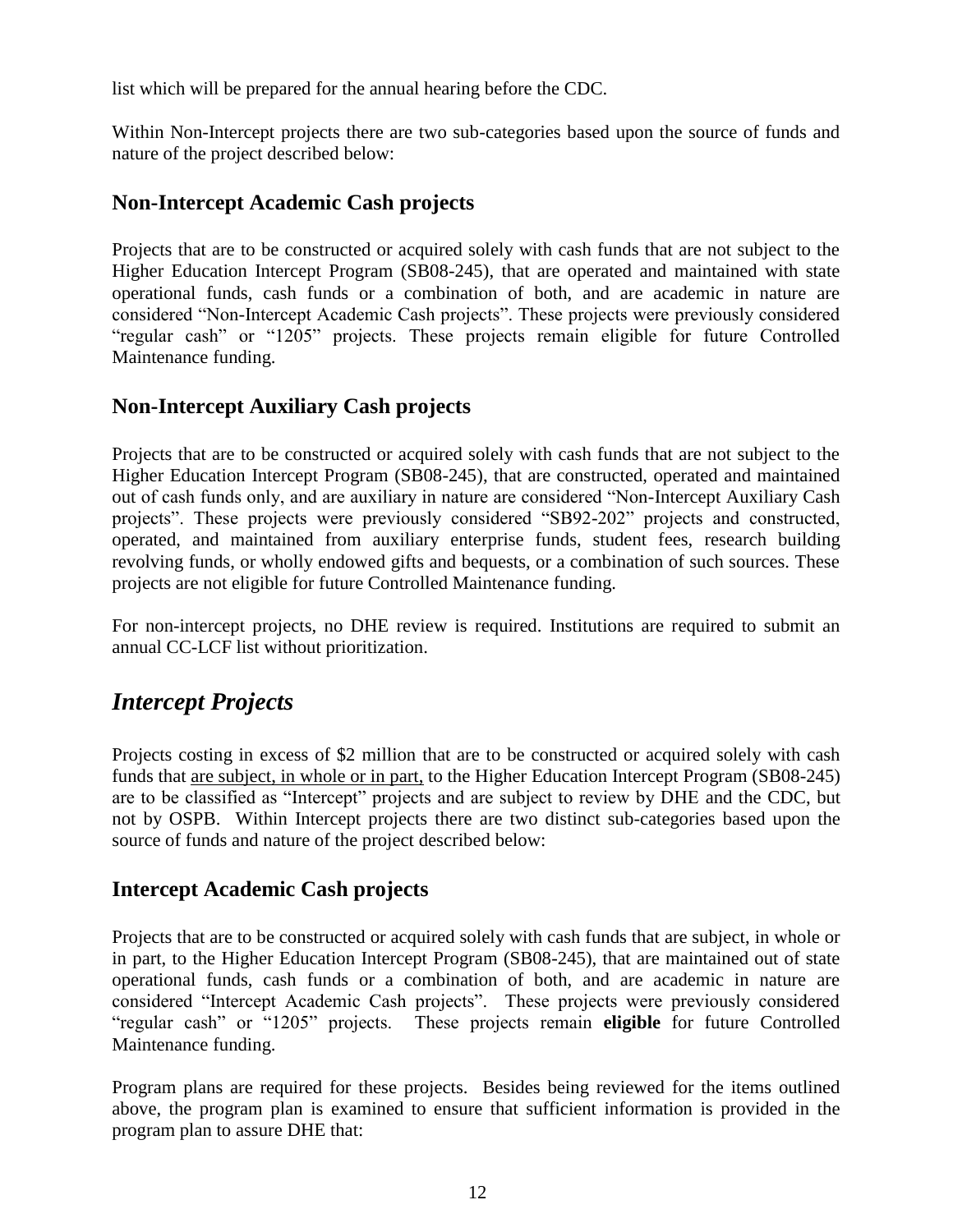list which will be prepared for the annual hearing before the CDC.

Within Non-Intercept projects there are two sub-categories based upon the source of funds and nature of the project described below:

### <span id="page-15-0"></span>**Non-Intercept Academic Cash projects**

Projects that are to be constructed or acquired solely with cash funds that are not subject to the Higher Education Intercept Program (SB08-245), that are operated and maintained with state operational funds, cash funds or a combination of both, and are academic in nature are considered "Non-Intercept Academic Cash projects". These projects were previously considered "regular cash" or "1205" projects. These projects remain eligible for future Controlled Maintenance funding.

### <span id="page-15-1"></span>**Non-Intercept Auxiliary Cash projects**

Projects that are to be constructed or acquired solely with cash funds that are not subject to the Higher Education Intercept Program (SB08-245), that are constructed, operated and maintained out of cash funds only, and are auxiliary in nature are considered "Non-Intercept Auxiliary Cash projects". These projects were previously considered "SB92-202" projects and constructed, operated, and maintained from auxiliary enterprise funds, student fees, research building revolving funds, or wholly endowed gifts and bequests, or a combination of such sources. These projects are not eligible for future Controlled Maintenance funding.

For non-intercept projects, no DHE review is required. Institutions are required to submit an annual CC-LCF list without prioritization.

### <span id="page-15-2"></span>*Intercept Projects*

Projects costing in excess of \$2 million that are to be constructed or acquired solely with cash funds that are subject, in whole or in part, to the Higher Education Intercept Program (SB08-245) are to be classified as "Intercept" projects and are subject to review by DHE and the CDC, but not by OSPB. Within Intercept projects there are two distinct sub-categories based upon the source of funds and nature of the project described below:

#### <span id="page-15-3"></span>**Intercept Academic Cash projects**

Projects that are to be constructed or acquired solely with cash funds that are subject, in whole or in part, to the Higher Education Intercept Program (SB08-245), that are maintained out of state operational funds, cash funds or a combination of both, and are academic in nature are considered "Intercept Academic Cash projects". These projects were previously considered "regular cash" or "1205" projects. These projects remain **eligible** for future Controlled Maintenance funding.

Program plans are required for these projects. Besides being reviewed for the items outlined above, the program plan is examined to ensure that sufficient information is provided in the program plan to assure DHE that: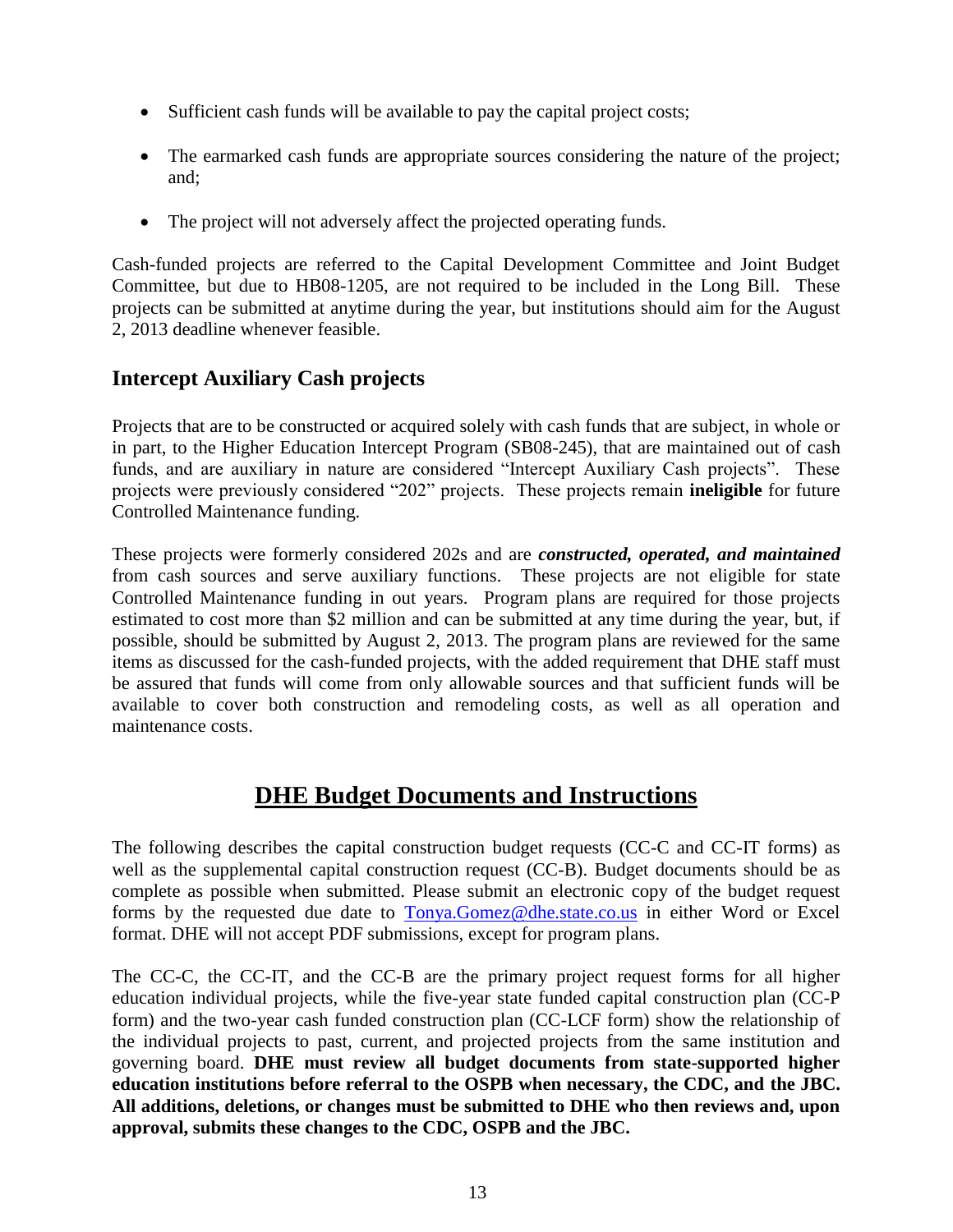- Sufficient cash funds will be available to pay the capital project costs;
- The earmarked cash funds are appropriate sources considering the nature of the project; and;
- The project will not adversely affect the projected operating funds.

Cash-funded projects are referred to the Capital Development Committee and Joint Budget Committee, but due to HB08-1205, are not required to be included in the Long Bill. These projects can be submitted at anytime during the year, but institutions should aim for the August 2, 2013 deadline whenever feasible.

### <span id="page-16-0"></span>**Intercept Auxiliary Cash projects**

Projects that are to be constructed or acquired solely with cash funds that are subject, in whole or in part, to the Higher Education Intercept Program (SB08-245), that are maintained out of cash funds, and are auxiliary in nature are considered "Intercept Auxiliary Cash projects". These projects were previously considered "202" projects. These projects remain **ineligible** for future Controlled Maintenance funding.

These projects were formerly considered 202s and are *constructed, operated, and maintained* from cash sources and serve auxiliary functions. These projects are not eligible for state Controlled Maintenance funding in out years. Program plans are required for those projects estimated to cost more than \$2 million and can be submitted at any time during the year, but, if possible, should be submitted by August 2, 2013. The program plans are reviewed for the same items as discussed for the cash-funded projects, with the added requirement that DHE staff must be assured that funds will come from only allowable sources and that sufficient funds will be available to cover both construction and remodeling costs, as well as all operation and maintenance costs.

### **DHE Budget Documents and Instructions**

<span id="page-16-1"></span>The following describes the capital construction budget requests (CC-C and CC-IT forms) as well as the supplemental capital construction request (CC-B). Budget documents should be as complete as possible when submitted. Please submit an electronic copy of the budget request forms by the requested due date to [Tonya.Gomez@dhe.state.co.us](mailto:Tonya.Gomez@dhe.state.co.us) in either Word or Excel format. DHE will not accept PDF submissions, except for program plans.

The CC-C, the CC-IT, and the CC-B are the primary project request forms for all higher education individual projects, while the five-year state funded capital construction plan (CC-P form) and the two-year cash funded construction plan (CC-LCF form) show the relationship of the individual projects to past, current, and projected projects from the same institution and governing board. **DHE must review all budget documents from state-supported higher education institutions before referral to the OSPB when necessary, the CDC, and the JBC. All additions, deletions, or changes must be submitted to DHE who then reviews and, upon approval, submits these changes to the CDC, OSPB and the JBC.**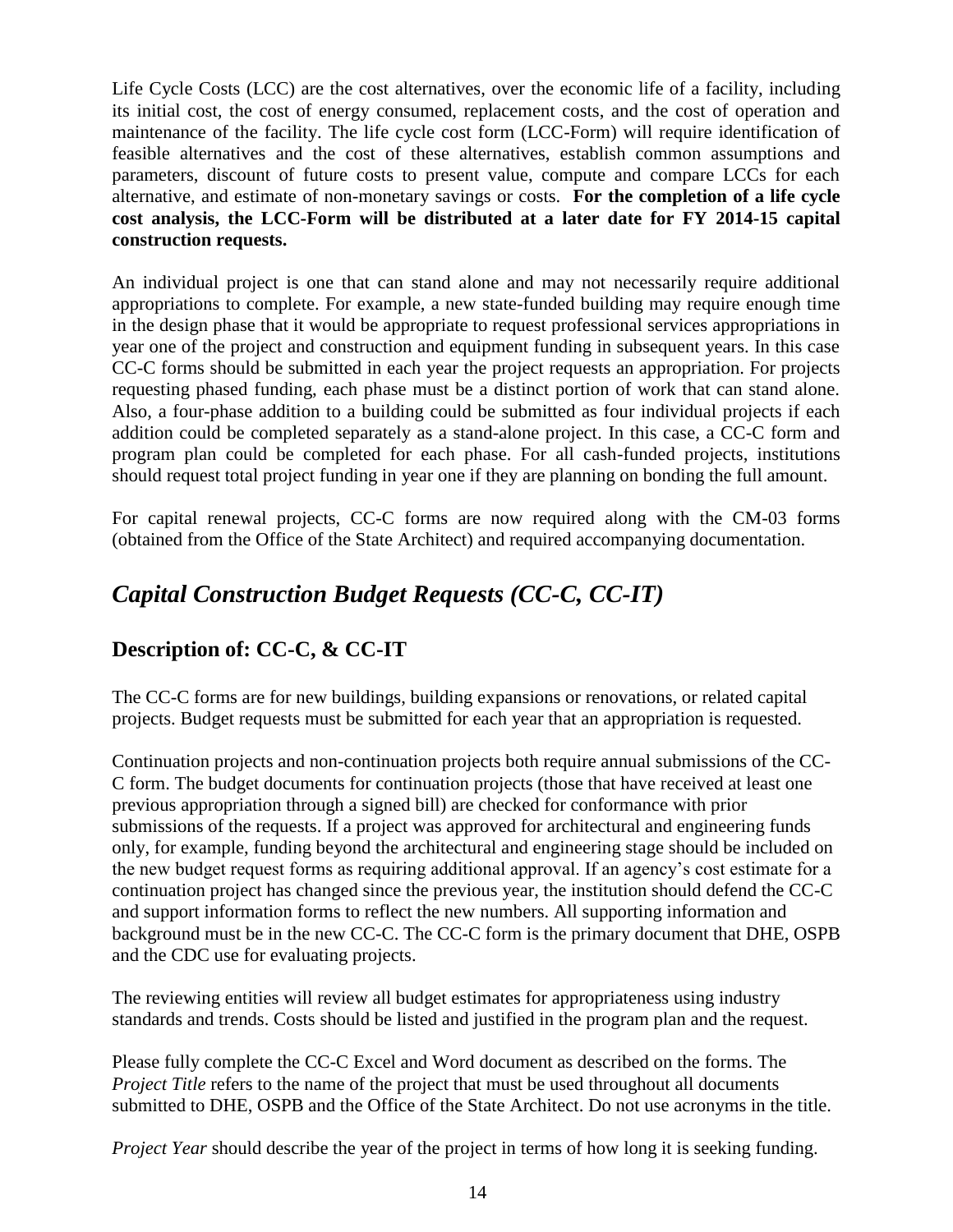Life Cycle Costs (LCC) are the cost alternatives, over the economic life of a facility, including its initial cost, the cost of energy consumed, replacement costs, and the cost of operation and maintenance of the facility. The life cycle cost form (LCC-Form) will require identification of feasible alternatives and the cost of these alternatives, establish common assumptions and parameters, discount of future costs to present value, compute and compare LCCs for each alternative, and estimate of non-monetary savings or costs. **For the completion of a life cycle cost analysis, the LCC-Form will be distributed at a later date for FY 2014-15 capital construction requests.**

An individual project is one that can stand alone and may not necessarily require additional appropriations to complete. For example, a new state-funded building may require enough time in the design phase that it would be appropriate to request professional services appropriations in year one of the project and construction and equipment funding in subsequent years. In this case CC-C forms should be submitted in each year the project requests an appropriation. For projects requesting phased funding, each phase must be a distinct portion of work that can stand alone. Also, a four-phase addition to a building could be submitted as four individual projects if each addition could be completed separately as a stand-alone project. In this case, a CC-C form and program plan could be completed for each phase. For all cash-funded projects, institutions should request total project funding in year one if they are planning on bonding the full amount.

For capital renewal projects, CC-C forms are now required along with the CM-03 forms (obtained from the Office of the State Architect) and required accompanying documentation.

# <span id="page-17-0"></span>*Capital Construction Budget Requests (CC-C, CC-IT)*

# <span id="page-17-1"></span>**Description of: CC-C, & CC-IT**

The CC-C forms are for new buildings, building expansions or renovations, or related capital projects. Budget requests must be submitted for each year that an appropriation is requested.

Continuation projects and non-continuation projects both require annual submissions of the CC-C form. The budget documents for continuation projects (those that have received at least one previous appropriation through a signed bill) are checked for conformance with prior submissions of the requests. If a project was approved for architectural and engineering funds only, for example, funding beyond the architectural and engineering stage should be included on the new budget request forms as requiring additional approval. If an agency's cost estimate for a continuation project has changed since the previous year, the institution should defend the CC-C and support information forms to reflect the new numbers. All supporting information and background must be in the new CC-C. The CC-C form is the primary document that DHE, OSPB and the CDC use for evaluating projects.

The reviewing entities will review all budget estimates for appropriateness using industry standards and trends. Costs should be listed and justified in the program plan and the request.

Please fully complete the CC-C Excel and Word document as described on the forms. The *Project Title* refers to the name of the project that must be used throughout all documents submitted to DHE, OSPB and the Office of the State Architect. Do not use acronyms in the title.

*Project Year should describe the year of the project in terms of how long it is seeking funding.*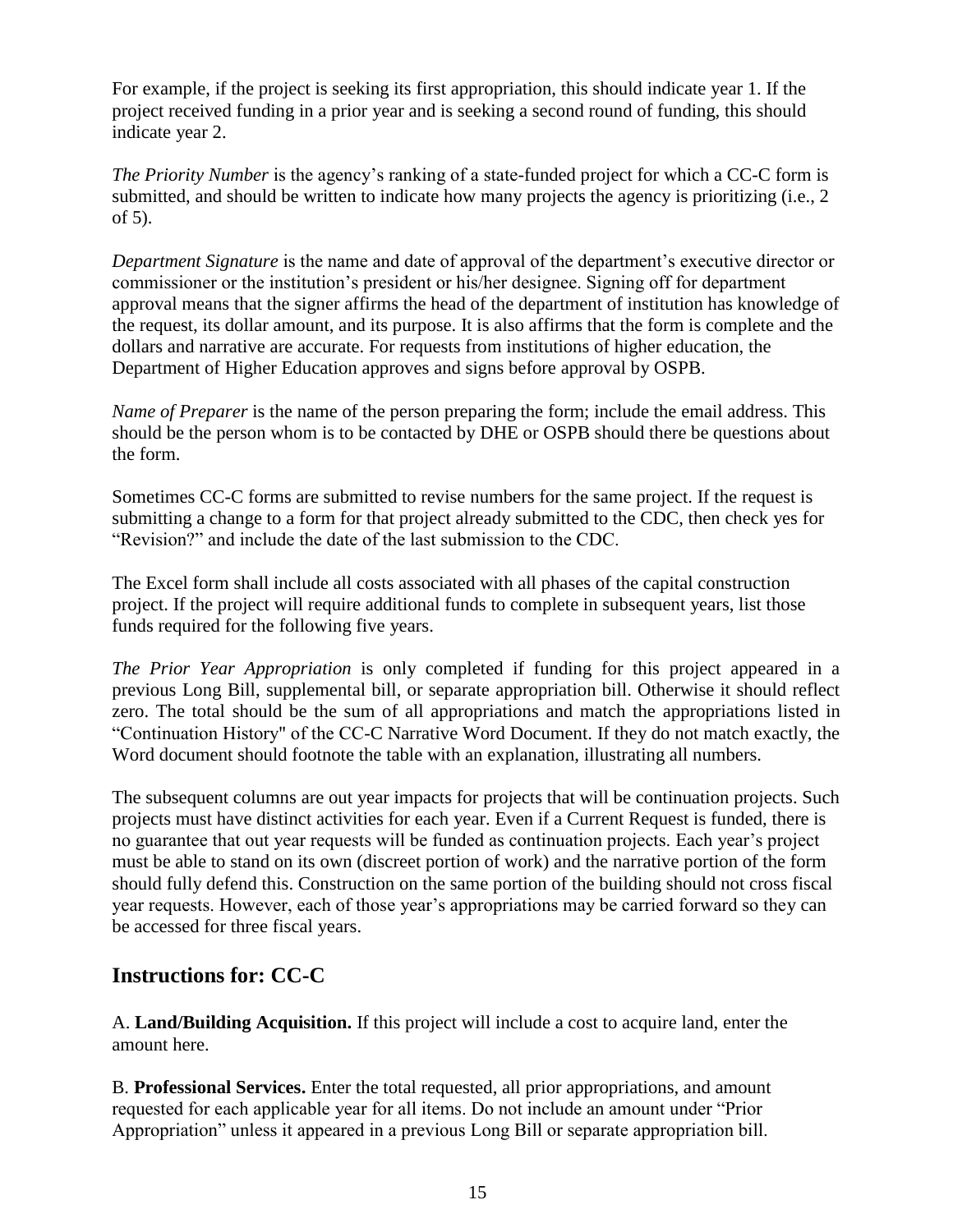For example, if the project is seeking its first appropriation, this should indicate year 1. If the project received funding in a prior year and is seeking a second round of funding, this should indicate year 2.

*The Priority Number* is the agency's ranking of a state-funded project for which a CC-C form is submitted, and should be written to indicate how many projects the agency is prioritizing (i.e., 2 of 5).

*Department Signature* is the name and date of approval of the department's executive director or commissioner or the institution's president or his/her designee. Signing off for department approval means that the signer affirms the head of the department of institution has knowledge of the request, its dollar amount, and its purpose. It is also affirms that the form is complete and the dollars and narrative are accurate. For requests from institutions of higher education, the Department of Higher Education approves and signs before approval by OSPB.

*Name of Preparer* is the name of the person preparing the form; include the email address. This should be the person whom is to be contacted by DHE or OSPB should there be questions about the form.

Sometimes CC-C forms are submitted to revise numbers for the same project. If the request is submitting a change to a form for that project already submitted to the CDC, then check yes for "Revision?" and include the date of the last submission to the CDC.

The Excel form shall include all costs associated with all phases of the capital construction project. If the project will require additional funds to complete in subsequent years, list those funds required for the following five years.

*The Prior Year Appropriation* is only completed if funding for this project appeared in a previous Long Bill, supplemental bill, or separate appropriation bill. Otherwise it should reflect zero. The total should be the sum of all appropriations and match the appropriations listed in "Continuation History" of the CC-C Narrative Word Document. If they do not match exactly, the Word document should footnote the table with an explanation, illustrating all numbers.

The subsequent columns are out year impacts for projects that will be continuation projects. Such projects must have distinct activities for each year. Even if a Current Request is funded, there is no guarantee that out year requests will be funded as continuation projects. Each year's project must be able to stand on its own (discreet portion of work) and the narrative portion of the form should fully defend this. Construction on the same portion of the building should not cross fiscal year requests. However, each of those year's appropriations may be carried forward so they can be accessed for three fiscal years.

### <span id="page-18-0"></span>**Instructions for: CC-C**

A. **Land/Building Acquisition.** If this project will include a cost to acquire land, enter the amount here.

B. **Professional Services.** Enter the total requested, all prior appropriations, and amount requested for each applicable year for all items. Do not include an amount under "Prior Appropriation" unless it appeared in a previous Long Bill or separate appropriation bill.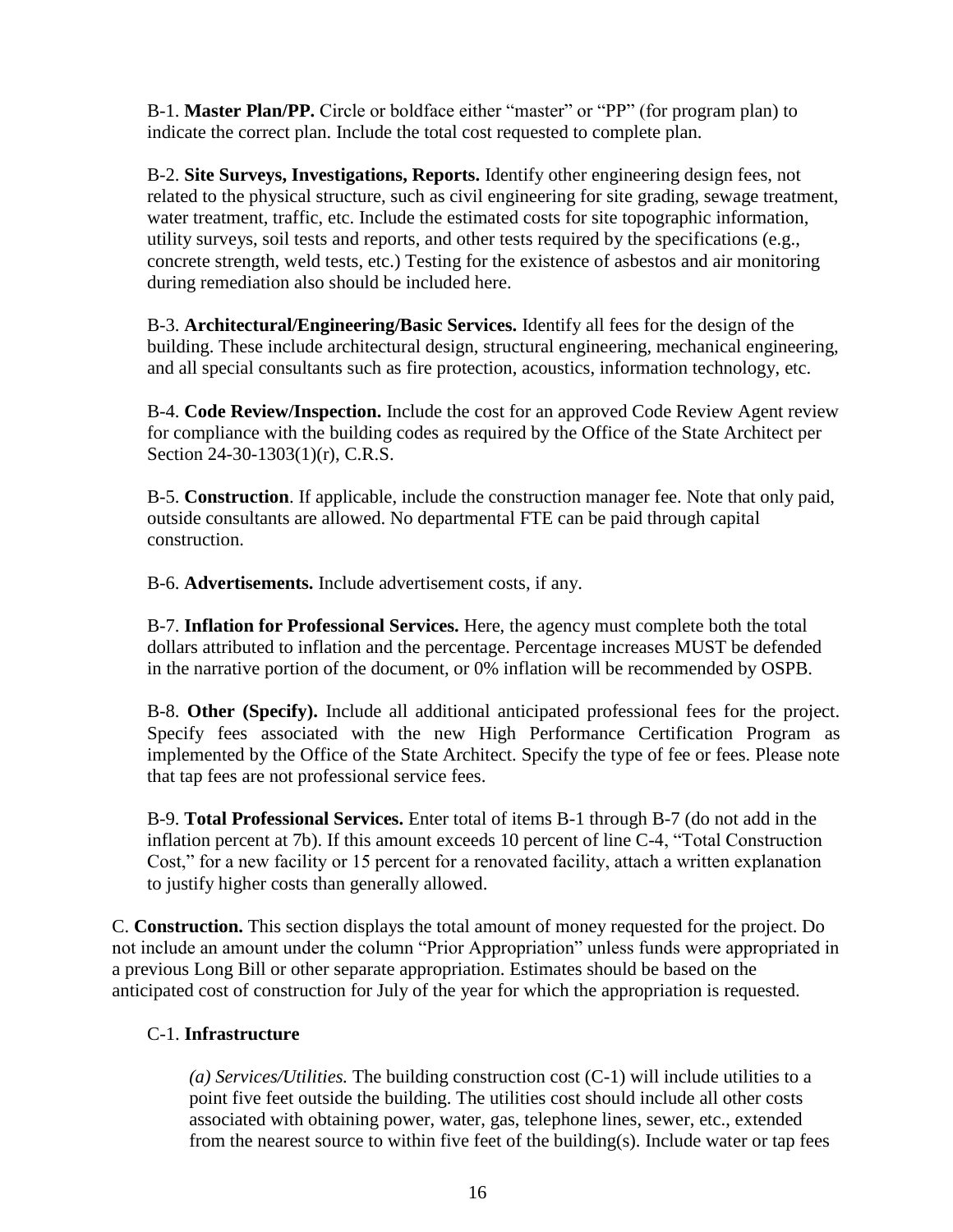B-1. **Master Plan/PP.** Circle or boldface either "master" or "PP" (for program plan) to indicate the correct plan. Include the total cost requested to complete plan.

B-2. **Site Surveys, Investigations, Reports.** Identify other engineering design fees, not related to the physical structure, such as civil engineering for site grading, sewage treatment, water treatment, traffic, etc. Include the estimated costs for site topographic information, utility surveys, soil tests and reports, and other tests required by the specifications (e.g., concrete strength, weld tests, etc.) Testing for the existence of asbestos and air monitoring during remediation also should be included here.

B-3. **Architectural/Engineering/Basic Services.** Identify all fees for the design of the building. These include architectural design, structural engineering, mechanical engineering, and all special consultants such as fire protection, acoustics, information technology, etc.

B-4. **Code Review/Inspection.** Include the cost for an approved Code Review Agent review for compliance with the building codes as required by the Office of the State Architect per Section 24-30-1303(1)(r), C.R.S.

B-5. **Construction**. If applicable, include the construction manager fee. Note that only paid, outside consultants are allowed. No departmental FTE can be paid through capital construction.

B-6. **Advertisements.** Include advertisement costs, if any.

B-7. **Inflation for Professional Services.** Here, the agency must complete both the total dollars attributed to inflation and the percentage. Percentage increases MUST be defended in the narrative portion of the document, or 0% inflation will be recommended by OSPB.

B-8. **Other (Specify).** Include all additional anticipated professional fees for the project. Specify fees associated with the new High Performance Certification Program as implemented by the Office of the State Architect. Specify the type of fee or fees. Please note that tap fees are not professional service fees.

B-9. **Total Professional Services.** Enter total of items B-1 through B-7 (do not add in the inflation percent at 7b). If this amount exceeds 10 percent of line C-4, "Total Construction Cost," for a new facility or 15 percent for a renovated facility, attach a written explanation to justify higher costs than generally allowed.

C. **Construction.** This section displays the total amount of money requested for the project. Do not include an amount under the column "Prior Appropriation" unless funds were appropriated in a previous Long Bill or other separate appropriation. Estimates should be based on the anticipated cost of construction for July of the year for which the appropriation is requested.

#### C-1. **Infrastructure**

*(a) Services/Utilities.* The building construction cost (C-1) will include utilities to a point five feet outside the building. The utilities cost should include all other costs associated with obtaining power, water, gas, telephone lines, sewer, etc., extended from the nearest source to within five feet of the building(s). Include water or tap fees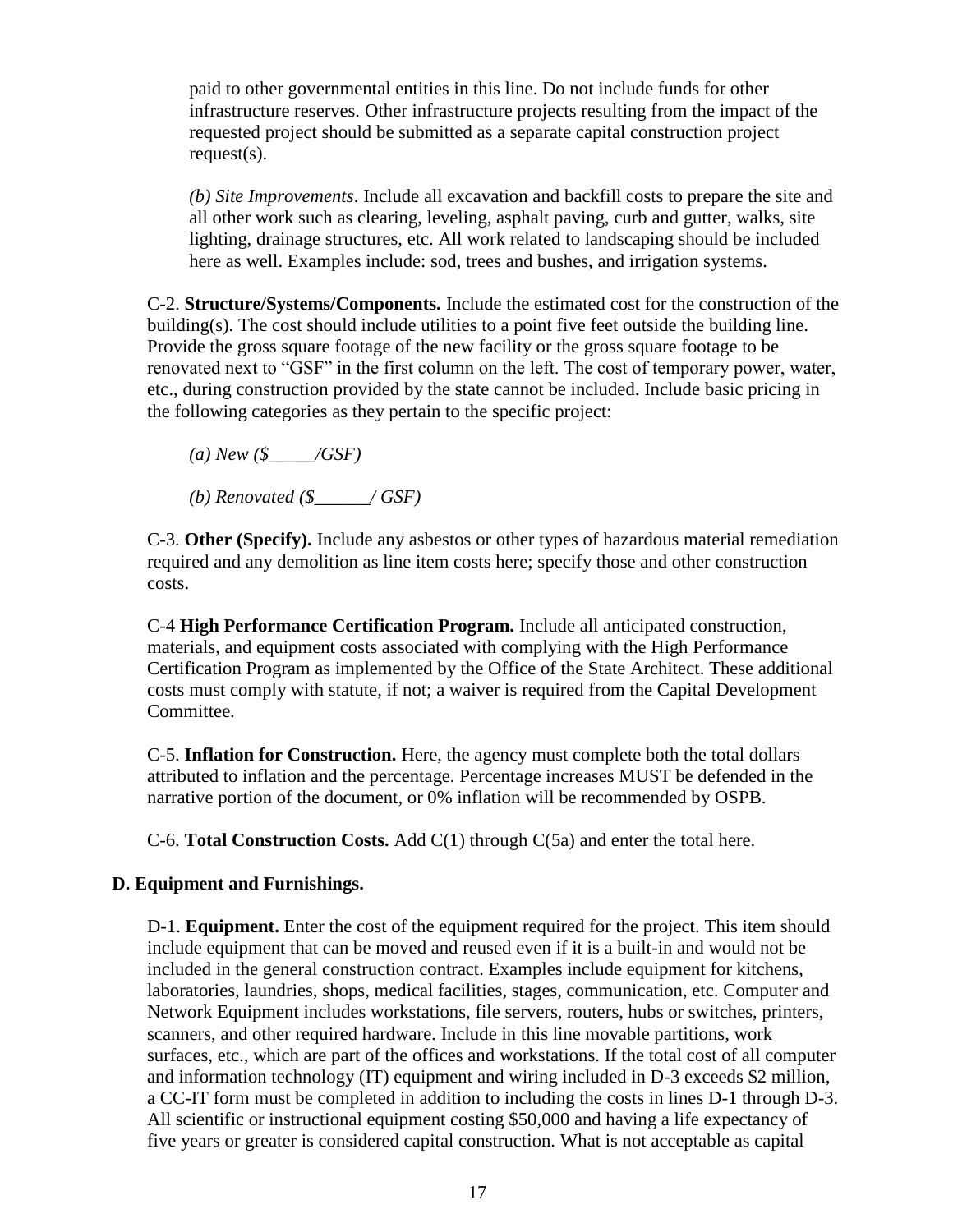paid to other governmental entities in this line. Do not include funds for other infrastructure reserves. Other infrastructure projects resulting from the impact of the requested project should be submitted as a separate capital construction project request(s).

*(b) Site Improvements*. Include all excavation and backfill costs to prepare the site and all other work such as clearing, leveling, asphalt paving, curb and gutter, walks, site lighting, drainage structures, etc. All work related to landscaping should be included here as well. Examples include: sod, trees and bushes, and irrigation systems.

C-2. **Structure/Systems/Components.** Include the estimated cost for the construction of the building(s). The cost should include utilities to a point five feet outside the building line. Provide the gross square footage of the new facility or the gross square footage to be renovated next to "GSF" in the first column on the left. The cost of temporary power, water, etc., during construction provided by the state cannot be included. Include basic pricing in the following categories as they pertain to the specific project:

*(a) New (\$\_\_\_\_\_/GSF)* 

*(b) Renovated (\$\_\_\_\_\_\_/ GSF)* 

C-3. **Other (Specify).** Include any asbestos or other types of hazardous material remediation required and any demolition as line item costs here; specify those and other construction costs.

C-4 **High Performance Certification Program.** Include all anticipated construction, materials, and equipment costs associated with complying with the High Performance Certification Program as implemented by the Office of the State Architect. These additional costs must comply with statute, if not; a waiver is required from the Capital Development Committee.

C-5. **Inflation for Construction.** Here, the agency must complete both the total dollars attributed to inflation and the percentage. Percentage increases MUST be defended in the narrative portion of the document, or 0% inflation will be recommended by OSPB.

C-6. **Total Construction Costs.** Add C(1) through C(5a) and enter the total here.

#### **D. Equipment and Furnishings.**

D-1. **Equipment.** Enter the cost of the equipment required for the project. This item should include equipment that can be moved and reused even if it is a built-in and would not be included in the general construction contract. Examples include equipment for kitchens, laboratories, laundries, shops, medical facilities, stages, communication, etc. Computer and Network Equipment includes workstations, file servers, routers, hubs or switches, printers, scanners, and other required hardware. Include in this line movable partitions, work surfaces, etc., which are part of the offices and workstations. If the total cost of all computer and information technology (IT) equipment and wiring included in D-3 exceeds \$2 million, a CC-IT form must be completed in addition to including the costs in lines D-1 through D-3. All scientific or instructional equipment costing \$50,000 and having a life expectancy of five years or greater is considered capital construction. What is not acceptable as capital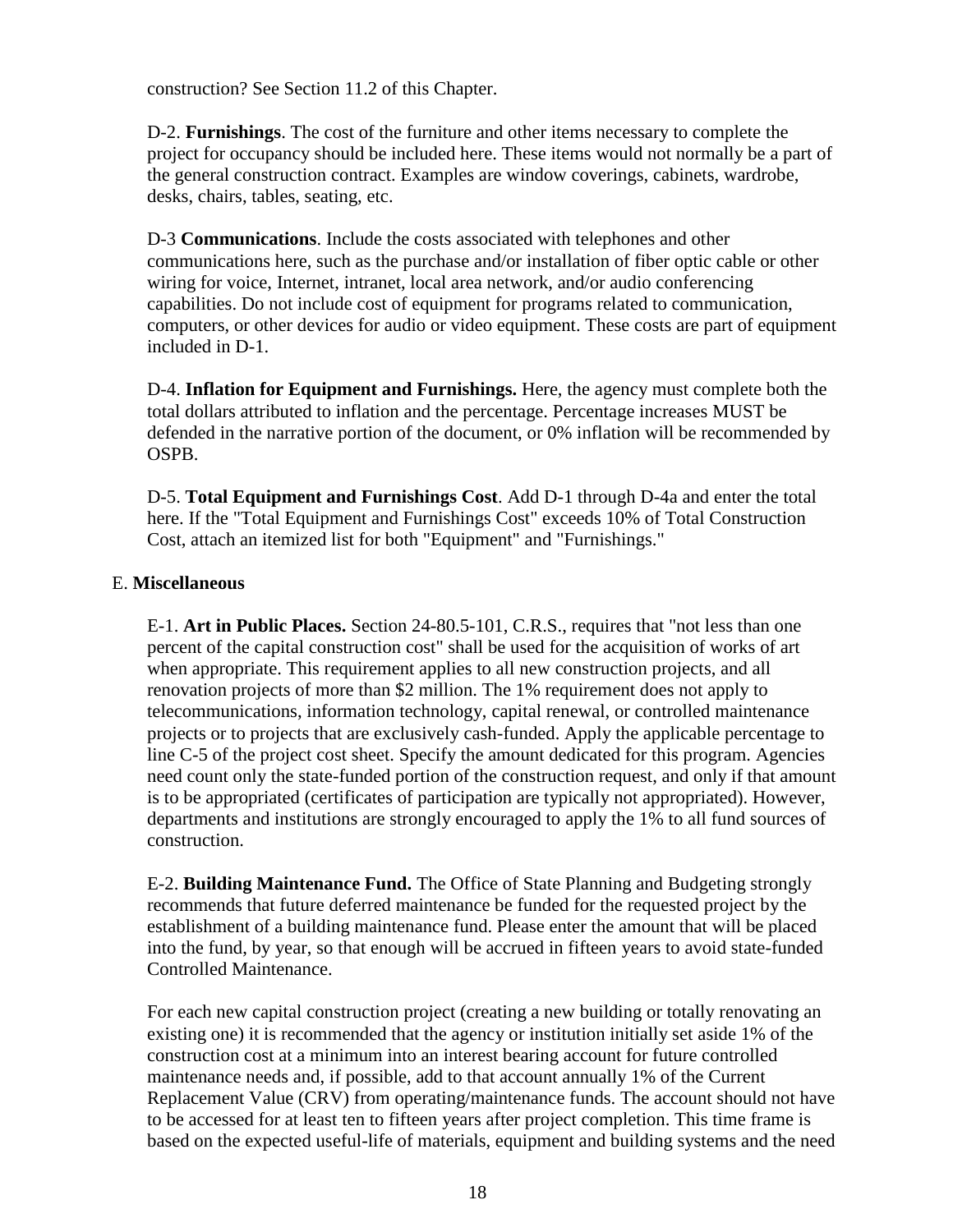construction? See Section 11.2 of this Chapter.

D-2. **Furnishings**. The cost of the furniture and other items necessary to complete the project for occupancy should be included here. These items would not normally be a part of the general construction contract. Examples are window coverings, cabinets, wardrobe, desks, chairs, tables, seating, etc.

D-3 **Communications**. Include the costs associated with telephones and other communications here, such as the purchase and/or installation of fiber optic cable or other wiring for voice, Internet, intranet, local area network, and/or audio conferencing capabilities. Do not include cost of equipment for programs related to communication, computers, or other devices for audio or video equipment. These costs are part of equipment included in D-1.

D-4. **Inflation for Equipment and Furnishings.** Here, the agency must complete both the total dollars attributed to inflation and the percentage. Percentage increases MUST be defended in the narrative portion of the document, or 0% inflation will be recommended by OSPB.

D-5. **Total Equipment and Furnishings Cost**. Add D-1 through D-4a and enter the total here. If the "Total Equipment and Furnishings Cost" exceeds 10% of Total Construction Cost, attach an itemized list for both "Equipment" and "Furnishings."

#### E. **Miscellaneous**

E-1. **Art in Public Places.** Section 24-80.5-101, C.R.S., requires that "not less than one percent of the capital construction cost" shall be used for the acquisition of works of art when appropriate. This requirement applies to all new construction projects, and all renovation projects of more than \$2 million. The 1% requirement does not apply to telecommunications, information technology, capital renewal, or controlled maintenance projects or to projects that are exclusively cash-funded. Apply the applicable percentage to line C-5 of the project cost sheet. Specify the amount dedicated for this program. Agencies need count only the state-funded portion of the construction request, and only if that amount is to be appropriated (certificates of participation are typically not appropriated). However, departments and institutions are strongly encouraged to apply the 1% to all fund sources of construction.

E-2. **Building Maintenance Fund.** The Office of State Planning and Budgeting strongly recommends that future deferred maintenance be funded for the requested project by the establishment of a building maintenance fund. Please enter the amount that will be placed into the fund, by year, so that enough will be accrued in fifteen years to avoid state-funded Controlled Maintenance.

For each new capital construction project (creating a new building or totally renovating an existing one) it is recommended that the agency or institution initially set aside 1% of the construction cost at a minimum into an interest bearing account for future controlled maintenance needs and, if possible, add to that account annually 1% of the Current Replacement Value (CRV) from operating/maintenance funds. The account should not have to be accessed for at least ten to fifteen years after project completion. This time frame is based on the expected useful-life of materials, equipment and building systems and the need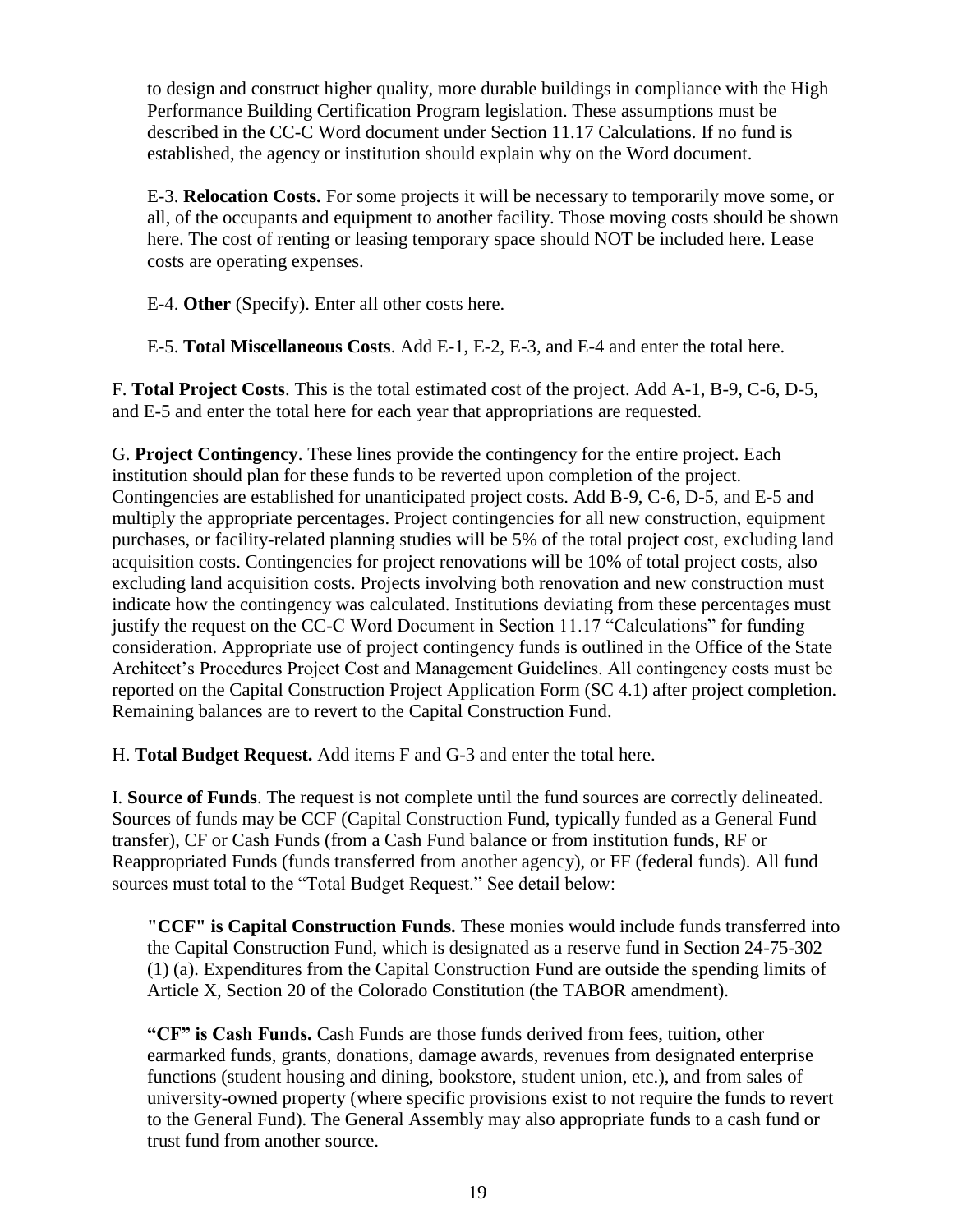to design and construct higher quality, more durable buildings in compliance with the High Performance Building Certification Program legislation. These assumptions must be described in the CC-C Word document under Section 11.17 Calculations. If no fund is established, the agency or institution should explain why on the Word document.

E-3. **Relocation Costs.** For some projects it will be necessary to temporarily move some, or all, of the occupants and equipment to another facility. Those moving costs should be shown here. The cost of renting or leasing temporary space should NOT be included here. Lease costs are operating expenses.

E-4. **Other** (Specify). Enter all other costs here.

E-5. **Total Miscellaneous Costs**. Add E-1, E-2, E-3, and E-4 and enter the total here.

F. **Total Project Costs**. This is the total estimated cost of the project. Add A-1, B-9, C-6, D-5, and E-5 and enter the total here for each year that appropriations are requested.

G. **Project Contingency**. These lines provide the contingency for the entire project. Each institution should plan for these funds to be reverted upon completion of the project. Contingencies are established for unanticipated project costs. Add B-9, C-6, D-5, and E-5 and multiply the appropriate percentages. Project contingencies for all new construction, equipment purchases, or facility-related planning studies will be 5% of the total project cost, excluding land acquisition costs. Contingencies for project renovations will be 10% of total project costs, also excluding land acquisition costs. Projects involving both renovation and new construction must indicate how the contingency was calculated. Institutions deviating from these percentages must justify the request on the CC-C Word Document in Section 11.17 "Calculations" for funding consideration. Appropriate use of project contingency funds is outlined in the Office of the State Architect's Procedures Project Cost and Management Guidelines. All contingency costs must be reported on the Capital Construction Project Application Form (SC 4.1) after project completion. Remaining balances are to revert to the Capital Construction Fund.

H. **Total Budget Request.** Add items F and G-3 and enter the total here.

I. **Source of Funds**. The request is not complete until the fund sources are correctly delineated. Sources of funds may be CCF (Capital Construction Fund, typically funded as a General Fund transfer), CF or Cash Funds (from a Cash Fund balance or from institution funds, RF or Reappropriated Funds (funds transferred from another agency), or FF (federal funds). All fund sources must total to the "Total Budget Request." See detail below:

**"CCF" is Capital Construction Funds.** These monies would include funds transferred into the Capital Construction Fund, which is designated as a reserve fund in Section 24-75-302 (1) (a). Expenditures from the Capital Construction Fund are outside the spending limits of Article X, Section 20 of the Colorado Constitution (the TABOR amendment).

**"CF" is Cash Funds.** Cash Funds are those funds derived from fees, tuition, other earmarked funds, grants, donations, damage awards, revenues from designated enterprise functions (student housing and dining, bookstore, student union, etc.), and from sales of university-owned property (where specific provisions exist to not require the funds to revert to the General Fund). The General Assembly may also appropriate funds to a cash fund or trust fund from another source.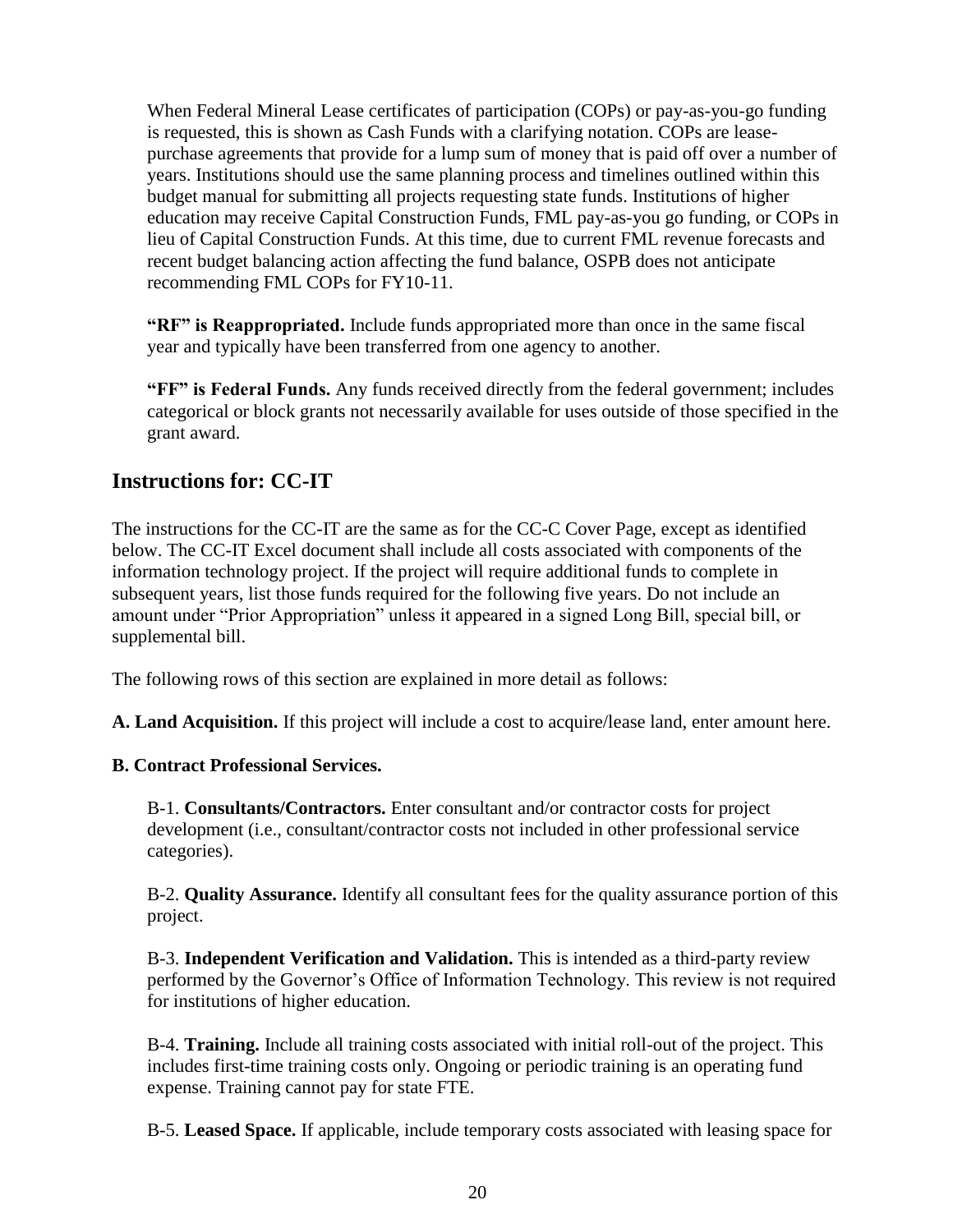When Federal Mineral Lease certificates of participation (COPs) or pay-as-you-go funding is requested, this is shown as Cash Funds with a clarifying notation. COPs are leasepurchase agreements that provide for a lump sum of money that is paid off over a number of years. Institutions should use the same planning process and timelines outlined within this budget manual for submitting all projects requesting state funds. Institutions of higher education may receive Capital Construction Funds, FML pay-as-you go funding, or COPs in lieu of Capital Construction Funds. At this time, due to current FML revenue forecasts and recent budget balancing action affecting the fund balance, OSPB does not anticipate recommending FML COPs for FY10-11.

**"RF" is Reappropriated.** Include funds appropriated more than once in the same fiscal year and typically have been transferred from one agency to another.

**"FF" is Federal Funds.** Any funds received directly from the federal government; includes categorical or block grants not necessarily available for uses outside of those specified in the grant award.

### <span id="page-23-0"></span>**Instructions for: CC-IT**

The instructions for the CC-IT are the same as for the CC-C Cover Page, except as identified below. The CC-IT Excel document shall include all costs associated with components of the information technology project. If the project will require additional funds to complete in subsequent years, list those funds required for the following five years. Do not include an amount under "Prior Appropriation" unless it appeared in a signed Long Bill, special bill, or supplemental bill.

The following rows of this section are explained in more detail as follows:

**A. Land Acquisition.** If this project will include a cost to acquire/lease land, enter amount here.

#### **B. Contract Professional Services.**

B-1. **Consultants/Contractors.** Enter consultant and/or contractor costs for project development (i.e., consultant/contractor costs not included in other professional service categories).

B-2. **Quality Assurance.** Identify all consultant fees for the quality assurance portion of this project.

B-3. **Independent Verification and Validation.** This is intended as a third-party review performed by the Governor's Office of Information Technology. This review is not required for institutions of higher education.

B-4. **Training.** Include all training costs associated with initial roll-out of the project. This includes first-time training costs only. Ongoing or periodic training is an operating fund expense. Training cannot pay for state FTE.

B-5. **Leased Space.** If applicable, include temporary costs associated with leasing space for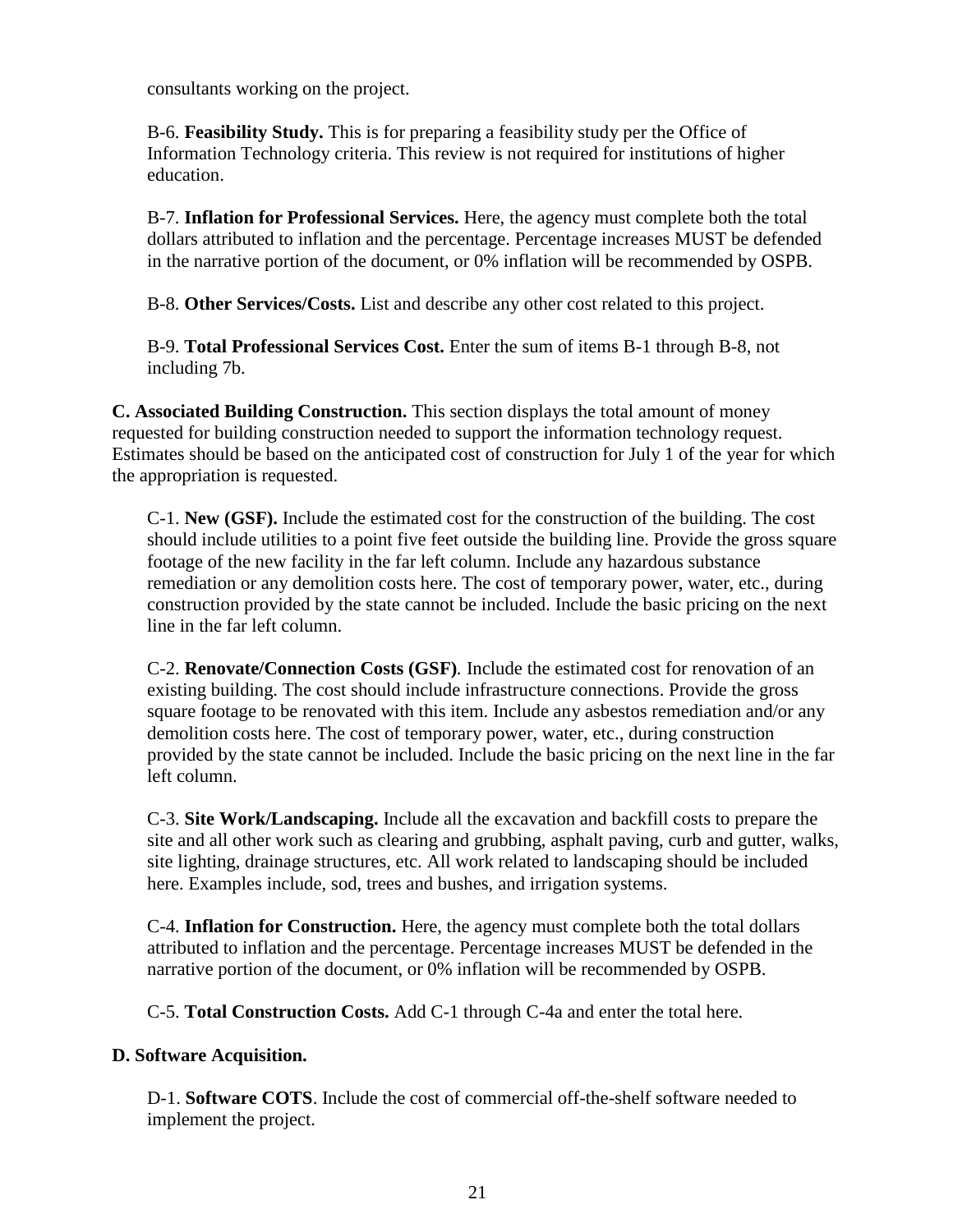consultants working on the project.

B-6. **Feasibility Study.** This is for preparing a feasibility study per the Office of Information Technology criteria. This review is not required for institutions of higher education.

B-7. **Inflation for Professional Services.** Here, the agency must complete both the total dollars attributed to inflation and the percentage. Percentage increases MUST be defended in the narrative portion of the document, or 0% inflation will be recommended by OSPB.

B-8. **Other Services/Costs.** List and describe any other cost related to this project.

B-9. **Total Professional Services Cost.** Enter the sum of items B-1 through B-8, not including 7b.

**C. Associated Building Construction.** This section displays the total amount of money requested for building construction needed to support the information technology request. Estimates should be based on the anticipated cost of construction for July 1 of the year for which the appropriation is requested.

C-1. **New (GSF).** Include the estimated cost for the construction of the building. The cost should include utilities to a point five feet outside the building line. Provide the gross square footage of the new facility in the far left column. Include any hazardous substance remediation or any demolition costs here. The cost of temporary power, water, etc., during construction provided by the state cannot be included. Include the basic pricing on the next line in the far left column.

C-2. **Renovate/Connection Costs (GSF)***.* Include the estimated cost for renovation of an existing building. The cost should include infrastructure connections. Provide the gross square footage to be renovated with this item. Include any asbestos remediation and/or any demolition costs here. The cost of temporary power, water, etc., during construction provided by the state cannot be included. Include the basic pricing on the next line in the far left column.

C-3. **Site Work/Landscaping.** Include all the excavation and backfill costs to prepare the site and all other work such as clearing and grubbing, asphalt paving, curb and gutter, walks, site lighting, drainage structures, etc. All work related to landscaping should be included here. Examples include, sod, trees and bushes, and irrigation systems.

C-4. **Inflation for Construction.** Here, the agency must complete both the total dollars attributed to inflation and the percentage. Percentage increases MUST be defended in the narrative portion of the document, or 0% inflation will be recommended by OSPB.

C-5. **Total Construction Costs.** Add C-1 through C-4a and enter the total here.

#### **D. Software Acquisition.**

D-1. **Software COTS**. Include the cost of commercial off-the-shelf software needed to implement the project.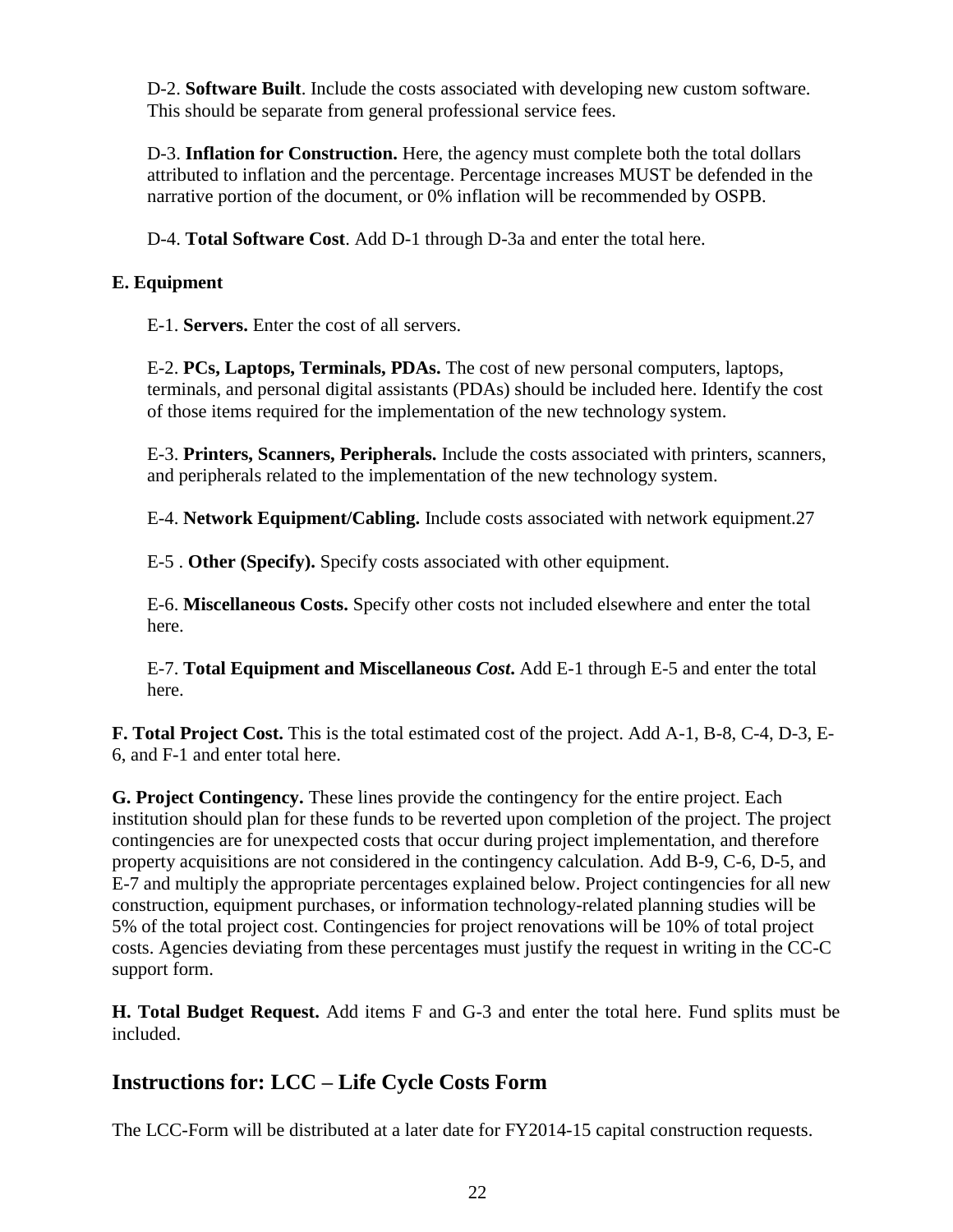D-2. **Software Built**. Include the costs associated with developing new custom software. This should be separate from general professional service fees.

D-3. **Inflation for Construction.** Here, the agency must complete both the total dollars attributed to inflation and the percentage. Percentage increases MUST be defended in the narrative portion of the document, or 0% inflation will be recommended by OSPB.

D-4. **Total Software Cost**. Add D-1 through D-3a and enter the total here.

#### **E. Equipment**

E-1. **Servers.** Enter the cost of all servers.

E-2. **PCs, Laptops, Terminals, PDAs.** The cost of new personal computers, laptops, terminals, and personal digital assistants (PDAs) should be included here. Identify the cost of those items required for the implementation of the new technology system.

E-3. **Printers, Scanners, Peripherals.** Include the costs associated with printers, scanners, and peripherals related to the implementation of the new technology system.

E-4. **Network Equipment/Cabling.** Include costs associated with network equipment.27

E-5 . **Other (Specify).** Specify costs associated with other equipment.

E-6. **Miscellaneous Costs.** Specify other costs not included elsewhere and enter the total here.

E-7. **Total Equipment and Miscellaneou***s Cost***.** Add E-1 through E-5 and enter the total here.

**F. Total Project Cost.** This is the total estimated cost of the project. Add A-1, B-8, C-4, D-3, E-6, and F-1 and enter total here.

**G. Project Contingency.** These lines provide the contingency for the entire project. Each institution should plan for these funds to be reverted upon completion of the project. The project contingencies are for unexpected costs that occur during project implementation, and therefore property acquisitions are not considered in the contingency calculation. Add B-9, C-6, D-5, and E-7 and multiply the appropriate percentages explained below. Project contingencies for all new construction, equipment purchases, or information technology-related planning studies will be 5% of the total project cost. Contingencies for project renovations will be 10% of total project costs. Agencies deviating from these percentages must justify the request in writing in the CC-C support form.

**H. Total Budget Request.** Add items F and G-3 and enter the total here. Fund splits must be included.

### **Instructions for: LCC – Life Cycle Costs Form**

The LCC-Form will be distributed at a later date for FY2014-15 capital construction requests.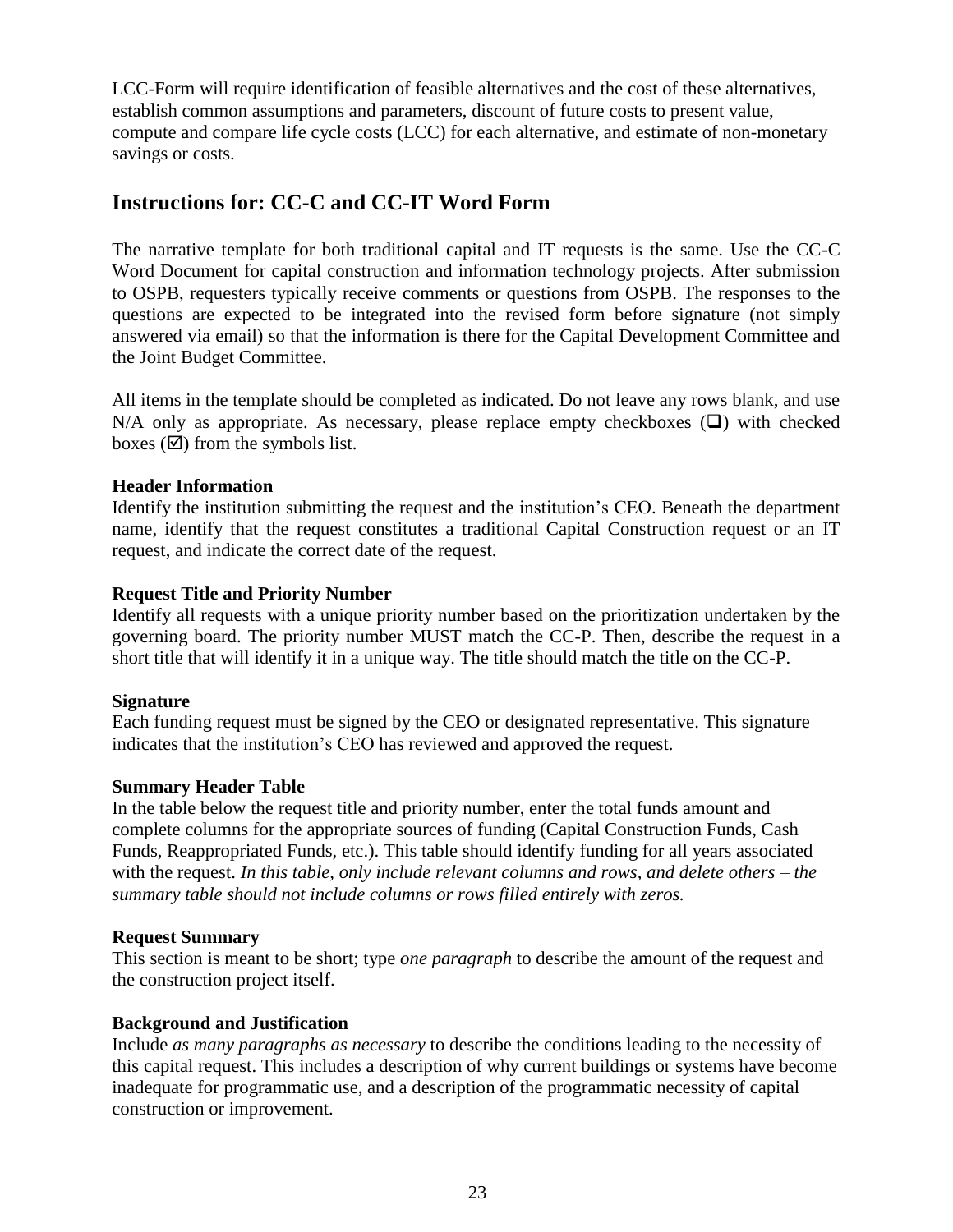LCC-Form will require identification of feasible alternatives and the cost of these alternatives, establish common assumptions and parameters, discount of future costs to present value, compute and compare life cycle costs (LCC) for each alternative, and estimate of non-monetary savings or costs.

### <span id="page-26-0"></span>**Instructions for: CC-C and CC-IT Word Form**

The narrative template for both traditional capital and IT requests is the same. Use the CC-C Word Document for capital construction and information technology projects. After submission to OSPB, requesters typically receive comments or questions from OSPB. The responses to the questions are expected to be integrated into the revised form before signature (not simply answered via email) so that the information is there for the Capital Development Committee and the Joint Budget Committee.

All items in the template should be completed as indicated. Do not leave any rows blank, and use N/A only as appropriate. As necessary, please replace empty checkboxes  $(\square)$  with checked boxes  $(\mathbf{\nabla})$  from the symbols list.

#### **Header Information**

Identify the institution submitting the request and the institution's CEO. Beneath the department name, identify that the request constitutes a traditional Capital Construction request or an IT request, and indicate the correct date of the request.

#### **Request Title and Priority Number**

Identify all requests with a unique priority number based on the prioritization undertaken by the governing board. The priority number MUST match the CC-P. Then, describe the request in a short title that will identify it in a unique way. The title should match the title on the CC-P.

#### **Signature**

Each funding request must be signed by the CEO or designated representative. This signature indicates that the institution's CEO has reviewed and approved the request.

#### **Summary Header Table**

In the table below the request title and priority number, enter the total funds amount and complete columns for the appropriate sources of funding (Capital Construction Funds, Cash Funds, Reappropriated Funds, etc.). This table should identify funding for all years associated with the request. *In this table, only include relevant columns and rows, and delete others – the summary table should not include columns or rows filled entirely with zeros.* 

#### **Request Summary**

This section is meant to be short; type *one paragraph* to describe the amount of the request and the construction project itself.

#### **Background and Justification**

Include *as many paragraphs as necessary* to describe the conditions leading to the necessity of this capital request. This includes a description of why current buildings or systems have become inadequate for programmatic use, and a description of the programmatic necessity of capital construction or improvement.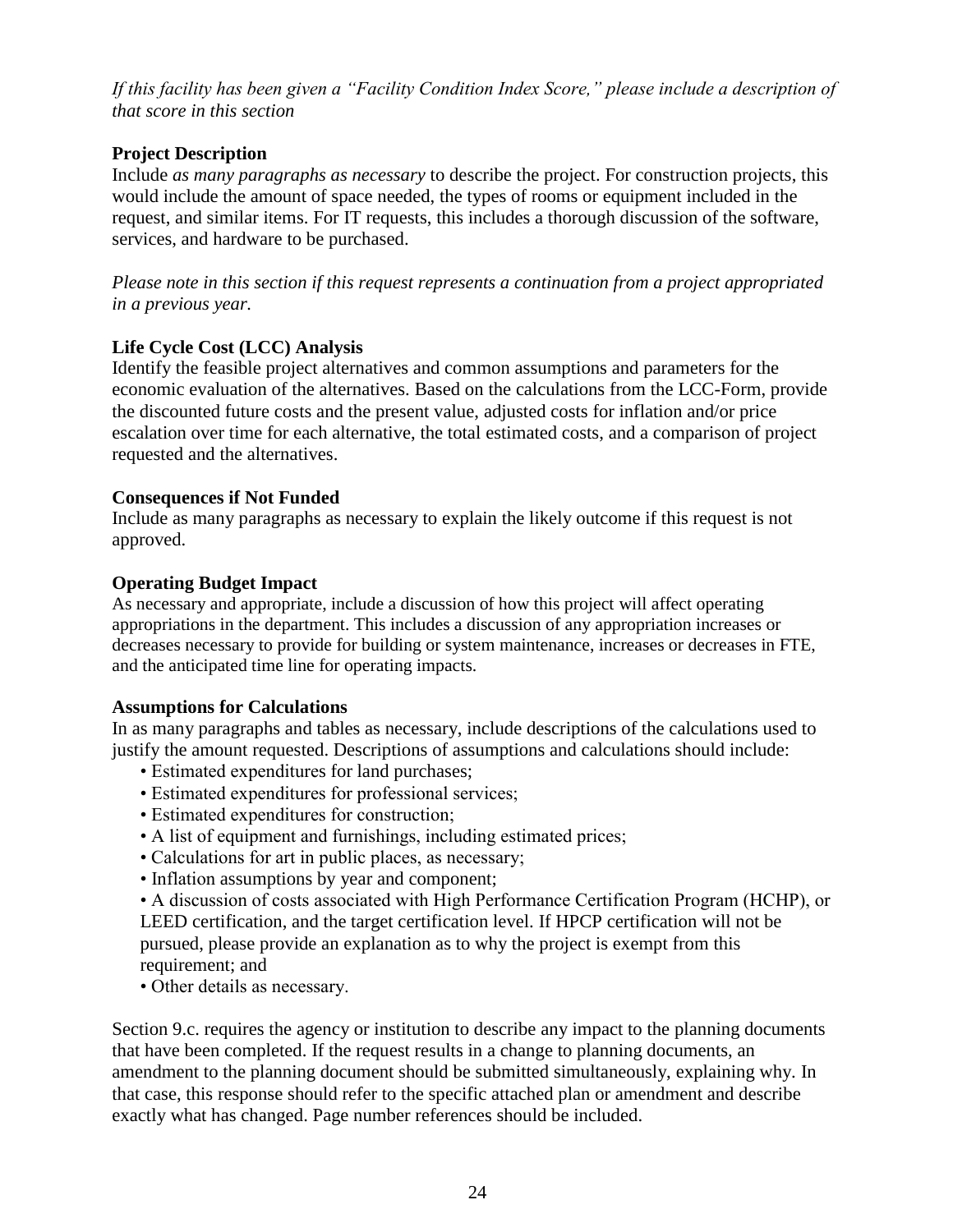*If this facility has been given a "Facility Condition Index Score," please include a description of that score in this section* 

#### **Project Description**

Include *as many paragraphs as necessary* to describe the project. For construction projects, this would include the amount of space needed, the types of rooms or equipment included in the request, and similar items. For IT requests, this includes a thorough discussion of the software, services, and hardware to be purchased.

*Please note in this section if this request represents a continuation from a project appropriated in a previous year.* 

#### **Life Cycle Cost (LCC) Analysis**

Identify the feasible project alternatives and common assumptions and parameters for the economic evaluation of the alternatives. Based on the calculations from the LCC-Form, provide the discounted future costs and the present value, adjusted costs for inflation and/or price escalation over time for each alternative, the total estimated costs, and a comparison of project requested and the alternatives.

#### **Consequences if Not Funded**

Include as many paragraphs as necessary to explain the likely outcome if this request is not approved.

#### **Operating Budget Impact**

As necessary and appropriate, include a discussion of how this project will affect operating appropriations in the department. This includes a discussion of any appropriation increases or decreases necessary to provide for building or system maintenance, increases or decreases in FTE, and the anticipated time line for operating impacts.

#### **Assumptions for Calculations**

In as many paragraphs and tables as necessary, include descriptions of the calculations used to justify the amount requested. Descriptions of assumptions and calculations should include:

- Estimated expenditures for land purchases;
- Estimated expenditures for professional services;
- Estimated expenditures for construction;
- A list of equipment and furnishings, including estimated prices;
- Calculations for art in public places, as necessary;
- Inflation assumptions by year and component;

• A discussion of costs associated with High Performance Certification Program (HCHP), or LEED certification, and the target certification level. If HPCP certification will not be pursued, please provide an explanation as to why the project is exempt from this requirement; and

• Other details as necessary.

Section 9.c. requires the agency or institution to describe any impact to the planning documents that have been completed. If the request results in a change to planning documents, an amendment to the planning document should be submitted simultaneously, explaining why. In that case, this response should refer to the specific attached plan or amendment and describe exactly what has changed. Page number references should be included.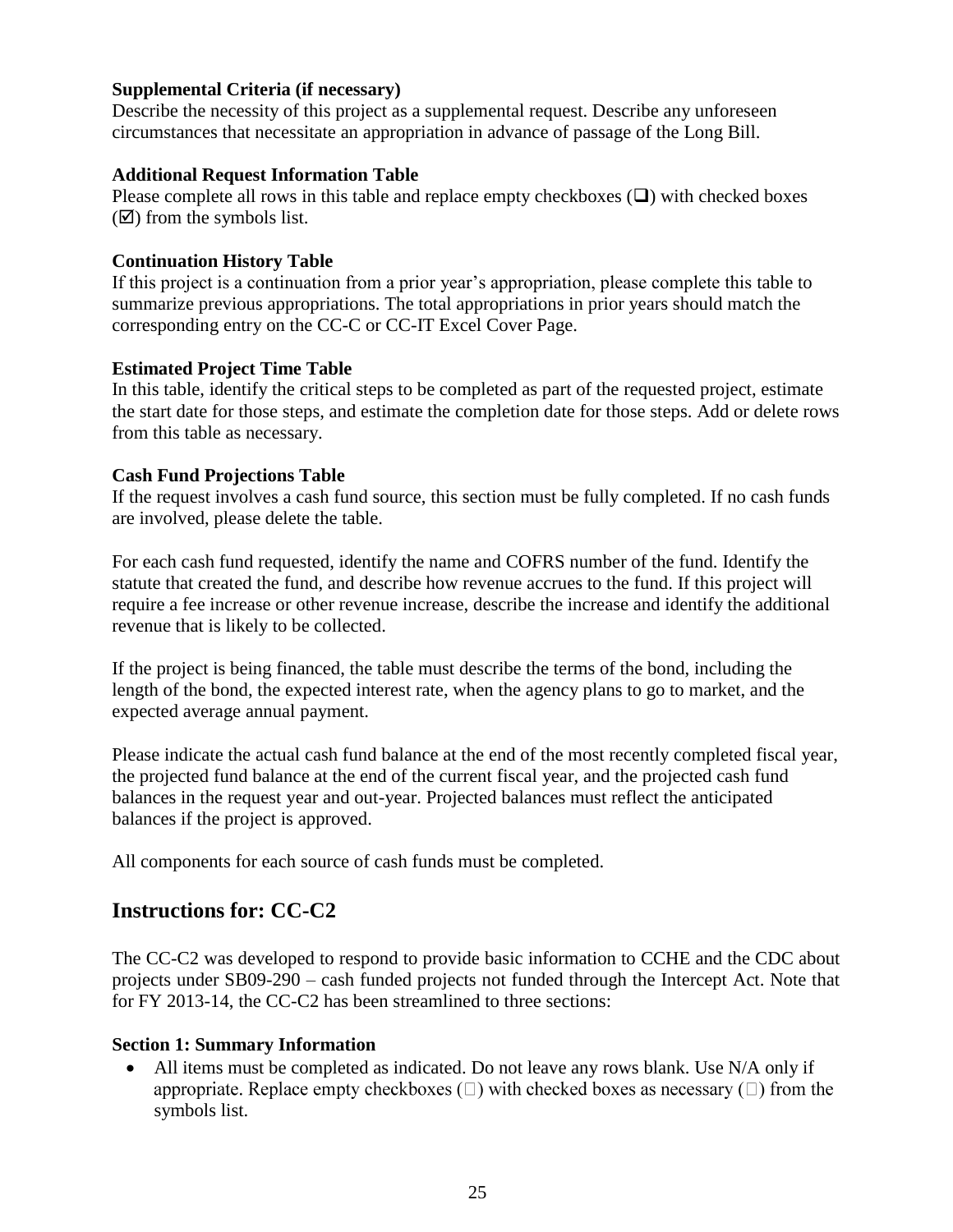#### **Supplemental Criteria (if necessary)**

Describe the necessity of this project as a supplemental request. Describe any unforeseen circumstances that necessitate an appropriation in advance of passage of the Long Bill.

#### **Additional Request Information Table**

Please complete all rows in this table and replace empty checkboxes  $(\square)$  with checked boxes  $(\mathbf{\nabla})$  from the symbols list.

#### **Continuation History Table**

If this project is a continuation from a prior year's appropriation, please complete this table to summarize previous appropriations. The total appropriations in prior years should match the corresponding entry on the CC-C or CC-IT Excel Cover Page.

#### **Estimated Project Time Table**

In this table, identify the critical steps to be completed as part of the requested project, estimate the start date for those steps, and estimate the completion date for those steps. Add or delete rows from this table as necessary.

#### **Cash Fund Projections Table**

If the request involves a cash fund source, this section must be fully completed. If no cash funds are involved, please delete the table.

For each cash fund requested, identify the name and COFRS number of the fund. Identify the statute that created the fund, and describe how revenue accrues to the fund. If this project will require a fee increase or other revenue increase, describe the increase and identify the additional revenue that is likely to be collected.

If the project is being financed, the table must describe the terms of the bond, including the length of the bond, the expected interest rate, when the agency plans to go to market, and the expected average annual payment.

Please indicate the actual cash fund balance at the end of the most recently completed fiscal year, the projected fund balance at the end of the current fiscal year, and the projected cash fund balances in the request year and out-year. Projected balances must reflect the anticipated balances if the project is approved.

All components for each source of cash funds must be completed.

### <span id="page-28-0"></span>**Instructions for: CC-C2**

The CC-C2 was developed to respond to provide basic information to CCHE and the CDC about projects under SB09-290 – cash funded projects not funded through the Intercept Act. Note that for FY 2013-14, the CC-C2 has been streamlined to three sections:

#### **Section 1: Summary Information**

• All items must be completed as indicated. Do not leave any rows blank. Use N/A only if appropriate. Replace empty checkboxes  $(\square)$  with checked boxes as necessary  $(\square)$  from the symbols list.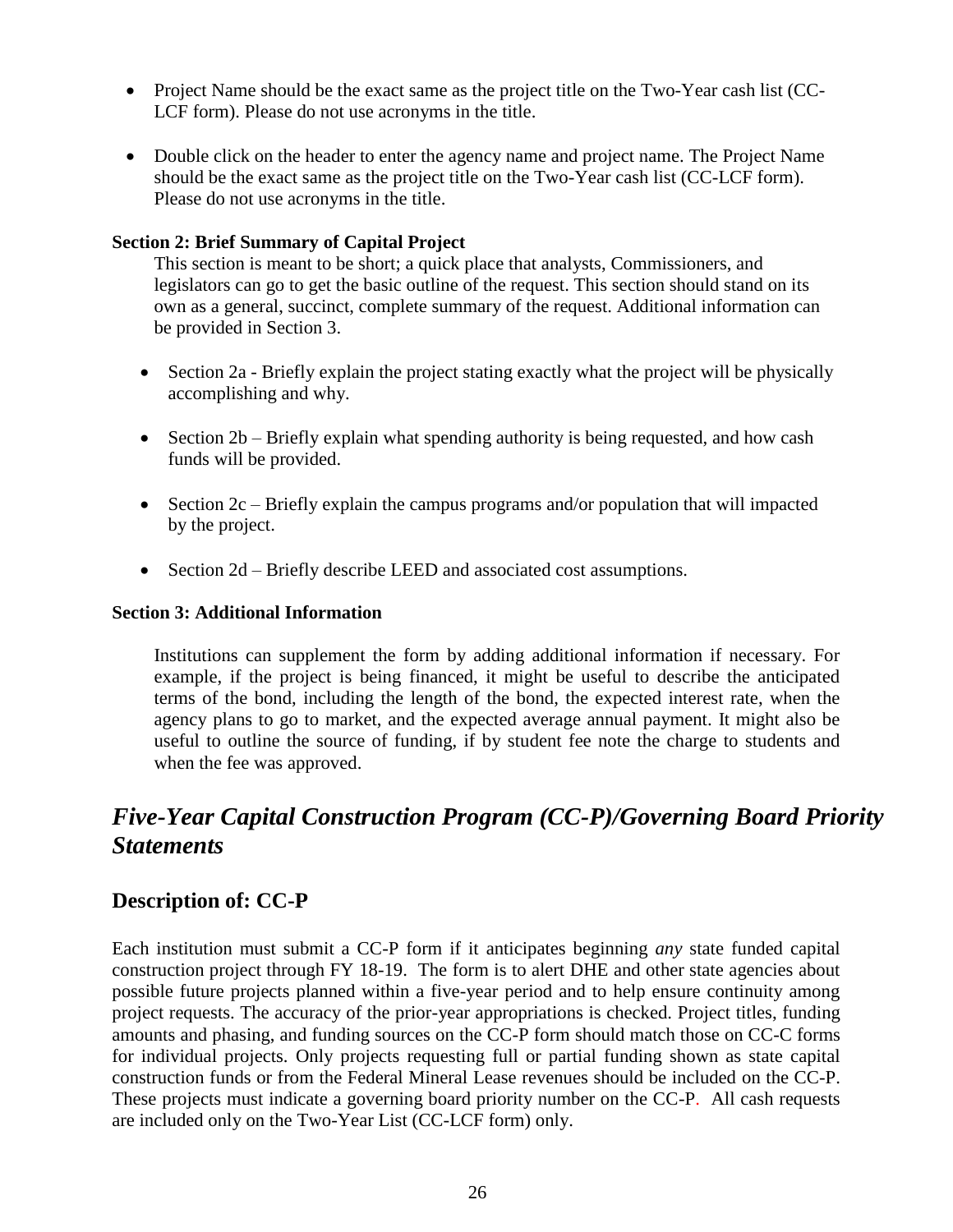- Project Name should be the exact same as the project title on the Two-Year cash list (CC-LCF form). Please do not use acronyms in the title.
- Double click on the header to enter the agency name and project name. The Project Name should be the exact same as the project title on the Two-Year cash list (CC-LCF form). Please do not use acronyms in the title.

#### **Section 2: Brief Summary of Capital Project**

This section is meant to be short; a quick place that analysts, Commissioners, and legislators can go to get the basic outline of the request. This section should stand on its own as a general, succinct, complete summary of the request. Additional information can be provided in Section 3.

- Section 2a Briefly explain the project stating exactly what the project will be physically accomplishing and why.
- $\bullet$  Section 2b Briefly explain what spending authority is being requested, and how cash funds will be provided.
- Section  $2c$  Briefly explain the campus programs and/or population that will impacted by the project.
- Section 2d Briefly describe LEED and associated cost assumptions.

#### **Section 3: Additional Information**

Institutions can supplement the form by adding additional information if necessary. For example, if the project is being financed, it might be useful to describe the anticipated terms of the bond, including the length of the bond, the expected interest rate, when the agency plans to go to market, and the expected average annual payment. It might also be useful to outline the source of funding, if by student fee note the charge to students and when the fee was approved.

# <span id="page-29-0"></span>*Five-Year Capital Construction Program (CC-P)/Governing Board Priority Statements*

### <span id="page-29-1"></span>**Description of: CC-P**

Each institution must submit a CC-P form if it anticipates beginning *any* state funded capital construction project through FY 18-19. The form is to alert DHE and other state agencies about possible future projects planned within a five-year period and to help ensure continuity among project requests. The accuracy of the prior-year appropriations is checked. Project titles, funding amounts and phasing, and funding sources on the CC-P form should match those on CC-C forms for individual projects. Only projects requesting full or partial funding shown as state capital construction funds or from the Federal Mineral Lease revenues should be included on the CC-P. These projects must indicate a governing board priority number on the CC-P. All cash requests are included only on the Two-Year List (CC-LCF form) only.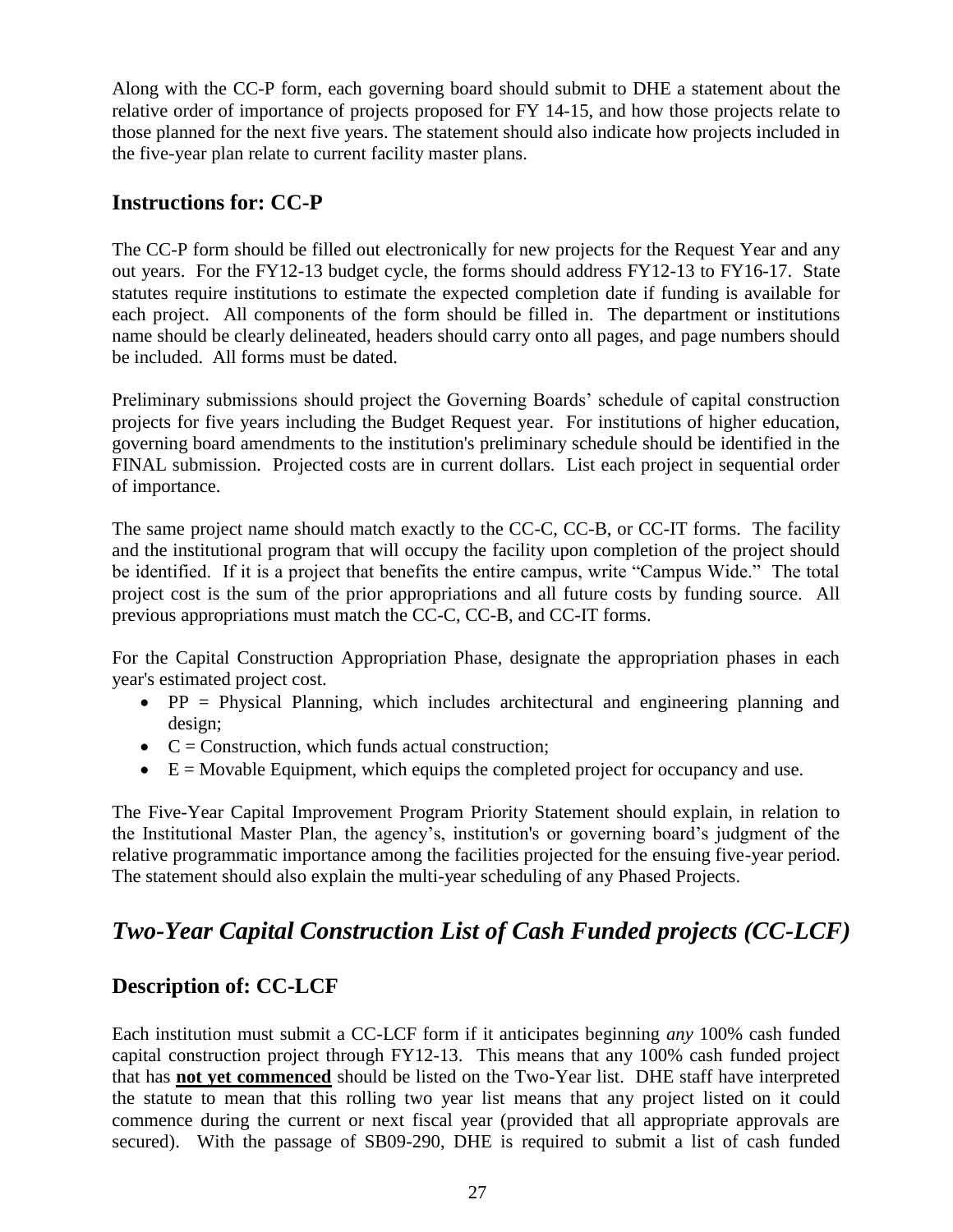Along with the CC-P form, each governing board should submit to DHE a statement about the relative order of importance of projects proposed for FY 14-15, and how those projects relate to those planned for the next five years. The statement should also indicate how projects included in the five-year plan relate to current facility master plans.

### <span id="page-30-0"></span>**Instructions for: CC-P**

The CC-P form should be filled out electronically for new projects for the Request Year and any out years. For the FY12-13 budget cycle, the forms should address FY12-13 to FY16-17. State statutes require institutions to estimate the expected completion date if funding is available for each project. All components of the form should be filled in. The department or institutions name should be clearly delineated, headers should carry onto all pages, and page numbers should be included. All forms must be dated.

Preliminary submissions should project the Governing Boards' schedule of capital construction projects for five years including the Budget Request year. For institutions of higher education, governing board amendments to the institution's preliminary schedule should be identified in the FINAL submission. Projected costs are in current dollars. List each project in sequential order of importance.

The same project name should match exactly to the CC-C, CC-B, or CC-IT forms. The facility and the institutional program that will occupy the facility upon completion of the project should be identified. If it is a project that benefits the entire campus, write "Campus Wide." The total project cost is the sum of the prior appropriations and all future costs by funding source. All previous appropriations must match the CC-C, CC-B, and CC-IT forms.

For the Capital Construction Appropriation Phase, designate the appropriation phases in each year's estimated project cost.

- $\bullet$  PP = Physical Planning, which includes architectural and engineering planning and design;
- $\bullet$   $C =$  Construction, which funds actual construction;
- $\bullet$   $E =$  Movable Equipment, which equips the completed project for occupancy and use.

The Five-Year Capital Improvement Program Priority Statement should explain, in relation to the Institutional Master Plan, the agency's, institution's or governing board's judgment of the relative programmatic importance among the facilities projected for the ensuing five-year period. The statement should also explain the multi-year scheduling of any Phased Projects.

# <span id="page-30-1"></span>*Two-Year Capital Construction List of Cash Funded projects (CC-LCF)*

### <span id="page-30-2"></span>**Description of: CC-LCF**

Each institution must submit a CC-LCF form if it anticipates beginning *any* 100% cash funded capital construction project through FY12-13. This means that any 100% cash funded project that has **not yet commenced** should be listed on the Two-Year list. DHE staff have interpreted the statute to mean that this rolling two year list means that any project listed on it could commence during the current or next fiscal year (provided that all appropriate approvals are secured). With the passage of SB09-290, DHE is required to submit a list of cash funded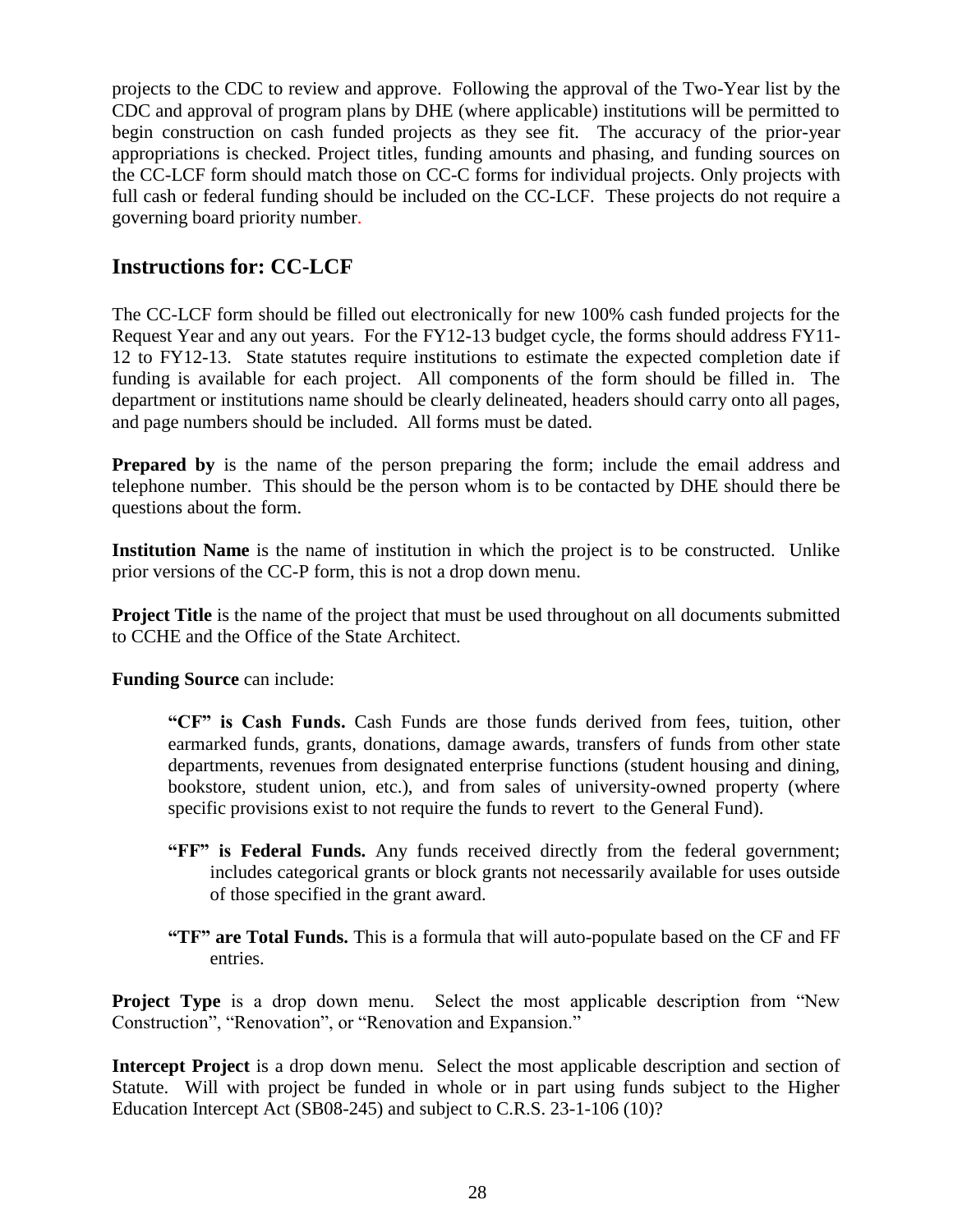projects to the CDC to review and approve. Following the approval of the Two-Year list by the CDC and approval of program plans by DHE (where applicable) institutions will be permitted to begin construction on cash funded projects as they see fit. The accuracy of the prior-year appropriations is checked. Project titles, funding amounts and phasing, and funding sources on the CC-LCF form should match those on CC-C forms for individual projects. Only projects with full cash or federal funding should be included on the CC-LCF. These projects do not require a governing board priority number.

### <span id="page-31-0"></span>**Instructions for: CC-LCF**

The CC-LCF form should be filled out electronically for new 100% cash funded projects for the Request Year and any out years. For the FY12-13 budget cycle, the forms should address FY11- 12 to FY12-13. State statutes require institutions to estimate the expected completion date if funding is available for each project. All components of the form should be filled in. The department or institutions name should be clearly delineated, headers should carry onto all pages, and page numbers should be included. All forms must be dated.

**Prepared by** is the name of the person preparing the form; include the email address and telephone number. This should be the person whom is to be contacted by DHE should there be questions about the form.

**Institution Name** is the name of institution in which the project is to be constructed. Unlike prior versions of the CC-P form, this is not a drop down menu.

**Project Title** is the name of the project that must be used throughout on all documents submitted to CCHE and the Office of the State Architect.

**Funding Source** can include:

**"CF" is Cash Funds.** Cash Funds are those funds derived from fees, tuition, other earmarked funds, grants, donations, damage awards, transfers of funds from other state departments, revenues from designated enterprise functions (student housing and dining, bookstore, student union, etc.), and from sales of university-owned property (where specific provisions exist to not require the funds to revert to the General Fund).

- **"FF" is Federal Funds.** Any funds received directly from the federal government; includes categorical grants or block grants not necessarily available for uses outside of those specified in the grant award.
- **"TF" are Total Funds.** This is a formula that will auto-populate based on the CF and FF entries.

**Project Type** is a drop down menu. Select the most applicable description from "New Construction", "Renovation", or "Renovation and Expansion."

**Intercept Project** is a drop down menu. Select the most applicable description and section of Statute. Will with project be funded in whole or in part using funds subject to the Higher Education Intercept Act (SB08-245) and subject to C.R.S. 23-1-106 (10)?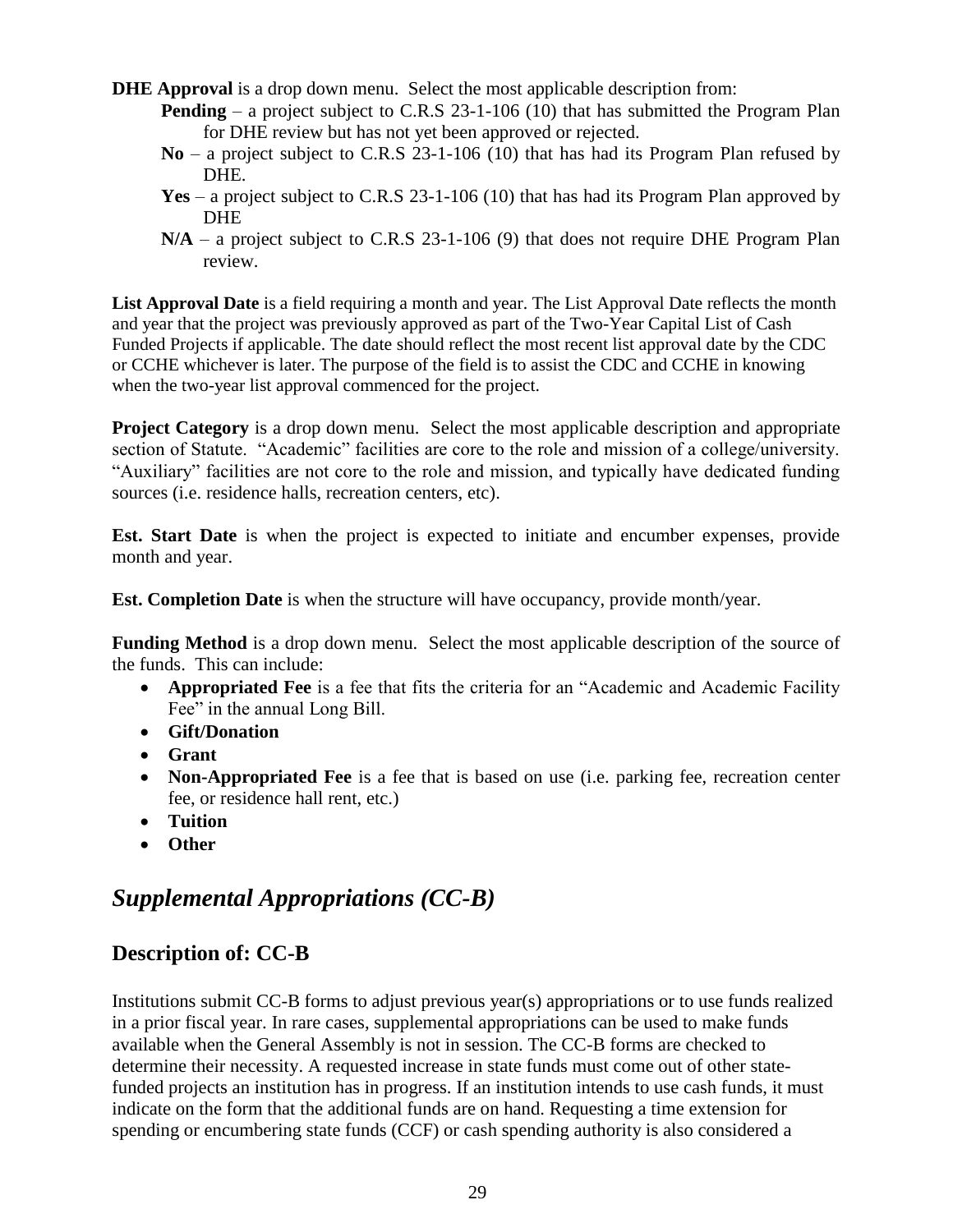- **DHE Approval** is a drop down menu. Select the most applicable description from:
	- **Pending** a project subject to C.R.S 23-1-106 (10) that has submitted the Program Plan for DHE review but has not yet been approved or rejected.
	- **No** a project subject to C.R.S 23-1-106 (10) that has had its Program Plan refused by DHE.
	- **Yes** a project subject to C.R.S 23-1-106 (10) that has had its Program Plan approved by DHE
	- **N/A** a project subject to C.R.S 23-1-106 (9) that does not require DHE Program Plan review.

List Approval Date is a field requiring a month and year. The List Approval Date reflects the month and year that the project was previously approved as part of the Two-Year Capital List of Cash Funded Projects if applicable. The date should reflect the most recent list approval date by the CDC or CCHE whichever is later. The purpose of the field is to assist the CDC and CCHE in knowing when the two-year list approval commenced for the project.

**Project Category** is a drop down menu. Select the most applicable description and appropriate section of Statute. "Academic" facilities are core to the role and mission of a college/university. "Auxiliary" facilities are not core to the role and mission, and typically have dedicated funding sources (i.e. residence halls, recreation centers, etc).

**Est. Start Date** is when the project is expected to initiate and encumber expenses, provide month and year.

**Est. Completion Date** is when the structure will have occupancy, provide month/year.

**Funding Method** is a drop down menu. Select the most applicable description of the source of the funds. This can include:

- **Appropriated Fee** is a fee that fits the criteria for an "Academic and Academic Facility Fee" in the annual Long Bill.
- **Gift/Donation**
- **Grant**
- **Non-Appropriated Fee** is a fee that is based on use (i.e. parking fee, recreation center fee, or residence hall rent, etc.)
- **Tuition**
- **Other**

### <span id="page-32-0"></span>*Supplemental Appropriations (CC-B)*

#### <span id="page-32-1"></span>**Description of: CC-B**

Institutions submit CC-B forms to adjust previous year(s) appropriations or to use funds realized in a prior fiscal year. In rare cases, supplemental appropriations can be used to make funds available when the General Assembly is not in session. The CC-B forms are checked to determine their necessity. A requested increase in state funds must come out of other statefunded projects an institution has in progress. If an institution intends to use cash funds, it must indicate on the form that the additional funds are on hand. Requesting a time extension for spending or encumbering state funds (CCF) or cash spending authority is also considered a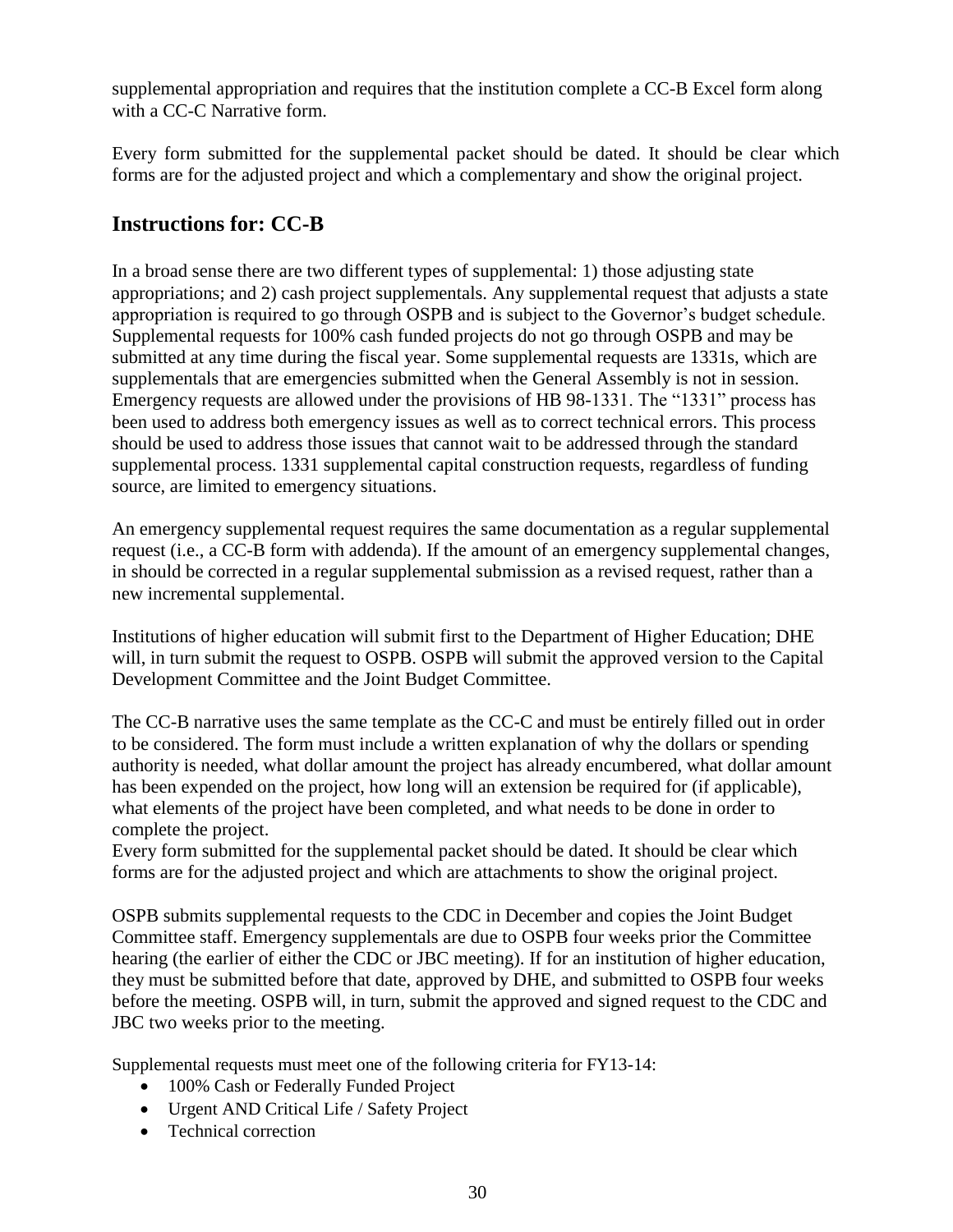supplemental appropriation and requires that the institution complete a CC-B Excel form along with a CC-C Narrative form.

Every form submitted for the supplemental packet should be dated. It should be clear which forms are for the adjusted project and which a complementary and show the original project.

### <span id="page-33-0"></span>**Instructions for: CC-B**

In a broad sense there are two different types of supplemental: 1) those adjusting state appropriations; and 2) cash project supplementals. Any supplemental request that adjusts a state appropriation is required to go through OSPB and is subject to the Governor's budget schedule. Supplemental requests for 100% cash funded projects do not go through OSPB and may be submitted at any time during the fiscal year. Some supplemental requests are 1331s, which are supplementals that are emergencies submitted when the General Assembly is not in session. Emergency requests are allowed under the provisions of HB 98-1331. The "1331" process has been used to address both emergency issues as well as to correct technical errors. This process should be used to address those issues that cannot wait to be addressed through the standard supplemental process. 1331 supplemental capital construction requests, regardless of funding source, are limited to emergency situations.

An emergency supplemental request requires the same documentation as a regular supplemental request (i.e., a CC-B form with addenda). If the amount of an emergency supplemental changes, in should be corrected in a regular supplemental submission as a revised request, rather than a new incremental supplemental.

Institutions of higher education will submit first to the Department of Higher Education; DHE will, in turn submit the request to OSPB. OSPB will submit the approved version to the Capital Development Committee and the Joint Budget Committee.

The CC-B narrative uses the same template as the CC-C and must be entirely filled out in order to be considered. The form must include a written explanation of why the dollars or spending authority is needed, what dollar amount the project has already encumbered, what dollar amount has been expended on the project, how long will an extension be required for (if applicable), what elements of the project have been completed, and what needs to be done in order to complete the project.

Every form submitted for the supplemental packet should be dated. It should be clear which forms are for the adjusted project and which are attachments to show the original project.

OSPB submits supplemental requests to the CDC in December and copies the Joint Budget Committee staff. Emergency supplementals are due to OSPB four weeks prior the Committee hearing (the earlier of either the CDC or JBC meeting). If for an institution of higher education, they must be submitted before that date, approved by DHE, and submitted to OSPB four weeks before the meeting. OSPB will, in turn, submit the approved and signed request to the CDC and JBC two weeks prior to the meeting.

Supplemental requests must meet one of the following criteria for FY13-14:

- 100% Cash or Federally Funded Project
- Urgent AND Critical Life / Safety Project
- Technical correction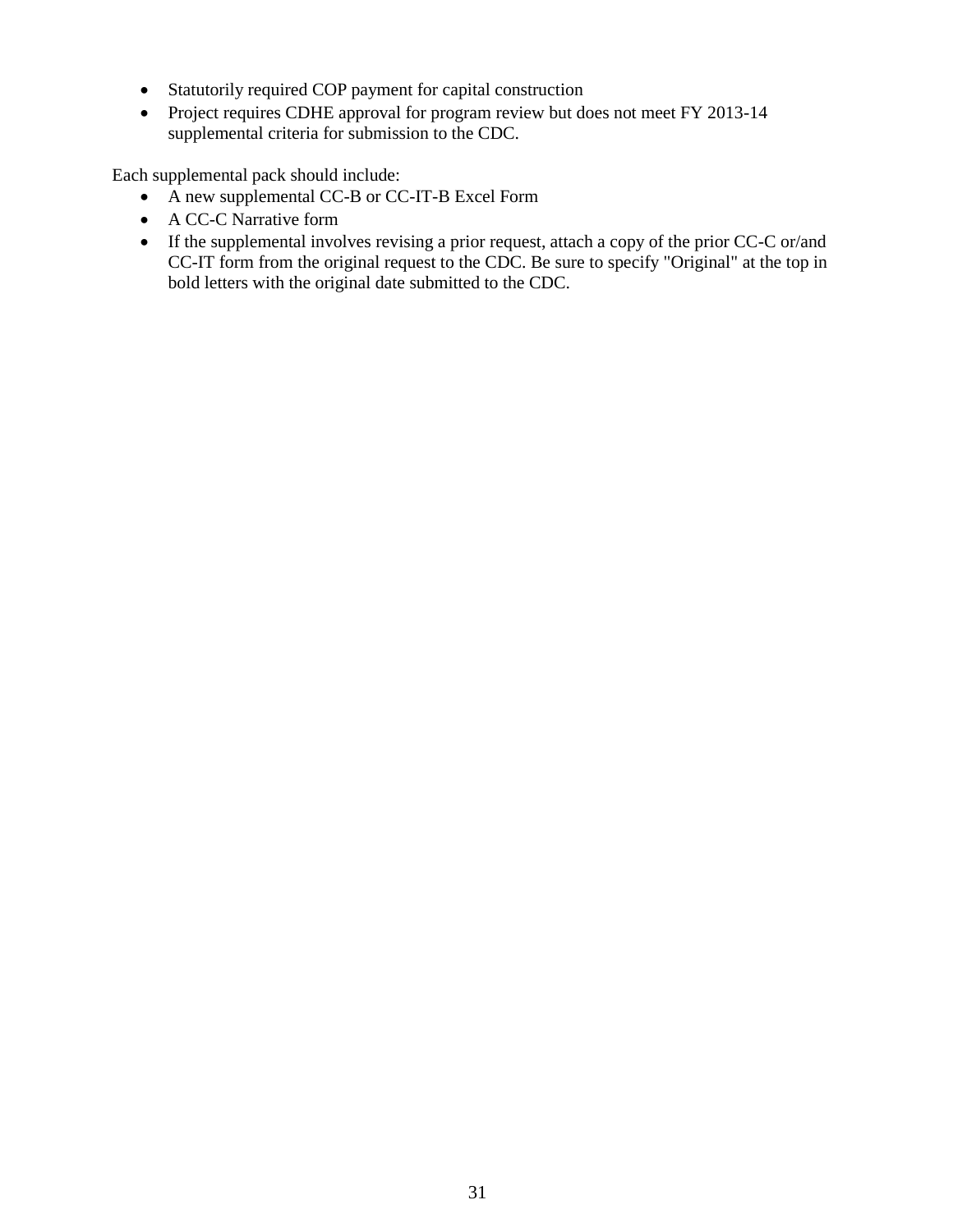- Statutorily required COP payment for capital construction
- Project requires CDHE approval for program review but does not meet FY 2013-14 supplemental criteria for submission to the CDC.

Each supplemental pack should include:

- A new supplemental CC-B or CC-IT-B Excel Form
- A CC-C Narrative form
- If the supplemental involves revising a prior request, attach a copy of the prior CC-C or/and CC-IT form from the original request to the CDC. Be sure to specify "Original" at the top in bold letters with the original date submitted to the CDC.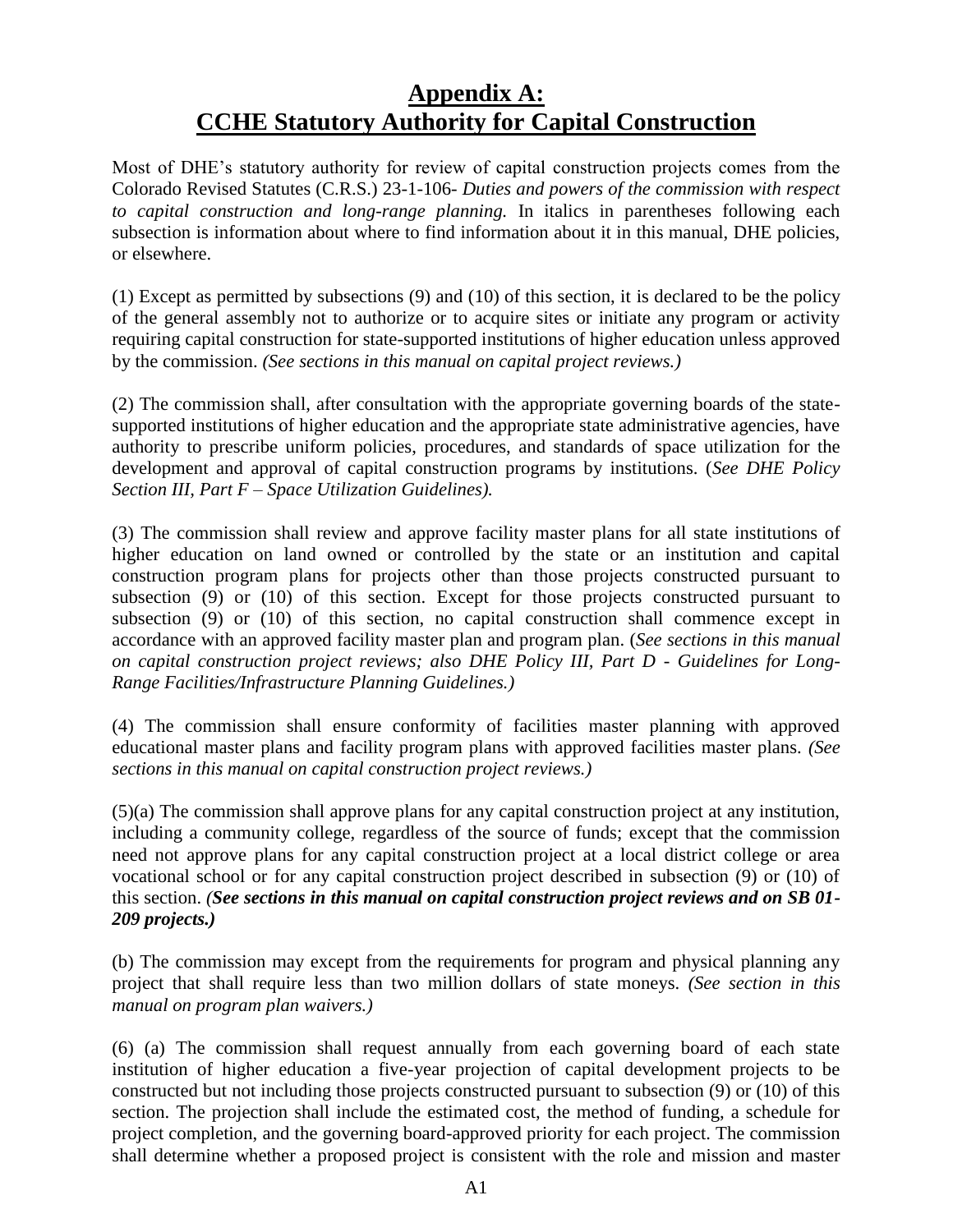# **Appendix A: CCHE Statutory Authority for Capital Construction**

<span id="page-35-0"></span>Most of DHE's statutory authority for review of capital construction projects comes from the Colorado Revised Statutes (C.R.S.) 23-1-106- *Duties and powers of the commission with respect to capital construction and long-range planning.* In italics in parentheses following each subsection is information about where to find information about it in this manual, DHE policies, or elsewhere.

(1) Except as permitted by subsections (9) and (10) of this section, it is declared to be the policy of the general assembly not to authorize or to acquire sites or initiate any program or activity requiring capital construction for state-supported institutions of higher education unless approved by the commission. *(See sections in this manual on capital project reviews.)*

(2) The commission shall, after consultation with the appropriate governing boards of the statesupported institutions of higher education and the appropriate state administrative agencies, have authority to prescribe uniform policies, procedures, and standards of space utilization for the development and approval of capital construction programs by institutions. (*See DHE Policy Section III, Part F – Space Utilization Guidelines).*

(3) The commission shall review and approve facility master plans for all state institutions of higher education on land owned or controlled by the state or an institution and capital construction program plans for projects other than those projects constructed pursuant to subsection (9) or (10) of this section. Except for those projects constructed pursuant to subsection (9) or (10) of this section, no capital construction shall commence except in accordance with an approved facility master plan and program plan. (*See sections in this manual on capital construction project reviews; also DHE Policy III, Part D - Guidelines for Long-Range Facilities/Infrastructure Planning Guidelines.)*

(4) The commission shall ensure conformity of facilities master planning with approved educational master plans and facility program plans with approved facilities master plans. *(See sections in this manual on capital construction project reviews.)*

(5)(a) The commission shall approve plans for any capital construction project at any institution, including a community college, regardless of the source of funds; except that the commission need not approve plans for any capital construction project at a local district college or area vocational school or for any capital construction project described in subsection (9) or (10) of this section. *(See sections in this manual on capital construction project reviews and on SB 01- 209 projects.)*

(b) The commission may except from the requirements for program and physical planning any project that shall require less than two million dollars of state moneys. *(See section in this manual on program plan waivers.)*

(6) (a) The commission shall request annually from each governing board of each state institution of higher education a five-year projection of capital development projects to be constructed but not including those projects constructed pursuant to subsection (9) or (10) of this section. The projection shall include the estimated cost, the method of funding, a schedule for project completion, and the governing board-approved priority for each project. The commission shall determine whether a proposed project is consistent with the role and mission and master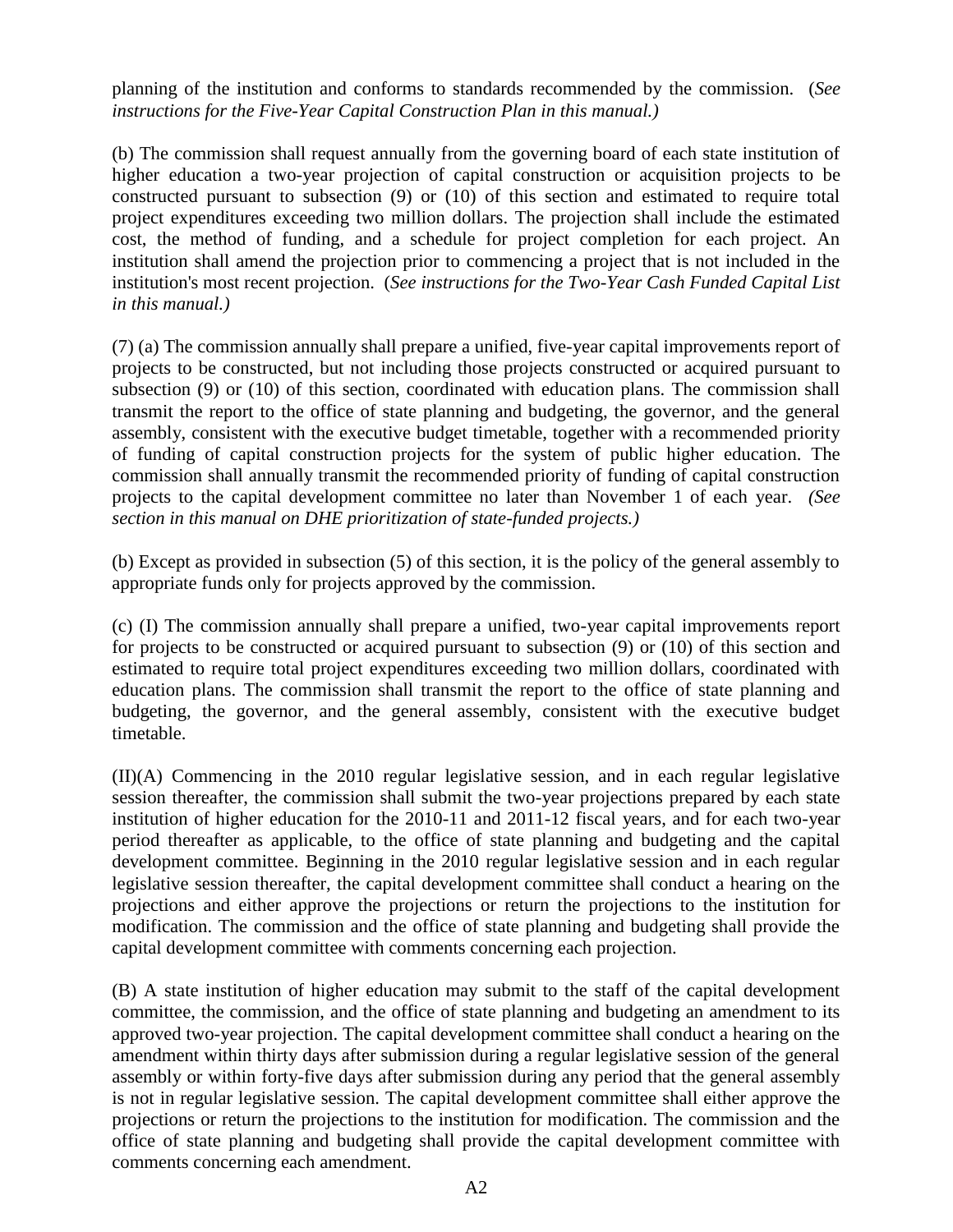planning of the institution and conforms to standards recommended by the commission. (*See instructions for the Five-Year Capital Construction Plan in this manual.)*

(b) The commission shall request annually from the governing board of each state institution of higher education a two-year projection of capital construction or acquisition projects to be constructed pursuant to subsection (9) or (10) of this section and estimated to require total project expenditures exceeding two million dollars. The projection shall include the estimated cost, the method of funding, and a schedule for project completion for each project. An institution shall amend the projection prior to commencing a project that is not included in the institution's most recent projection. (*See instructions for the Two-Year Cash Funded Capital List in this manual.)*

(7) (a) The commission annually shall prepare a unified, five-year capital improvements report of projects to be constructed, but not including those projects constructed or acquired pursuant to subsection (9) or (10) of this section, coordinated with education plans. The commission shall transmit the report to the office of state planning and budgeting, the governor, and the general assembly, consistent with the executive budget timetable, together with a recommended priority of funding of capital construction projects for the system of public higher education. The commission shall annually transmit the recommended priority of funding of capital construction projects to the capital development committee no later than November 1 of each year. *(See section in this manual on DHE prioritization of state-funded projects.)*

(b) Except as provided in subsection (5) of this section, it is the policy of the general assembly to appropriate funds only for projects approved by the commission.

(c) (I) The commission annually shall prepare a unified, two-year capital improvements report for projects to be constructed or acquired pursuant to subsection (9) or (10) of this section and estimated to require total project expenditures exceeding two million dollars, coordinated with education plans. The commission shall transmit the report to the office of state planning and budgeting, the governor, and the general assembly, consistent with the executive budget timetable.

(II)(A) Commencing in the 2010 regular legislative session, and in each regular legislative session thereafter, the commission shall submit the two-year projections prepared by each state institution of higher education for the 2010-11 and 2011-12 fiscal years, and for each two-year period thereafter as applicable, to the office of state planning and budgeting and the capital development committee. Beginning in the 2010 regular legislative session and in each regular legislative session thereafter, the capital development committee shall conduct a hearing on the projections and either approve the projections or return the projections to the institution for modification. The commission and the office of state planning and budgeting shall provide the capital development committee with comments concerning each projection.

(B) A state institution of higher education may submit to the staff of the capital development committee, the commission, and the office of state planning and budgeting an amendment to its approved two-year projection. The capital development committee shall conduct a hearing on the amendment within thirty days after submission during a regular legislative session of the general assembly or within forty-five days after submission during any period that the general assembly is not in regular legislative session. The capital development committee shall either approve the projections or return the projections to the institution for modification. The commission and the office of state planning and budgeting shall provide the capital development committee with comments concerning each amendment.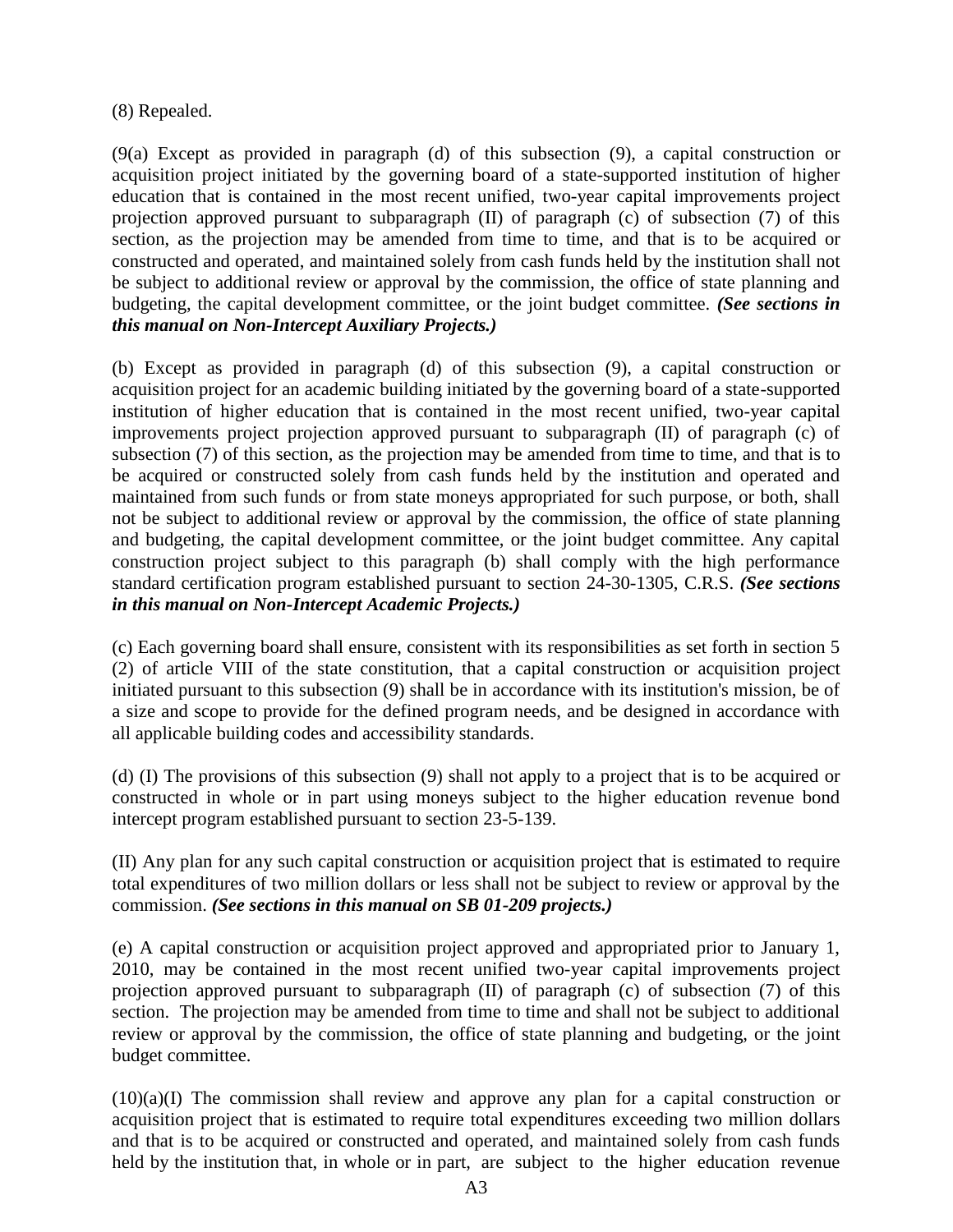#### (8) Repealed.

(9(a) Except as provided in paragraph (d) of this subsection (9), a capital construction or acquisition project initiated by the governing board of a state-supported institution of higher education that is contained in the most recent unified, two-year capital improvements project projection approved pursuant to subparagraph (II) of paragraph (c) of subsection (7) of this section, as the projection may be amended from time to time, and that is to be acquired or constructed and operated, and maintained solely from cash funds held by the institution shall not be subject to additional review or approval by the commission, the office of state planning and budgeting, the capital development committee, or the joint budget committee. *(See sections in this manual on Non-Intercept Auxiliary Projects.)*

(b) Except as provided in paragraph (d) of this subsection (9), a capital construction or acquisition project for an academic building initiated by the governing board of a state-supported institution of higher education that is contained in the most recent unified, two-year capital improvements project projection approved pursuant to subparagraph (II) of paragraph (c) of subsection (7) of this section, as the projection may be amended from time to time, and that is to be acquired or constructed solely from cash funds held by the institution and operated and maintained from such funds or from state moneys appropriated for such purpose, or both, shall not be subject to additional review or approval by the commission, the office of state planning and budgeting, the capital development committee, or the joint budget committee. Any capital construction project subject to this paragraph (b) shall comply with the high performance standard certification program established pursuant to section 24-30-1305, C.R.S. *(See sections in this manual on Non-Intercept Academic Projects.)*

(c) Each governing board shall ensure, consistent with its responsibilities as set forth in section 5 (2) of article VIII of the state constitution, that a capital construction or acquisition project initiated pursuant to this subsection (9) shall be in accordance with its institution's mission, be of a size and scope to provide for the defined program needs, and be designed in accordance with all applicable building codes and accessibility standards.

(d) (I) The provisions of this subsection (9) shall not apply to a project that is to be acquired or constructed in whole or in part using moneys subject to the higher education revenue bond intercept program established pursuant to section 23-5-139.

(II) Any plan for any such capital construction or acquisition project that is estimated to require total expenditures of two million dollars or less shall not be subject to review or approval by the commission. *(See sections in this manual on SB 01-209 projects.)*

(e) A capital construction or acquisition project approved and appropriated prior to January 1, 2010, may be contained in the most recent unified two-year capital improvements project projection approved pursuant to subparagraph (II) of paragraph (c) of subsection (7) of this section. The projection may be amended from time to time and shall not be subject to additional review or approval by the commission, the office of state planning and budgeting, or the joint budget committee.

(10)(a)(I) The commission shall review and approve any plan for a capital construction or acquisition project that is estimated to require total expenditures exceeding two million dollars and that is to be acquired or constructed and operated, and maintained solely from cash funds held by the institution that, in whole or in part, are subject to the higher education revenue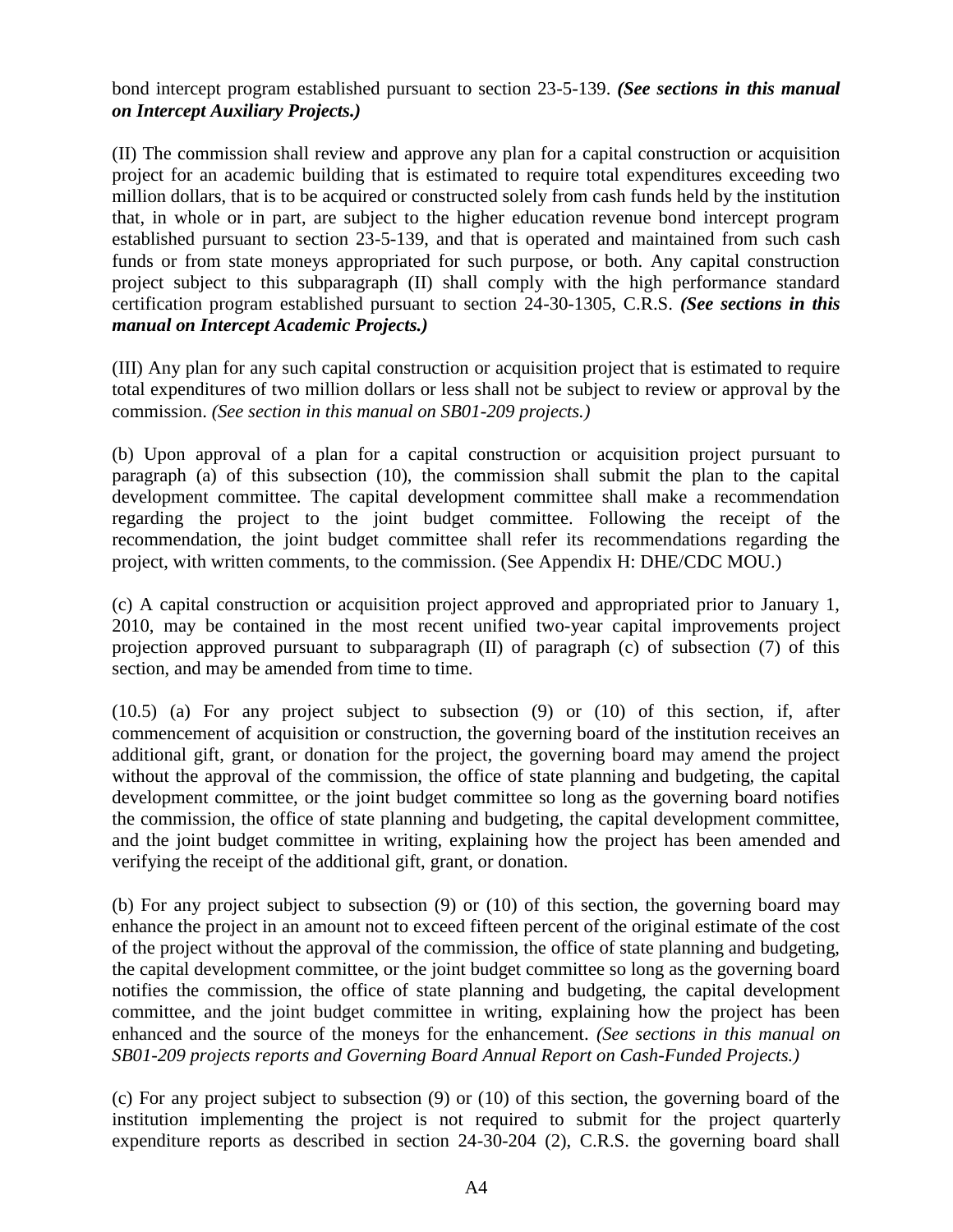bond intercept program established pursuant to section 23-5-139. *(See sections in this manual on Intercept Auxiliary Projects.)*

(II) The commission shall review and approve any plan for a capital construction or acquisition project for an academic building that is estimated to require total expenditures exceeding two million dollars, that is to be acquired or constructed solely from cash funds held by the institution that, in whole or in part, are subject to the higher education revenue bond intercept program established pursuant to section 23-5-139, and that is operated and maintained from such cash funds or from state moneys appropriated for such purpose, or both. Any capital construction project subject to this subparagraph (II) shall comply with the high performance standard certification program established pursuant to section 24-30-1305, C.R.S. *(See sections in this manual on Intercept Academic Projects.)*

(III) Any plan for any such capital construction or acquisition project that is estimated to require total expenditures of two million dollars or less shall not be subject to review or approval by the commission. *(See section in this manual on SB01-209 projects.)*

(b) Upon approval of a plan for a capital construction or acquisition project pursuant to paragraph (a) of this subsection (10), the commission shall submit the plan to the capital development committee. The capital development committee shall make a recommendation regarding the project to the joint budget committee. Following the receipt of the recommendation, the joint budget committee shall refer its recommendations regarding the project, with written comments, to the commission. (See Appendix H: DHE/CDC MOU.)

(c) A capital construction or acquisition project approved and appropriated prior to January 1, 2010, may be contained in the most recent unified two-year capital improvements project projection approved pursuant to subparagraph (II) of paragraph (c) of subsection (7) of this section, and may be amended from time to time.

(10.5) (a) For any project subject to subsection (9) or (10) of this section, if, after commencement of acquisition or construction, the governing board of the institution receives an additional gift, grant, or donation for the project, the governing board may amend the project without the approval of the commission, the office of state planning and budgeting, the capital development committee, or the joint budget committee so long as the governing board notifies the commission, the office of state planning and budgeting, the capital development committee, and the joint budget committee in writing, explaining how the project has been amended and verifying the receipt of the additional gift, grant, or donation.

(b) For any project subject to subsection (9) or (10) of this section, the governing board may enhance the project in an amount not to exceed fifteen percent of the original estimate of the cost of the project without the approval of the commission, the office of state planning and budgeting, the capital development committee, or the joint budget committee so long as the governing board notifies the commission, the office of state planning and budgeting, the capital development committee, and the joint budget committee in writing, explaining how the project has been enhanced and the source of the moneys for the enhancement. *(See sections in this manual on SB01-209 projects reports and Governing Board Annual Report on Cash-Funded Projects.)*

(c) For any project subject to subsection (9) or (10) of this section, the governing board of the institution implementing the project is not required to submit for the project quarterly expenditure reports as described in section 24-30-204 (2), C.R.S. the governing board shall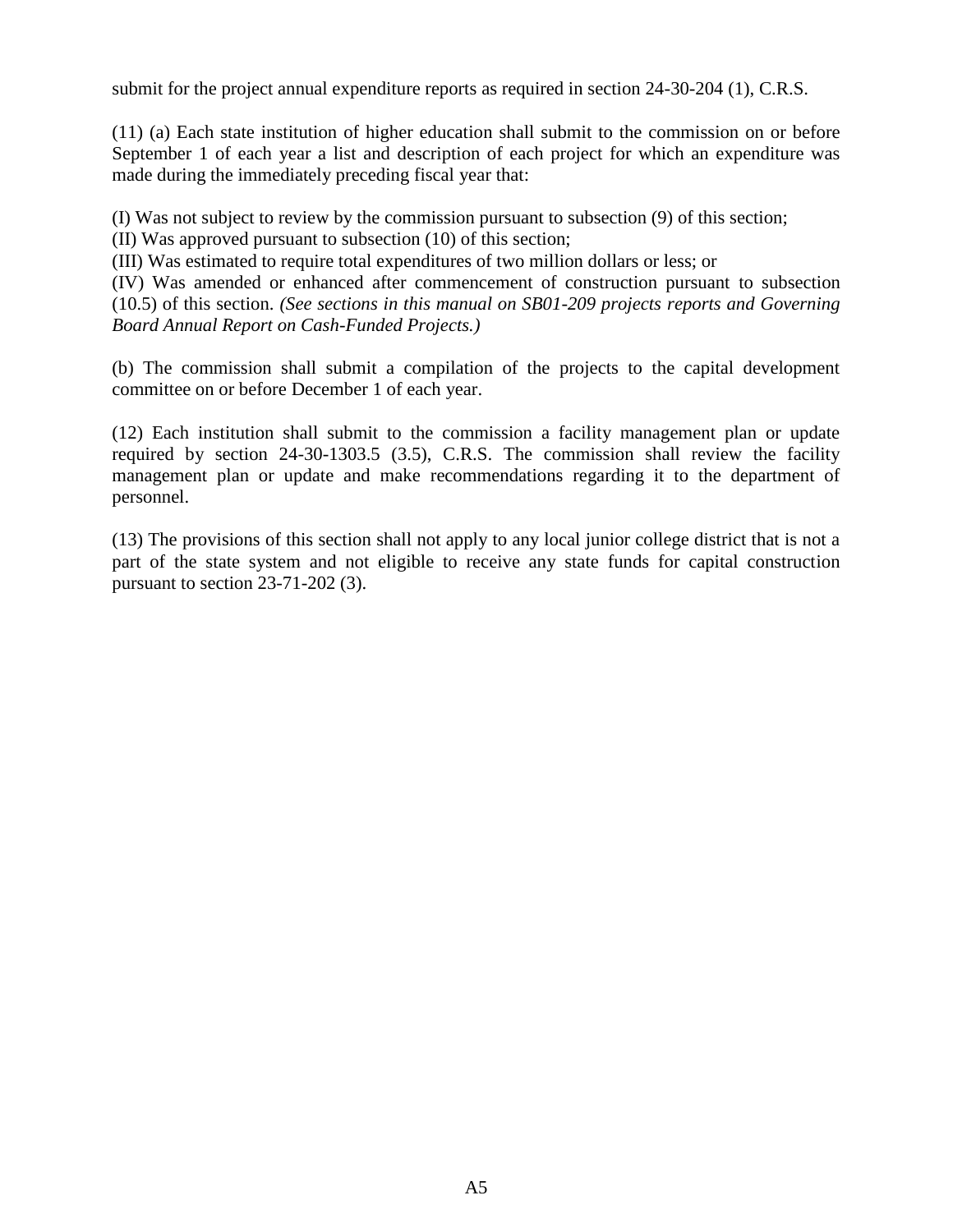submit for the project annual expenditure reports as required in section 24-30-204 (1), C.R.S.

(11) (a) Each state institution of higher education shall submit to the commission on or before September 1 of each year a list and description of each project for which an expenditure was made during the immediately preceding fiscal year that:

(I) Was not subject to review by the commission pursuant to subsection (9) of this section;

(II) Was approved pursuant to subsection (10) of this section;

(III) Was estimated to require total expenditures of two million dollars or less; or

(IV) Was amended or enhanced after commencement of construction pursuant to subsection (10.5) of this section. *(See sections in this manual on SB01-209 projects reports and Governing Board Annual Report on Cash-Funded Projects.)*

(b) The commission shall submit a compilation of the projects to the capital development committee on or before December 1 of each year.

(12) Each institution shall submit to the commission a facility management plan or update required by section 24-30-1303.5 (3.5), C.R.S. The commission shall review the facility management plan or update and make recommendations regarding it to the department of personnel.

(13) The provisions of this section shall not apply to any local junior college district that is not a part of the state system and not eligible to receive any state funds for capital construction pursuant to section 23-71-202 (3).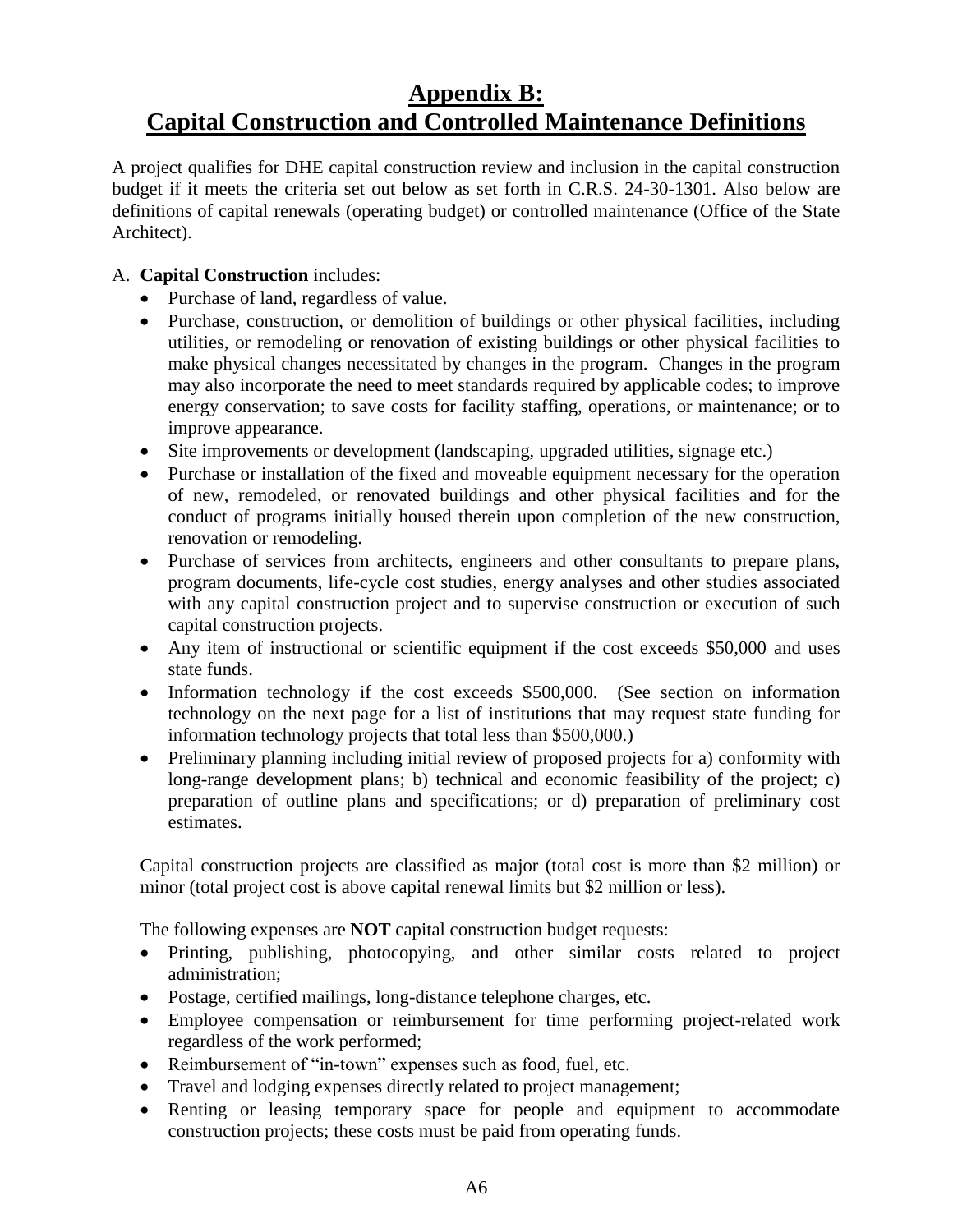# <span id="page-40-0"></span>**Appendix B: Capital Construction and Controlled Maintenance Definitions**

A project qualifies for DHE capital construction review and inclusion in the capital construction budget if it meets the criteria set out below as set forth in C.R.S. 24-30-1301. Also below are definitions of capital renewals (operating budget) or controlled maintenance (Office of the State Architect).

#### A. **Capital Construction** includes:

- Purchase of land, regardless of value.
- Purchase, construction, or demolition of buildings or other physical facilities, including utilities, or remodeling or renovation of existing buildings or other physical facilities to make physical changes necessitated by changes in the program. Changes in the program may also incorporate the need to meet standards required by applicable codes; to improve energy conservation; to save costs for facility staffing, operations, or maintenance; or to improve appearance.
- Site improvements or development (landscaping, upgraded utilities, signage etc.)
- Purchase or installation of the fixed and moveable equipment necessary for the operation of new, remodeled, or renovated buildings and other physical facilities and for the conduct of programs initially housed therein upon completion of the new construction, renovation or remodeling.
- Purchase of services from architects, engineers and other consultants to prepare plans, program documents, life-cycle cost studies, energy analyses and other studies associated with any capital construction project and to supervise construction or execution of such capital construction projects.
- Any item of instructional or scientific equipment if the cost exceeds \$50,000 and uses state funds.
- Information technology if the cost exceeds \$500,000. (See section on information technology on the next page for a list of institutions that may request state funding for information technology projects that total less than \$500,000.)
- Preliminary planning including initial review of proposed projects for a) conformity with long-range development plans; b) technical and economic feasibility of the project; c) preparation of outline plans and specifications; or d) preparation of preliminary cost estimates.

Capital construction projects are classified as major (total cost is more than \$2 million) or minor (total project cost is above capital renewal limits but \$2 million or less).

The following expenses are **NOT** capital construction budget requests:

- Printing, publishing, photocopying, and other similar costs related to project administration;
- Postage, certified mailings, long-distance telephone charges, etc.
- Employee compensation or reimbursement for time performing project-related work regardless of the work performed;
- Reimbursement of "in-town" expenses such as food, fuel, etc.
- Travel and lodging expenses directly related to project management;
- Renting or leasing temporary space for people and equipment to accommodate construction projects; these costs must be paid from operating funds.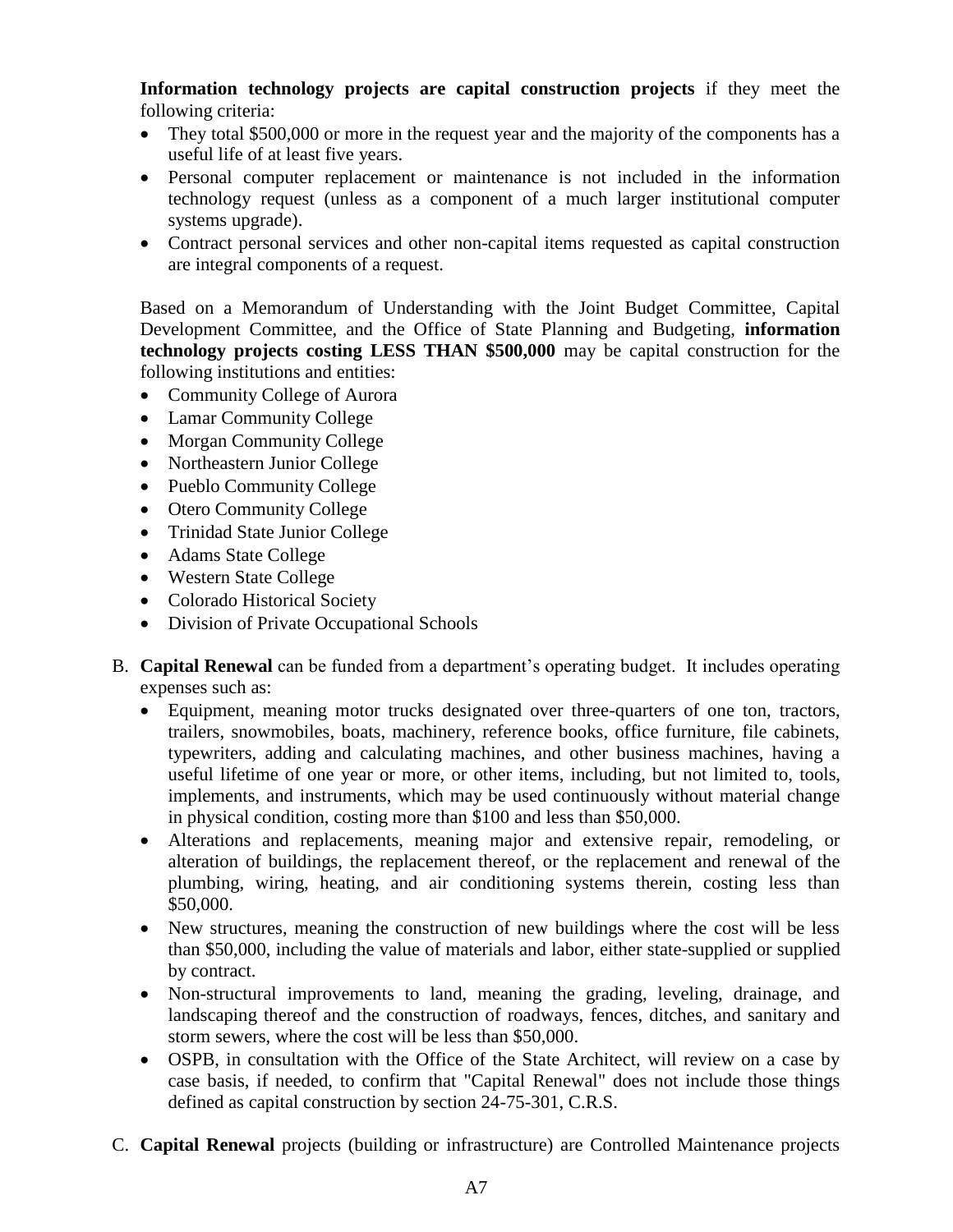**Information technology projects are capital construction projects** if they meet the following criteria:

- They total \$500,000 or more in the request year and the majority of the components has a useful life of at least five years.
- Personal computer replacement or maintenance is not included in the information technology request (unless as a component of a much larger institutional computer systems upgrade).
- Contract personal services and other non-capital items requested as capital construction are integral components of a request.

Based on a Memorandum of Understanding with the Joint Budget Committee, Capital Development Committee, and the Office of State Planning and Budgeting, **information technology projects costing LESS THAN \$500,000** may be capital construction for the following institutions and entities:

- Community College of Aurora
- Lamar Community College
- Morgan Community College
- Northeastern Junior College
- Pueblo Community College
- Otero Community College
- Trinidad State Junior College
- Adams State College
- Western State College
- Colorado Historical Society
- Division of Private Occupational Schools
- B. **Capital Renewal** can be funded from a department's operating budget. It includes operating expenses such as:
	- Equipment, meaning motor trucks designated over three-quarters of one ton, tractors, trailers, snowmobiles, boats, machinery, reference books, office furniture, file cabinets, typewriters, adding and calculating machines, and other business machines, having a useful lifetime of one year or more, or other items, including, but not limited to, tools, implements, and instruments, which may be used continuously without material change in physical condition, costing more than \$100 and less than \$50,000.
	- Alterations and replacements, meaning major and extensive repair, remodeling, or alteration of buildings, the replacement thereof, or the replacement and renewal of the plumbing, wiring, heating, and air conditioning systems therein, costing less than \$50,000.
	- New structures, meaning the construction of new buildings where the cost will be less than \$50,000, including the value of materials and labor, either state-supplied or supplied by contract.
	- Non-structural improvements to land, meaning the grading, leveling, drainage, and landscaping thereof and the construction of roadways, fences, ditches, and sanitary and storm sewers, where the cost will be less than \$50,000.
	- OSPB, in consultation with the Office of the State Architect, will review on a case by case basis, if needed, to confirm that "Capital Renewal" does not include those things defined as capital construction by section 24-75-301, C.R.S.
- C. **Capital Renewal** projects (building or infrastructure) are Controlled Maintenance projects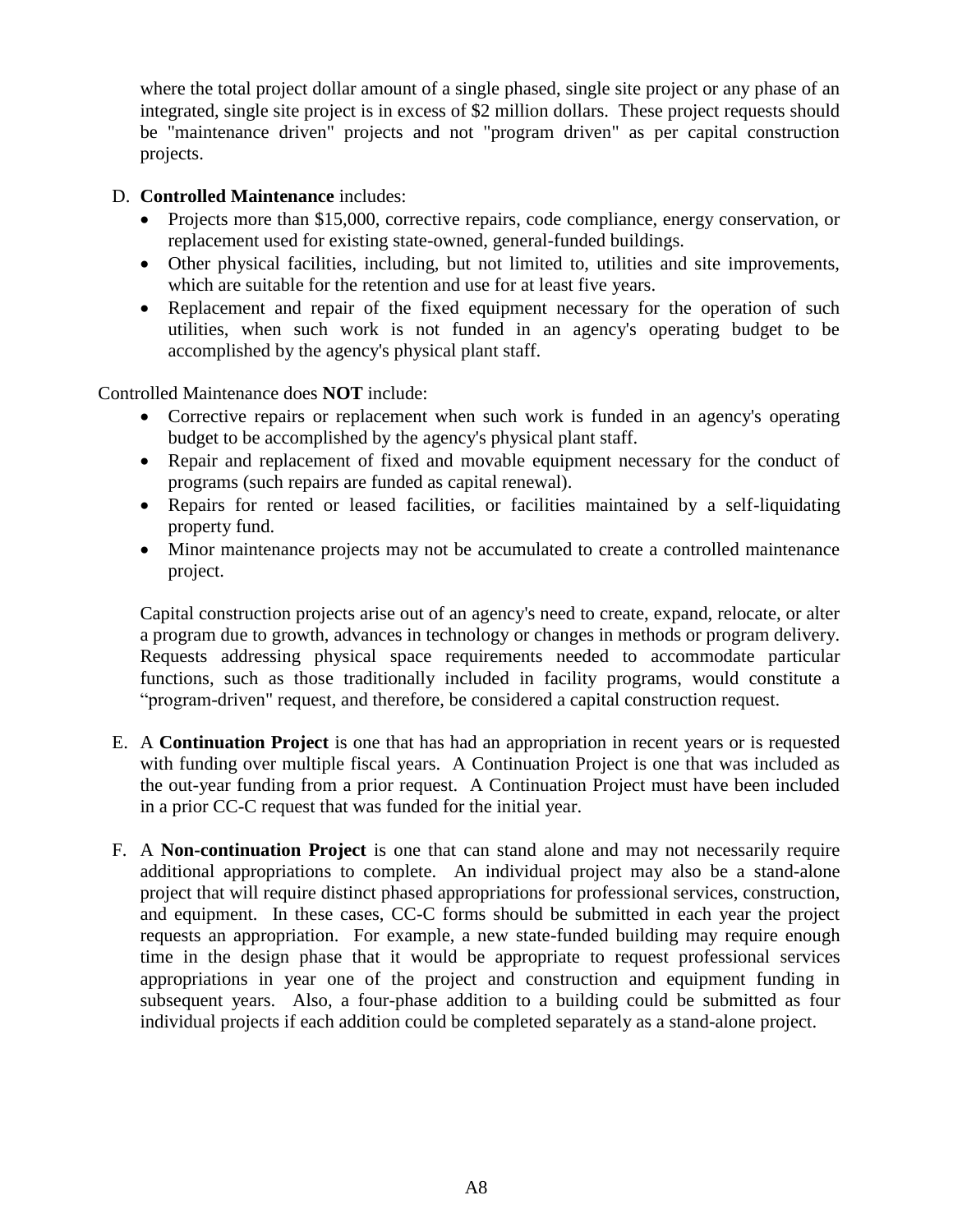where the total project dollar amount of a single phased, single site project or any phase of an integrated, single site project is in excess of \$2 million dollars. These project requests should be "maintenance driven" projects and not "program driven" as per capital construction projects.

- D. **Controlled Maintenance** includes:
	- Projects more than \$15,000, corrective repairs, code compliance, energy conservation, or replacement used for existing state-owned, general-funded buildings.
	- Other physical facilities, including, but not limited to, utilities and site improvements, which are suitable for the retention and use for at least five years.
	- Replacement and repair of the fixed equipment necessary for the operation of such utilities, when such work is not funded in an agency's operating budget to be accomplished by the agency's physical plant staff.

Controlled Maintenance does **NOT** include:

- Corrective repairs or replacement when such work is funded in an agency's operating budget to be accomplished by the agency's physical plant staff.
- Repair and replacement of fixed and movable equipment necessary for the conduct of programs (such repairs are funded as capital renewal).
- Repairs for rented or leased facilities, or facilities maintained by a self-liquidating property fund.
- Minor maintenance projects may not be accumulated to create a controlled maintenance project.

Capital construction projects arise out of an agency's need to create, expand, relocate, or alter a program due to growth, advances in technology or changes in methods or program delivery. Requests addressing physical space requirements needed to accommodate particular functions, such as those traditionally included in facility programs, would constitute a "program-driven" request, and therefore, be considered a capital construction request.

- E. A **Continuation Project** is one that has had an appropriation in recent years or is requested with funding over multiple fiscal years. A Continuation Project is one that was included as the out-year funding from a prior request. A Continuation Project must have been included in a prior CC-C request that was funded for the initial year.
- F. A **Non-continuation Project** is one that can stand alone and may not necessarily require additional appropriations to complete. An individual project may also be a stand-alone project that will require distinct phased appropriations for professional services, construction, and equipment. In these cases, CC-C forms should be submitted in each year the project requests an appropriation. For example, a new state-funded building may require enough time in the design phase that it would be appropriate to request professional services appropriations in year one of the project and construction and equipment funding in subsequent years. Also, a four-phase addition to a building could be submitted as four individual projects if each addition could be completed separately as a stand-alone project.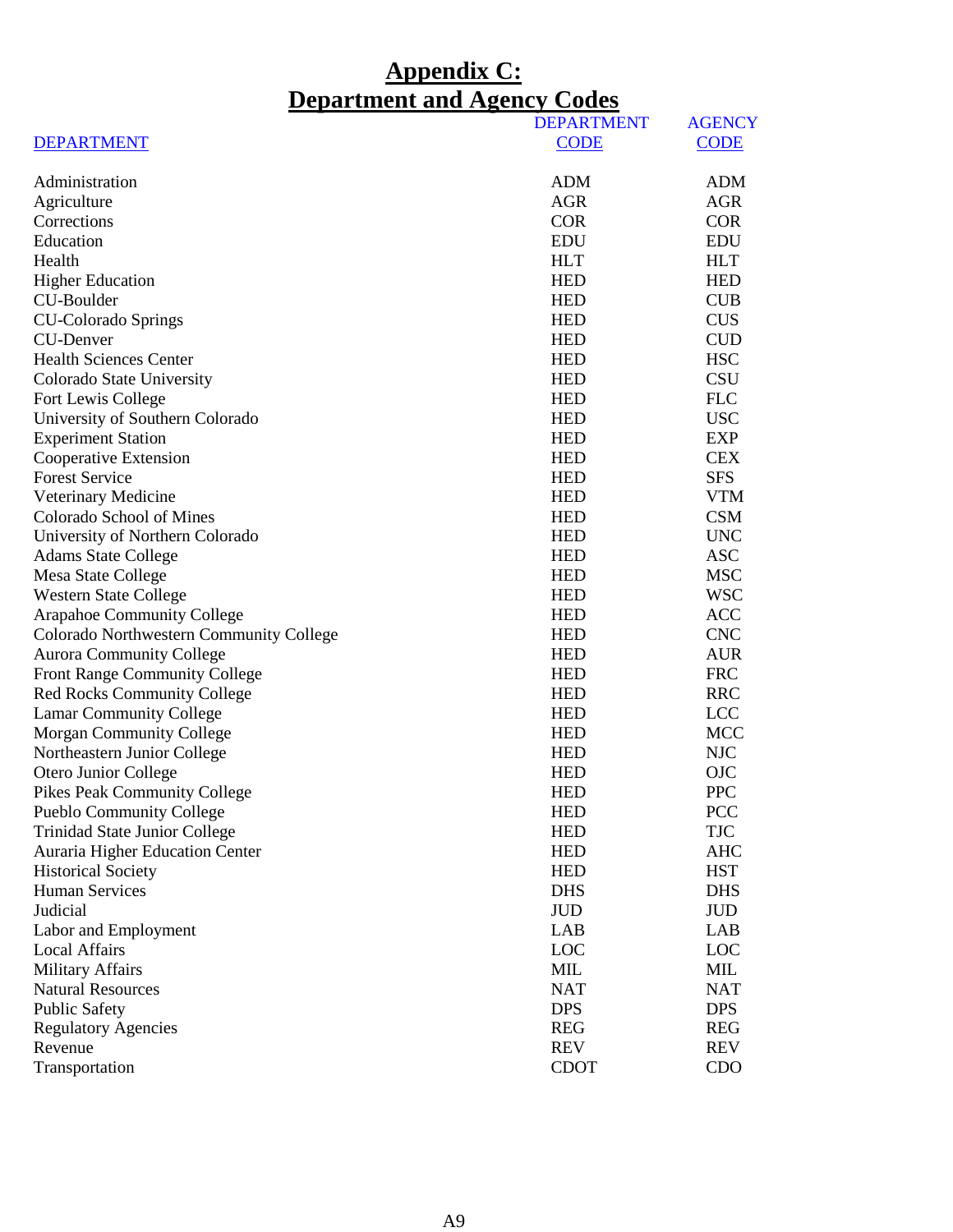# **Appendix C: Department and Agency Codes**

<span id="page-43-0"></span>

|                                         | <b>DEPARTMENT</b> | <b>AGENCY</b> |
|-----------------------------------------|-------------------|---------------|
| <b>DEPARTMENT</b>                       | <b>CODE</b>       | <b>CODE</b>   |
| Administration                          | <b>ADM</b>        | <b>ADM</b>    |
| Agriculture                             | <b>AGR</b>        | <b>AGR</b>    |
| Corrections                             | <b>COR</b>        | <b>COR</b>    |
| Education                               | <b>EDU</b>        | <b>EDU</b>    |
| Health                                  | <b>HLT</b>        | <b>HLT</b>    |
| <b>Higher Education</b>                 | <b>HED</b>        | <b>HED</b>    |
| CU-Boulder                              | <b>HED</b>        | <b>CUB</b>    |
| <b>CU-Colorado Springs</b>              | <b>HED</b>        | <b>CUS</b>    |
| <b>CU-Denver</b>                        | <b>HED</b>        | <b>CUD</b>    |
| <b>Health Sciences Center</b>           | <b>HED</b>        | <b>HSC</b>    |
| Colorado State University               | <b>HED</b>        | <b>CSU</b>    |
| Fort Lewis College                      | <b>HED</b>        | <b>FLC</b>    |
| University of Southern Colorado         | <b>HED</b>        | <b>USC</b>    |
| <b>Experiment Station</b>               | <b>HED</b>        | <b>EXP</b>    |
| Cooperative Extension                   | <b>HED</b>        | <b>CEX</b>    |
| <b>Forest Service</b>                   | <b>HED</b>        | <b>SFS</b>    |
| Veterinary Medicine                     | <b>HED</b>        | <b>VTM</b>    |
| Colorado School of Mines                | <b>HED</b>        | <b>CSM</b>    |
| University of Northern Colorado         | <b>HED</b>        | <b>UNC</b>    |
| <b>Adams State College</b>              | <b>HED</b>        | <b>ASC</b>    |
| Mesa State College                      | <b>HED</b>        | <b>MSC</b>    |
| <b>Western State College</b>            | <b>HED</b>        | <b>WSC</b>    |
| <b>Arapahoe Community College</b>       | <b>HED</b>        | <b>ACC</b>    |
| Colorado Northwestern Community College | <b>HED</b>        | <b>CNC</b>    |
| <b>Aurora Community College</b>         | <b>HED</b>        | <b>AUR</b>    |
| Front Range Community College           | <b>HED</b>        | <b>FRC</b>    |
| <b>Red Rocks Community College</b>      | <b>HED</b>        | <b>RRC</b>    |
| <b>Lamar Community College</b>          | <b>HED</b>        | <b>LCC</b>    |
| <b>Morgan Community College</b>         | <b>HED</b>        | <b>MCC</b>    |
| Northeastern Junior College             | <b>HED</b>        | <b>NJC</b>    |
| Otero Junior College                    | <b>HED</b>        | <b>OJC</b>    |
| <b>Pikes Peak Community College</b>     | <b>HED</b>        | <b>PPC</b>    |
| Pueblo Community College                | <b>HED</b>        | <b>PCC</b>    |
| <b>Trinidad State Junior College</b>    | <b>HED</b>        | <b>TJC</b>    |
| Auraria Higher Education Center         | <b>HED</b>        | AHC           |
| <b>Historical Society</b>               | <b>HED</b>        | <b>HST</b>    |
| <b>Human Services</b>                   | <b>DHS</b>        | <b>DHS</b>    |
| Judicial                                | <b>JUD</b>        | <b>JUD</b>    |
| Labor and Employment                    | LAB               | LAB           |
| <b>Local Affairs</b>                    | LOC               | LOC           |
| <b>Military Affairs</b>                 | MIL               | MIL           |
| <b>Natural Resources</b>                | <b>NAT</b>        | <b>NAT</b>    |
| <b>Public Safety</b>                    | <b>DPS</b>        | <b>DPS</b>    |
| <b>Regulatory Agencies</b>              | <b>REG</b>        | <b>REG</b>    |
| Revenue                                 | <b>REV</b>        | <b>REV</b>    |
| Transportation                          | <b>CDOT</b>       | CDO           |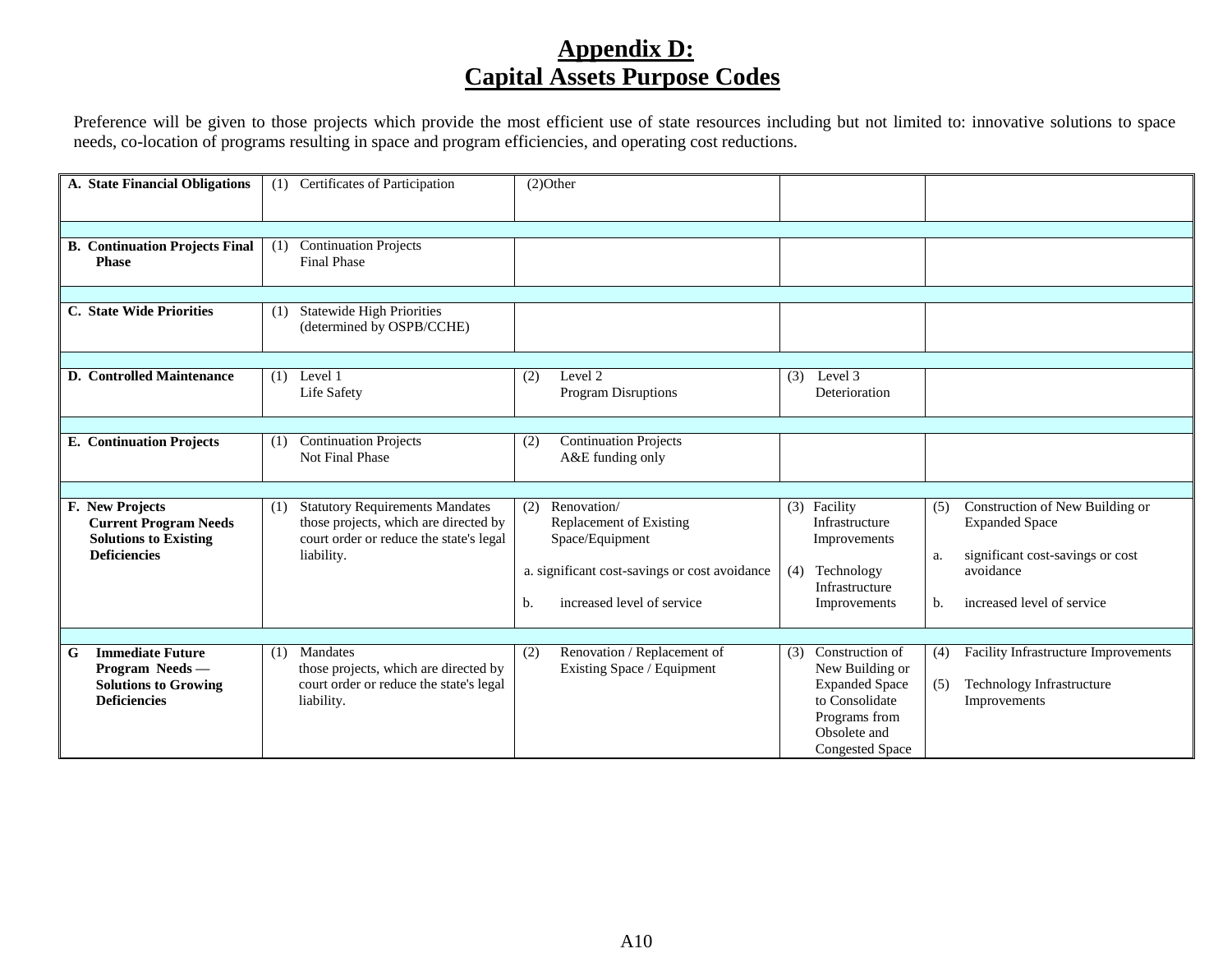# **Appendix D: Capital Assets Purpose Codes**

Preference will be given to those projects which provide the most efficient use of state resources including but not limited to: innovative solutions to space needs, co-location of programs resulting in space and program efficiencies, and operating cost reductions.

<span id="page-44-0"></span>

| A. State Financial Obligations                                                                         | (1) Certificates of Participation                                                                                                               | $(2)$ Other                                                                                                                                                                                                                                                    |                                                                                                                                                            |
|--------------------------------------------------------------------------------------------------------|-------------------------------------------------------------------------------------------------------------------------------------------------|----------------------------------------------------------------------------------------------------------------------------------------------------------------------------------------------------------------------------------------------------------------|------------------------------------------------------------------------------------------------------------------------------------------------------------|
|                                                                                                        |                                                                                                                                                 |                                                                                                                                                                                                                                                                |                                                                                                                                                            |
| <b>B.</b> Continuation Projects Final<br><b>Phase</b>                                                  | <b>Continuation Projects</b><br>(1)<br><b>Final Phase</b>                                                                                       |                                                                                                                                                                                                                                                                |                                                                                                                                                            |
|                                                                                                        |                                                                                                                                                 |                                                                                                                                                                                                                                                                |                                                                                                                                                            |
| C. State Wide Priorities                                                                               | <b>Statewide High Priorities</b><br>(1)<br>(determined by OSPB/CCHE)                                                                            |                                                                                                                                                                                                                                                                |                                                                                                                                                            |
|                                                                                                        |                                                                                                                                                 |                                                                                                                                                                                                                                                                |                                                                                                                                                            |
| <b>D.</b> Controlled Maintenance                                                                       | Level 1<br>(1)<br>Life Safety                                                                                                                   | Level 2<br>Level 3<br>(2)<br>(3)<br>Program Disruptions<br>Deterioration                                                                                                                                                                                       |                                                                                                                                                            |
|                                                                                                        |                                                                                                                                                 |                                                                                                                                                                                                                                                                |                                                                                                                                                            |
| <b>E.</b> Continuation Projects                                                                        | <b>Continuation Projects</b><br>(1)<br>Not Final Phase                                                                                          | <b>Continuation Projects</b><br>(2)<br>A&E funding only                                                                                                                                                                                                        |                                                                                                                                                            |
|                                                                                                        |                                                                                                                                                 |                                                                                                                                                                                                                                                                |                                                                                                                                                            |
| F. New Projects<br><b>Current Program Needs</b><br><b>Solutions to Existing</b><br><b>Deficiencies</b> | <b>Statutory Requirements Mandates</b><br>(1)<br>those projects, which are directed by<br>court order or reduce the state's legal<br>liability. | Renovation/<br>(3) Facility<br>(2)<br>Replacement of Existing<br>Infrastructure<br>Space/Equipment<br>Improvements<br>a. significant cost-savings or cost avoidance<br>Technology<br>(4)<br>Infrastructure<br>increased level of service<br>b.<br>Improvements | Construction of New Building or<br>(5)<br><b>Expanded Space</b><br>significant cost-savings or cost<br>a.<br>avoidance<br>increased level of service<br>b. |
|                                                                                                        |                                                                                                                                                 |                                                                                                                                                                                                                                                                |                                                                                                                                                            |
| G<br><b>Immediate Future</b><br>Program Needs-<br><b>Solutions to Growing</b><br><b>Deficiencies</b>   | Mandates<br>(1)<br>those projects, which are directed by<br>court order or reduce the state's legal<br>liability.                               | Renovation / Replacement of<br>Construction of<br>(2)<br>(3)<br>Existing Space / Equipment<br>New Building or<br><b>Expanded Space</b><br>to Consolidate<br>Programs from                                                                                      | Facility Infrastructure Improvements<br>(4)<br>Technology Infrastructure<br>(5)<br>Improvements                                                            |
|                                                                                                        |                                                                                                                                                 | Obsolete and<br><b>Congested Space</b>                                                                                                                                                                                                                         |                                                                                                                                                            |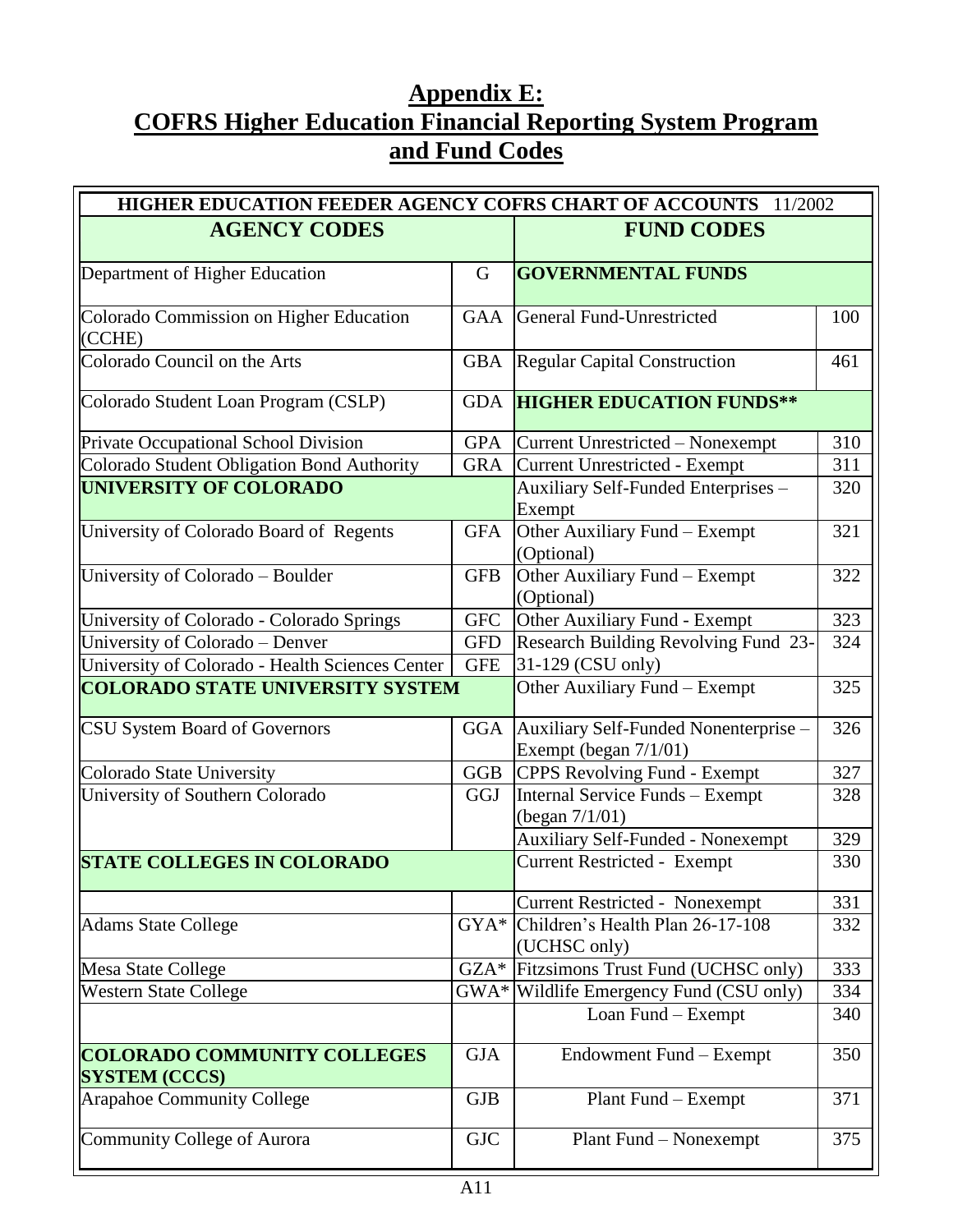# <span id="page-45-0"></span>**Appendix E: COFRS Higher Education Financial Reporting System Program and Fund Codes**

| HIGHER EDUCATION FEEDER AGENCY COFRS CHART OF ACCOUNTS 11/2002                     |                          |                                                                |     |  |  |
|------------------------------------------------------------------------------------|--------------------------|----------------------------------------------------------------|-----|--|--|
| <b>AGENCY CODES</b>                                                                |                          | <b>FUND CODES</b>                                              |     |  |  |
| Department of Higher Education                                                     |                          | <b>GOVERNMENTAL FUNDS</b>                                      |     |  |  |
| Colorado Commission on Higher Education<br>(CCHE)                                  | <b>GAA</b>               | General Fund-Unrestricted                                      | 100 |  |  |
| Colorado Council on the Arts                                                       | <b>GBA</b>               | Regular Capital Construction                                   | 461 |  |  |
| Colorado Student Loan Program (CSLP)                                               | <b>GDA</b>               | <b>HIGHER EDUCATION FUNDS**</b>                                |     |  |  |
| Private Occupational School Division                                               | <b>GPA</b>               | Current Unrestricted – Nonexempt                               | 310 |  |  |
| Colorado Student Obligation Bond Authority                                         | <b>GRA</b>               | Current Unrestricted - Exempt                                  | 311 |  |  |
| UNIVERSITY OF COLORADO                                                             |                          | Auxiliary Self-Funded Enterprises -<br>Exempt                  | 320 |  |  |
| University of Colorado Board of Regents                                            | <b>GFA</b>               | Other Auxiliary Fund - Exempt<br>(Optional)                    | 321 |  |  |
| University of Colorado - Boulder                                                   | <b>GFB</b>               | Other Auxiliary Fund - Exempt<br>(Optional)                    | 322 |  |  |
| University of Colorado - Colorado Springs                                          | <b>GFC</b>               | Other Auxiliary Fund - Exempt                                  | 323 |  |  |
| University of Colorado - Denver<br>University of Colorado - Health Sciences Center | <b>GFD</b><br><b>GFE</b> | Research Building Revolving Fund 23-<br>31-129 (CSU only)      | 324 |  |  |
| <b>COLORADO STATE UNIVERSITY SYSTEM</b>                                            |                          | Other Auxiliary Fund - Exempt                                  | 325 |  |  |
| CSU System Board of Governors                                                      | <b>GGA</b>               | Auxiliary Self-Funded Nonenterprise -<br>Exempt (began 7/1/01) | 326 |  |  |
| <b>Colorado State University</b>                                                   | <b>GGB</b>               | CPPS Revolving Fund - Exempt                                   | 327 |  |  |
| University of Southern Colorado                                                    | <b>GGJ</b>               | Internal Service Funds - Exempt<br>(began $7/1/01$ )           | 328 |  |  |
|                                                                                    |                          | <b>Auxiliary Self-Funded - Nonexempt</b>                       | 329 |  |  |
| <b>STATE COLLEGES IN COLORADO</b>                                                  |                          | <b>Current Restricted - Exempt</b>                             | 330 |  |  |
|                                                                                    |                          | <b>Current Restricted - Nonexempt</b>                          | 331 |  |  |
| <b>Adams State College</b>                                                         | GYA*                     | Children's Health Plan 26-17-108<br>(UCHSC only)               | 332 |  |  |
| Mesa State College                                                                 | $GZA*$                   | Fitzsimons Trust Fund (UCHSC only)                             | 333 |  |  |
| <b>Western State College</b>                                                       |                          | GWA* Wildlife Emergency Fund (CSU only)                        | 334 |  |  |
|                                                                                    |                          | Loan Fund - Exempt                                             | 340 |  |  |
| <b>COLORADO COMMUNITY COLLEGES</b><br><b>SYSTEM (CCCS)</b>                         | <b>GJA</b>               | Endowment Fund – Exempt                                        | 350 |  |  |
| <b>Arapahoe Community College</b>                                                  | <b>GJB</b>               | Plant Fund – Exempt                                            | 371 |  |  |
| <b>Community College of Aurora</b>                                                 | <b>GJC</b>               | Plant Fund – Nonexempt                                         | 375 |  |  |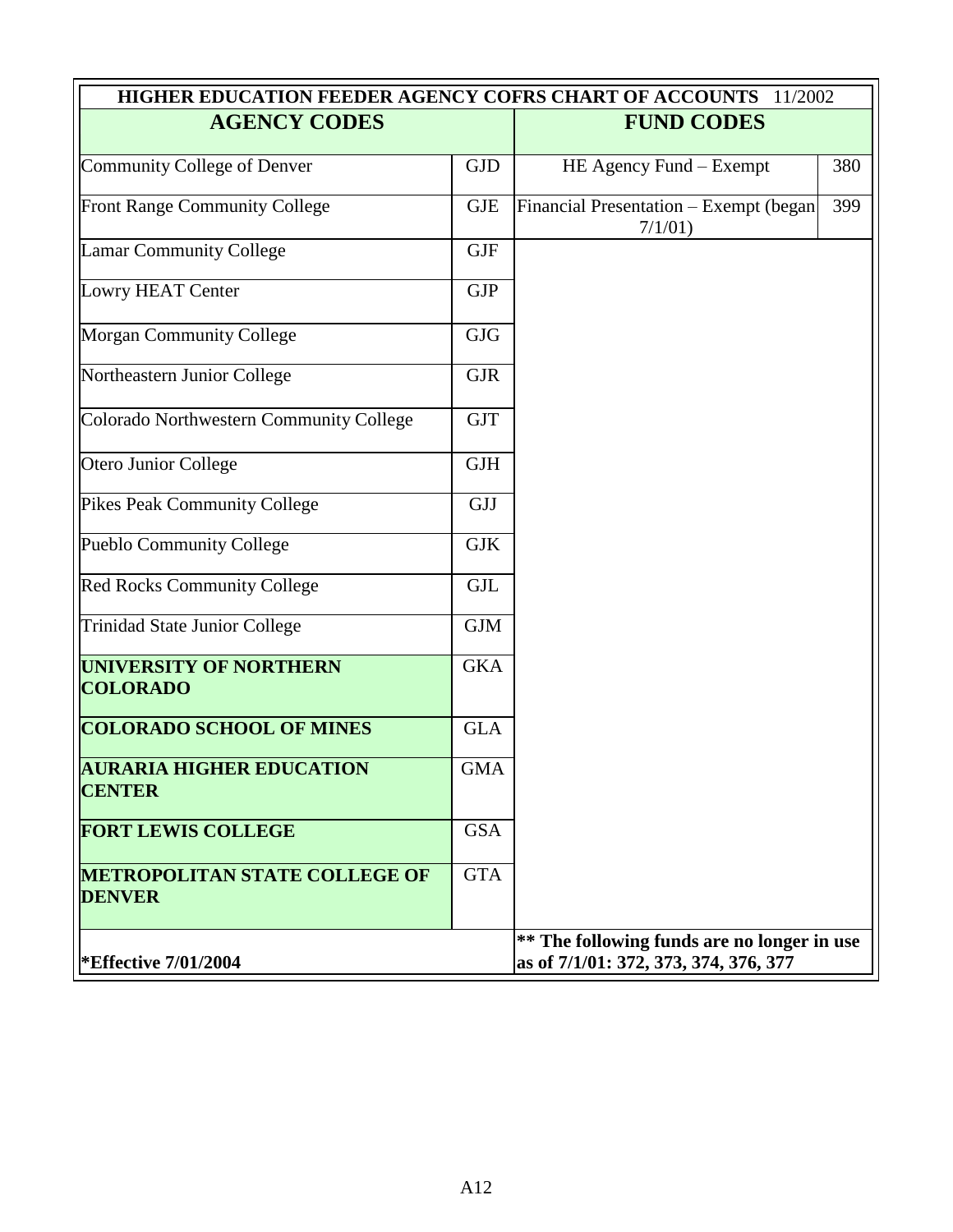| HIGHER EDUCATION FEEDER AGENCY COFRS CHART OF ACCOUNTS 11/2002 |            |                                                                                      |     |  |  |
|----------------------------------------------------------------|------------|--------------------------------------------------------------------------------------|-----|--|--|
| <b>AGENCY CODES</b>                                            |            | <b>FUND CODES</b>                                                                    |     |  |  |
| <b>Community College of Denver</b>                             | <b>GJD</b> | HE Agency Fund – Exempt                                                              | 380 |  |  |
| Front Range Community College                                  | <b>GJE</b> | Financial Presentation - Exempt (began<br>$7/1/01$ )                                 | 399 |  |  |
| <b>Lamar Community College</b>                                 | <b>GJF</b> |                                                                                      |     |  |  |
| Lowry HEAT Center                                              | <b>GJP</b> |                                                                                      |     |  |  |
| <b>Morgan Community College</b>                                | <b>GJG</b> |                                                                                      |     |  |  |
| Northeastern Junior College                                    | <b>GJR</b> |                                                                                      |     |  |  |
| Colorado Northwestern Community College                        | <b>GJT</b> |                                                                                      |     |  |  |
| Otero Junior College                                           | <b>GJH</b> |                                                                                      |     |  |  |
| <b>Pikes Peak Community College</b>                            | <b>GJJ</b> |                                                                                      |     |  |  |
| Pueblo Community College                                       | <b>GJK</b> |                                                                                      |     |  |  |
| Red Rocks Community College                                    | <b>GJL</b> |                                                                                      |     |  |  |
| <b>Trinidad State Junior College</b>                           | <b>GJM</b> |                                                                                      |     |  |  |
| <b>UNIVERSITY OF NORTHERN</b><br><b>COLORADO</b>               | <b>GKA</b> |                                                                                      |     |  |  |
| <b>COLORADO SCHOOL OF MINES</b>                                | <b>GLA</b> |                                                                                      |     |  |  |
| <b>AURARIA HIGHER EDUCATION</b><br><b>CENTER</b>               | <b>GMA</b> |                                                                                      |     |  |  |
| <b>FORT LEWIS COLLEGE</b>                                      | <b>GSA</b> |                                                                                      |     |  |  |
| <b>METROPOLITAN STATE COLLEGE OF</b><br><b>DENVER</b>          | <b>GTA</b> |                                                                                      |     |  |  |
| <b>*Effective 7/01/2004</b>                                    |            | ** The following funds are no longer in use<br>as of 7/1/01: 372, 373, 374, 376, 377 |     |  |  |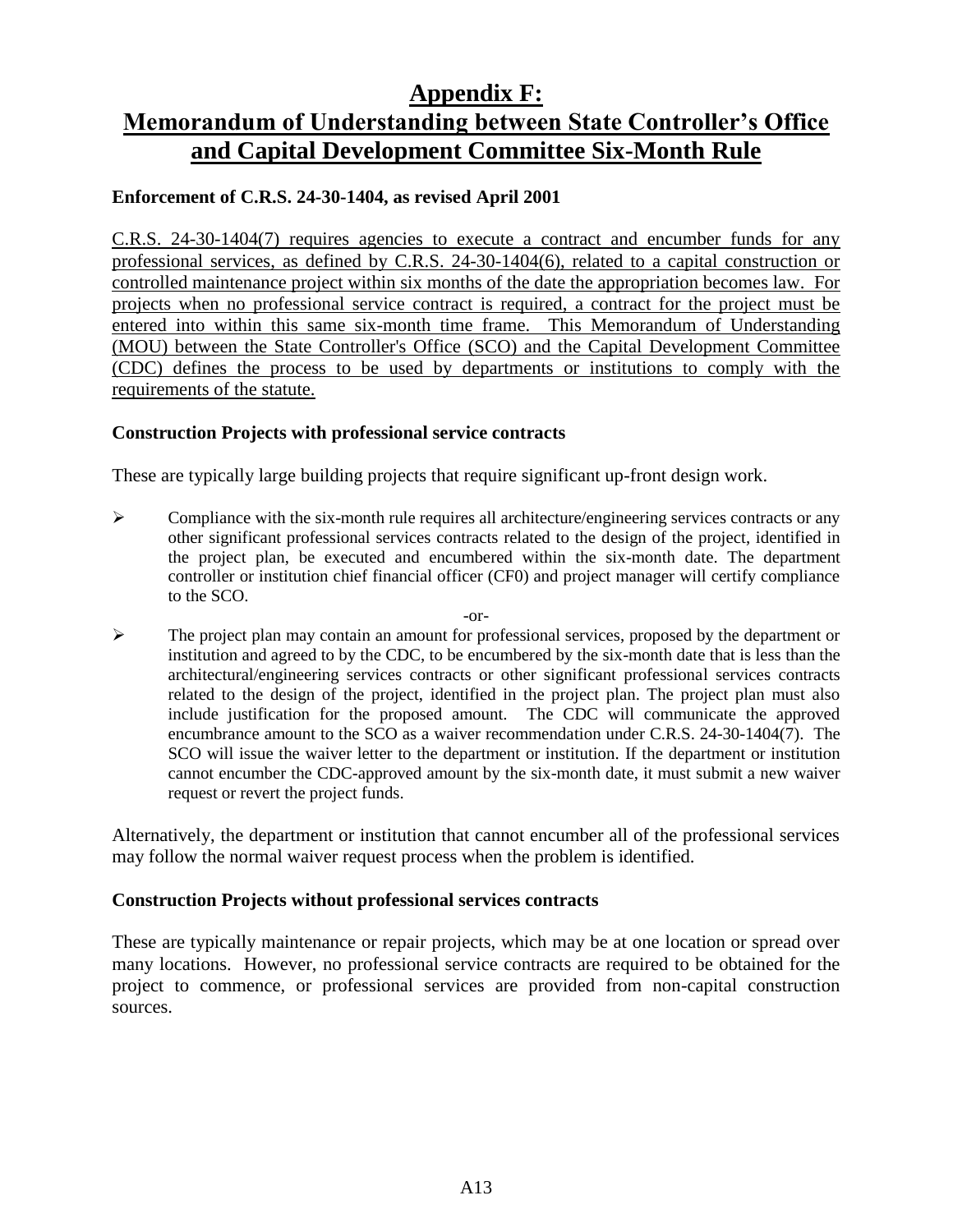### **Appendix F:**

# <span id="page-47-0"></span>**Memorandum of Understanding between State Controller's Office and Capital Development Committee Six-Month Rule**

#### **Enforcement of C.R.S. 24-30-1404, as revised April 2001**

C.R.S. 24-30-1404(7) requires agencies to execute a contract and encumber funds for any professional services, as defined by C.R.S. 24-30-1404(6), related to a capital construction or controlled maintenance project within six months of the date the appropriation becomes law. For projects when no professional service contract is required, a contract for the project must be entered into within this same six-month time frame. This Memorandum of Understanding (MOU) between the State Controller's Office (SCO) and the Capital Development Committee (CDC) defines the process to be used by departments or institutions to comply with the requirements of the statute.

#### **Construction Projects with professional service contracts**

These are typically large building projects that require significant up-front design work.

- $\triangleright$  Compliance with the six-month rule requires all architecture/engineering services contracts or any other significant professional services contracts related to the design of the project, identified in the project plan, be executed and encumbered within the six-month date. The department controller or institution chief financial officer (CF0) and project manager will certify compliance to the SCO.
	- -or-
- $\triangleright$  The project plan may contain an amount for professional services, proposed by the department or institution and agreed to by the CDC, to be encumbered by the six-month date that is less than the architectural/engineering services contracts or other significant professional services contracts related to the design of the project, identified in the project plan. The project plan must also include justification for the proposed amount. The CDC will communicate the approved encumbrance amount to the SCO as a waiver recommendation under C.R.S. 24-30-1404(7). The SCO will issue the waiver letter to the department or institution*.* If the department or institution cannot encumber the CDC-approved amount by the six-month date, it must submit a new waiver request or revert the project funds.

Alternatively, the department or institution that cannot encumber all of the professional services may follow the normal waiver request process when the problem is identified.

#### **Construction Projects without professional services contracts**

These are typically maintenance or repair projects, which may be at one location or spread over many locations. However, no professional service contracts are required to be obtained for the project to commence, or professional services are provided from non-capital construction sources.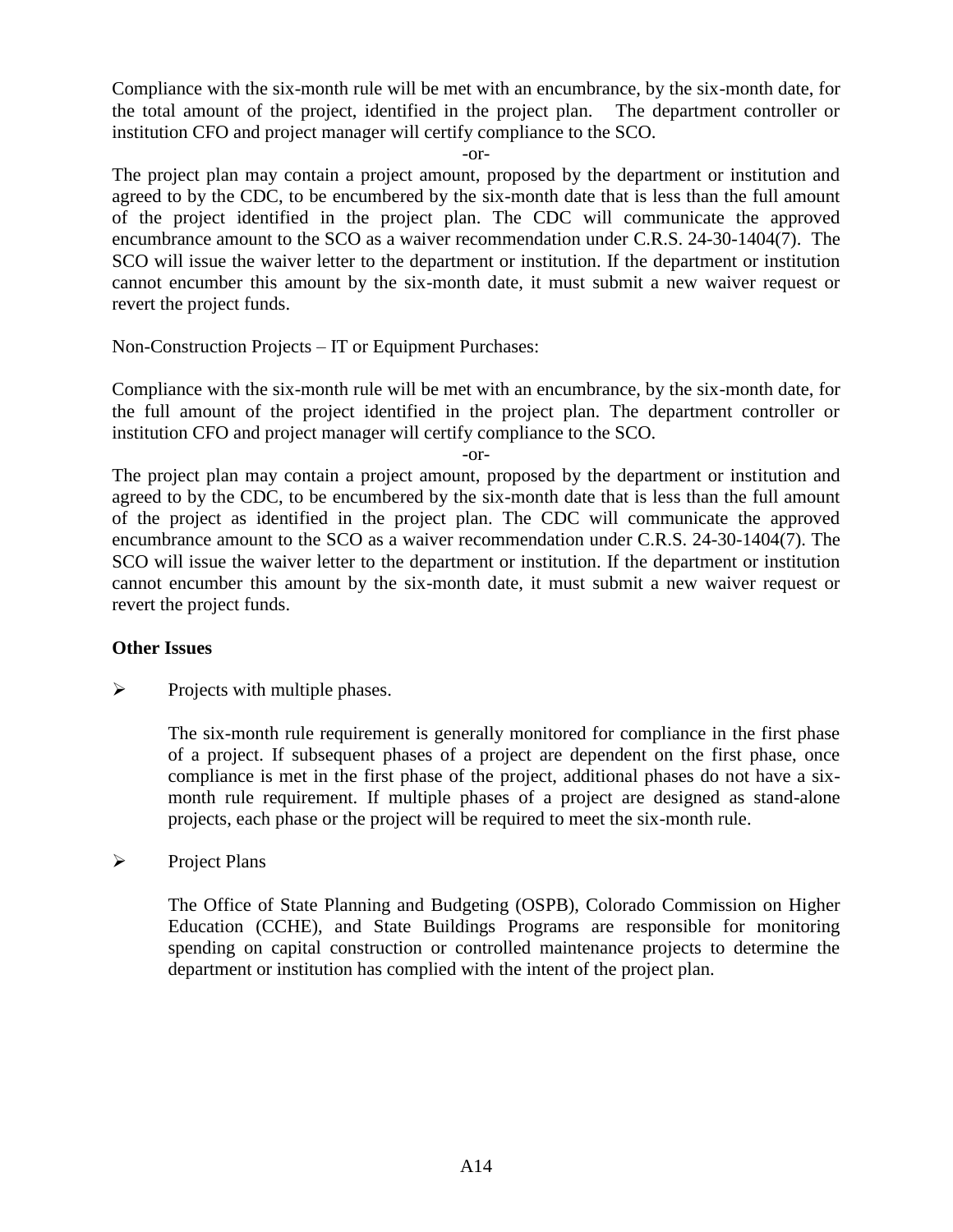Compliance with the six-month rule will be met with an encumbrance, by the six-month date, for the total amount of the project, identified in the project plan. The department controller or institution CFO and project manager will certify compliance to the SCO.

-or-

The project plan may contain a project amount, proposed by the department or institution and agreed to by the CDC, to be encumbered by the six-month date that is less than the full amount of the project identified in the project plan. The CDC will communicate the approved encumbrance amount to the SCO as a waiver recommendation under C.R.S. 24-30-1404(7).The SCO will issue the waiver letter to the department or institution. If the department or institution cannot encumber this amount by the six-month date, it must submit a new waiver request or revert the project funds.

Non-Construction Projects – IT or Equipment Purchases:

Compliance with the six-month rule will be met with an encumbrance, by the six-month date, for the full amount of the project identified in the project plan. The department controller or institution CFO and project manager will certify compliance to the SCO.

-or-

The project plan may contain a project amount, proposed by the department or institution and agreed to by the CDC, to be encumbered by the six-month date that is less than the full amount of the project as identified in the project plan. The CDC will communicate the approved encumbrance amount to the SCO as a waiver recommendation under C.R.S. 24-30-1404(7). The SCO will issue the waiver letter to the department or institution. If the department or institution cannot encumber this amount by the six-month date, it must submit a new waiver request or revert the project funds.

#### **Other Issues**

 $\triangleright$  Projects with multiple phases.

The six-month rule requirement is generally monitored for compliance in the first phase of a project. If subsequent phases of a project are dependent on the first phase, once compliance is met in the first phase of the project, additional phases do not have a sixmonth rule requirement. If multiple phases of a project are designed as stand-alone projects, each phase or the project will be required to meet the six-month rule.

#### $\triangleright$  Project Plans

The Office of State Planning and Budgeting (OSPB), Colorado Commission on Higher Education (CCHE), and State Buildings Programs are responsible for monitoring spending on capital construction or controlled maintenance projects to determine the department or institution has complied with the intent of the project plan.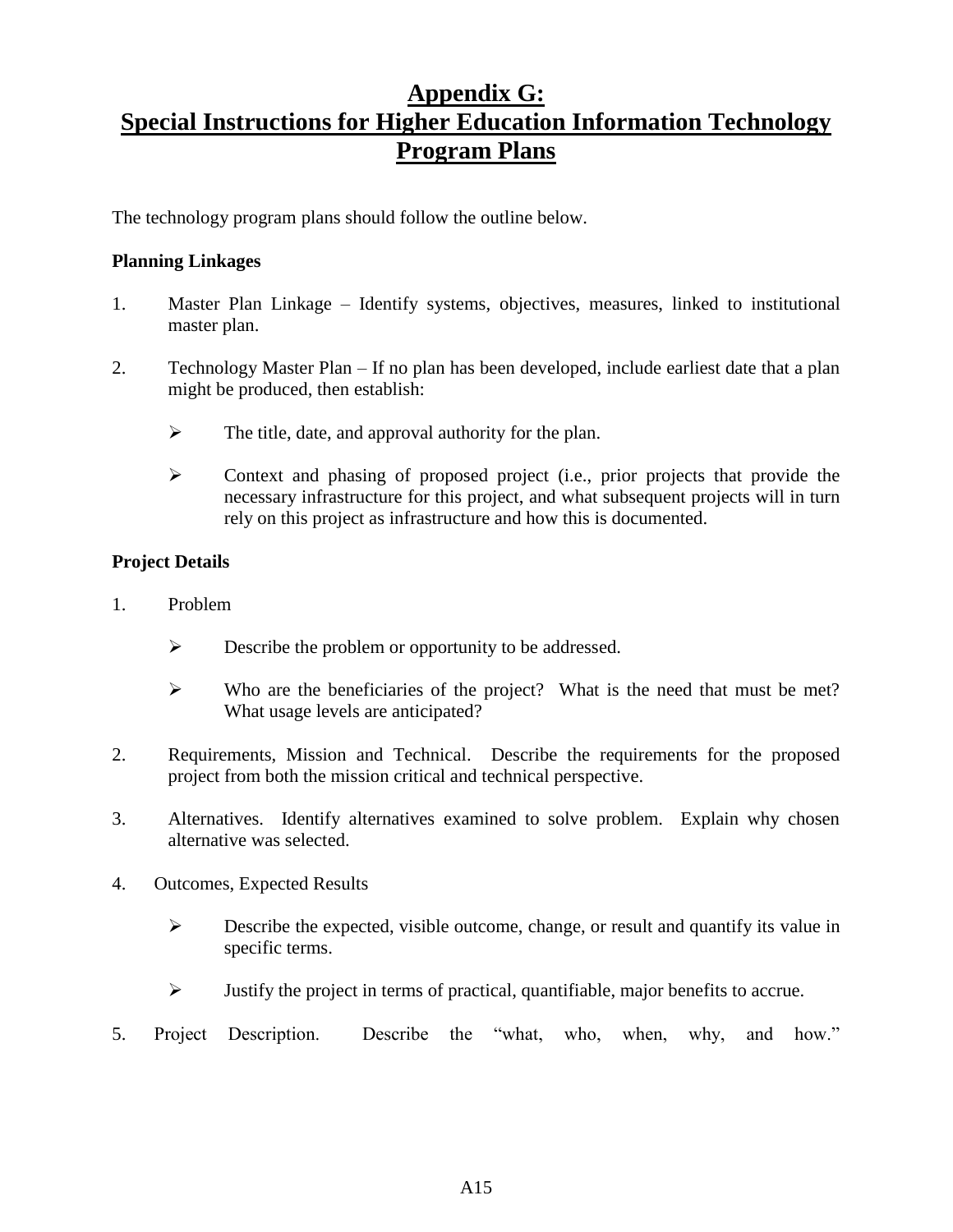# <span id="page-49-0"></span>**Appendix G: Special Instructions for Higher Education Information Technology Program Plans**

The technology program plans should follow the outline below.

#### **Planning Linkages**

- 1. Master Plan Linkage Identify systems, objectives, measures, linked to institutional master plan.
- 2. Technology Master Plan If no plan has been developed, include earliest date that a plan might be produced, then establish:
	- $\triangleright$  The title, date, and approval authority for the plan.
	- Context and phasing of proposed project (i.e., prior projects that provide the necessary infrastructure for this project, and what subsequent projects will in turn rely on this project as infrastructure and how this is documented.

#### **Project Details**

- 1. Problem
	- $\triangleright$  Describe the problem or opportunity to be addressed.
	- $\triangleright$  Who are the beneficiaries of the project? What is the need that must be met? What usage levels are anticipated?
- 2. Requirements, Mission and Technical. Describe the requirements for the proposed project from both the mission critical and technical perspective.
- 3. Alternatives. Identify alternatives examined to solve problem. Explain why chosen alternative was selected.
- 4. Outcomes, Expected Results
	- $\triangleright$  Describe the expected, visible outcome, change, or result and quantify its value in specific terms.
	- $\triangleright$  Justify the project in terms of practical, quantifiable, major benefits to accrue.
- 5. Project Description. Describe the "what, who, when, why, and how."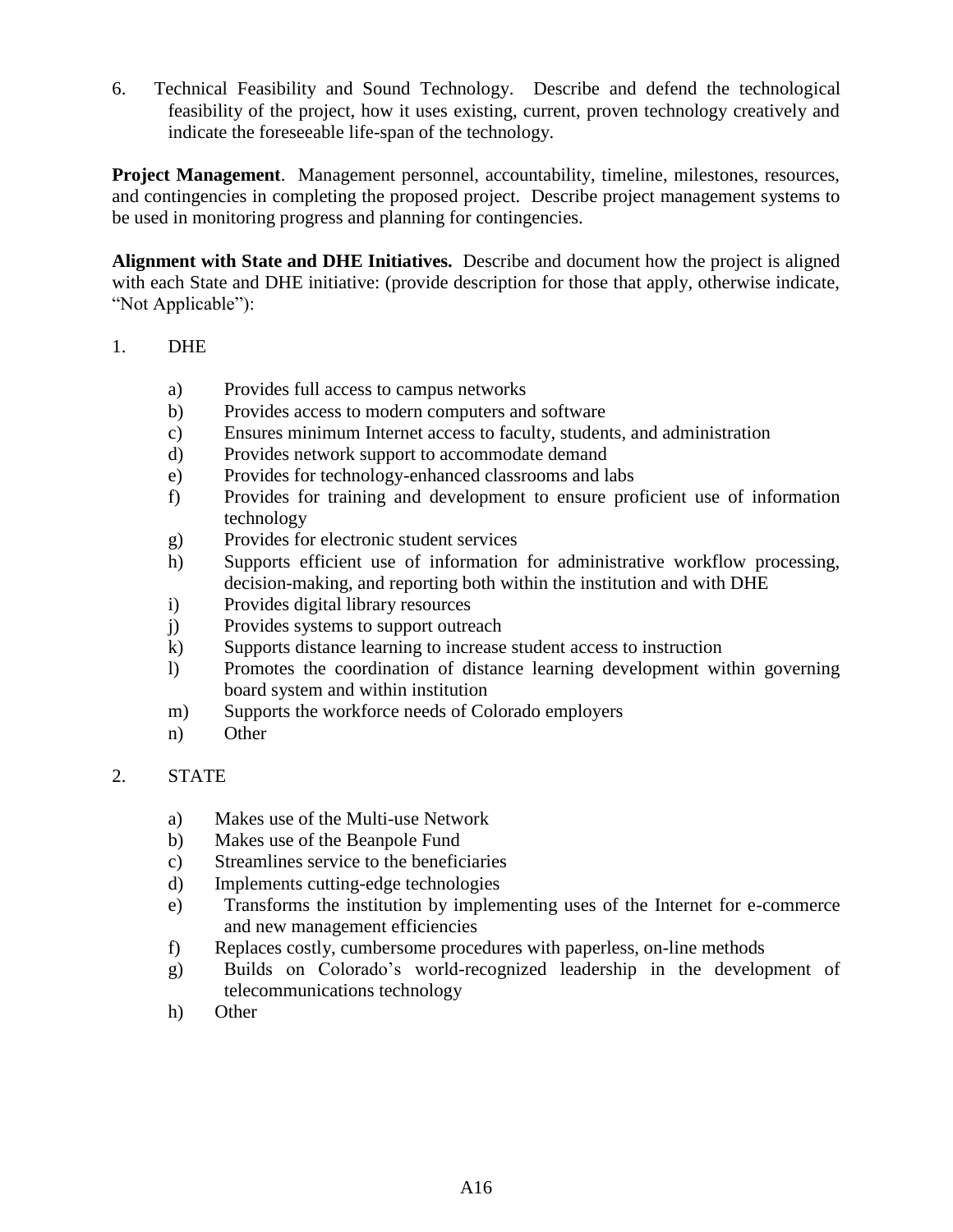6. Technical Feasibility and Sound Technology. Describe and defend the technological feasibility of the project, how it uses existing, current, proven technology creatively and indicate the foreseeable life-span of the technology.

**Project Management**. Management personnel, accountability, timeline, milestones, resources, and contingencies in completing the proposed project. Describe project management systems to be used in monitoring progress and planning for contingencies.

**Alignment with State and DHE Initiatives.** Describe and document how the project is aligned with each State and DHE initiative: (provide description for those that apply, otherwise indicate, "Not Applicable"):

#### 1. DHE

- a) Provides full access to campus networks
- b) Provides access to modern computers and software
- c) Ensures minimum Internet access to faculty, students, and administration
- d) Provides network support to accommodate demand
- e) Provides for technology-enhanced classrooms and labs
- f) Provides for training and development to ensure proficient use of information technology
- g) Provides for electronic student services
- h) Supports efficient use of information for administrative workflow processing, decision-making, and reporting both within the institution and with DHE
- i) Provides digital library resources
- j) Provides systems to support outreach
- k) Supports distance learning to increase student access to instruction
- l) Promotes the coordination of distance learning development within governing board system and within institution
- m) Supports the workforce needs of Colorado employers
- n) Other

#### 2. STATE

- a) Makes use of the Multi-use Network
- b) Makes use of the Beanpole Fund
- c) Streamlines service to the beneficiaries
- d) Implements cutting-edge technologies
- e) Transforms the institution by implementing uses of the Internet for e-commerce and new management efficiencies
- f) Replaces costly, cumbersome procedures with paperless, on-line methods
- g) Builds on Colorado's world-recognized leadership in the development of telecommunications technology
- h) Other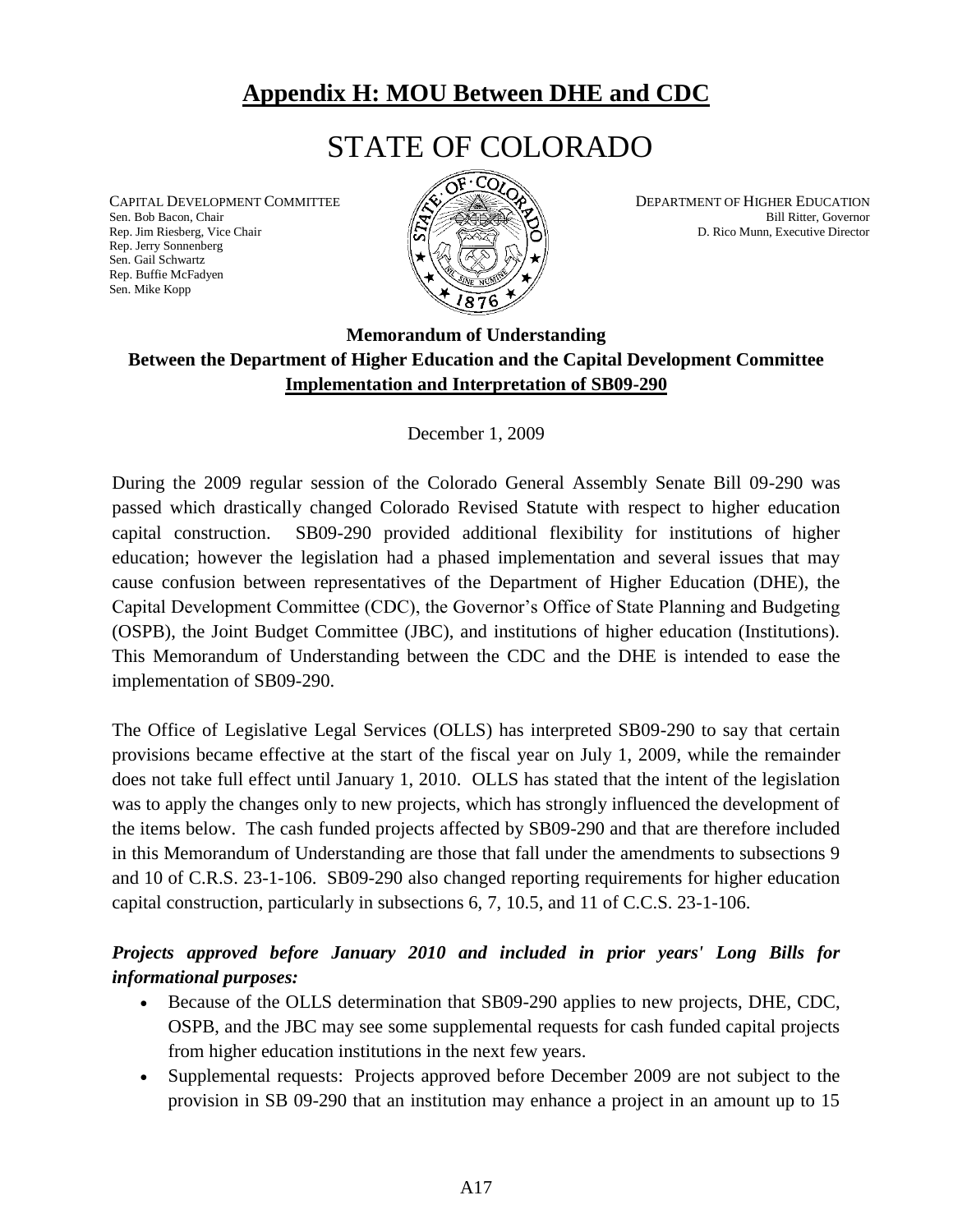# **Appendix H: MOU Between DHE and CDC**

# STATE OF COLORADO

Sen. Bob Bacon, Chair Bill Ritter, Governor Bill Ritter, Governor Bill Ritter, Governor Bill Ritter, Governor Rep. Jerry Sonnenberg Sen. Gail Schwartz Rep. Buffie McFadyen Sen. Mike Kopp

![](_page_51_Picture_3.jpeg)

<span id="page-51-0"></span>CAPITAL DEVELOPMENT COMMITTEE  $\mathscr{A}$   $\mathscr{A}$   $\mathscr{A}$  DEPARTMENT OF HIGHER EDUCATION D. Rico Munn, Executive Director

### **Memorandum of Understanding Between the Department of Higher Education and the Capital Development Committee Implementation and Interpretation of SB09-290**

December 1, 2009

During the 2009 regular session of the Colorado General Assembly Senate Bill 09-290 was passed which drastically changed Colorado Revised Statute with respect to higher education capital construction. SB09-290 provided additional flexibility for institutions of higher education; however the legislation had a phased implementation and several issues that may cause confusion between representatives of the Department of Higher Education (DHE), the Capital Development Committee (CDC), the Governor's Office of State Planning and Budgeting (OSPB), the Joint Budget Committee (JBC), and institutions of higher education (Institutions). This Memorandum of Understanding between the CDC and the DHE is intended to ease the implementation of SB09-290.

The Office of Legislative Legal Services (OLLS) has interpreted SB09-290 to say that certain provisions became effective at the start of the fiscal year on July 1, 2009, while the remainder does not take full effect until January 1, 2010. OLLS has stated that the intent of the legislation was to apply the changes only to new projects, which has strongly influenced the development of the items below. The cash funded projects affected by SB09-290 and that are therefore included in this Memorandum of Understanding are those that fall under the amendments to subsections 9 and 10 of C.R.S. 23-1-106. SB09-290 also changed reporting requirements for higher education capital construction, particularly in subsections 6, 7, 10.5, and 11 of C.C.S. 23-1-106.

### *Projects approved before January 2010 and included in prior years' Long Bills for informational purposes:*

- Because of the OLLS determination that SB09-290 applies to new projects, DHE, CDC, OSPB, and the JBC may see some supplemental requests for cash funded capital projects from higher education institutions in the next few years.
- Supplemental requests: Projects approved before December 2009 are not subject to the provision in SB 09-290 that an institution may enhance a project in an amount up to 15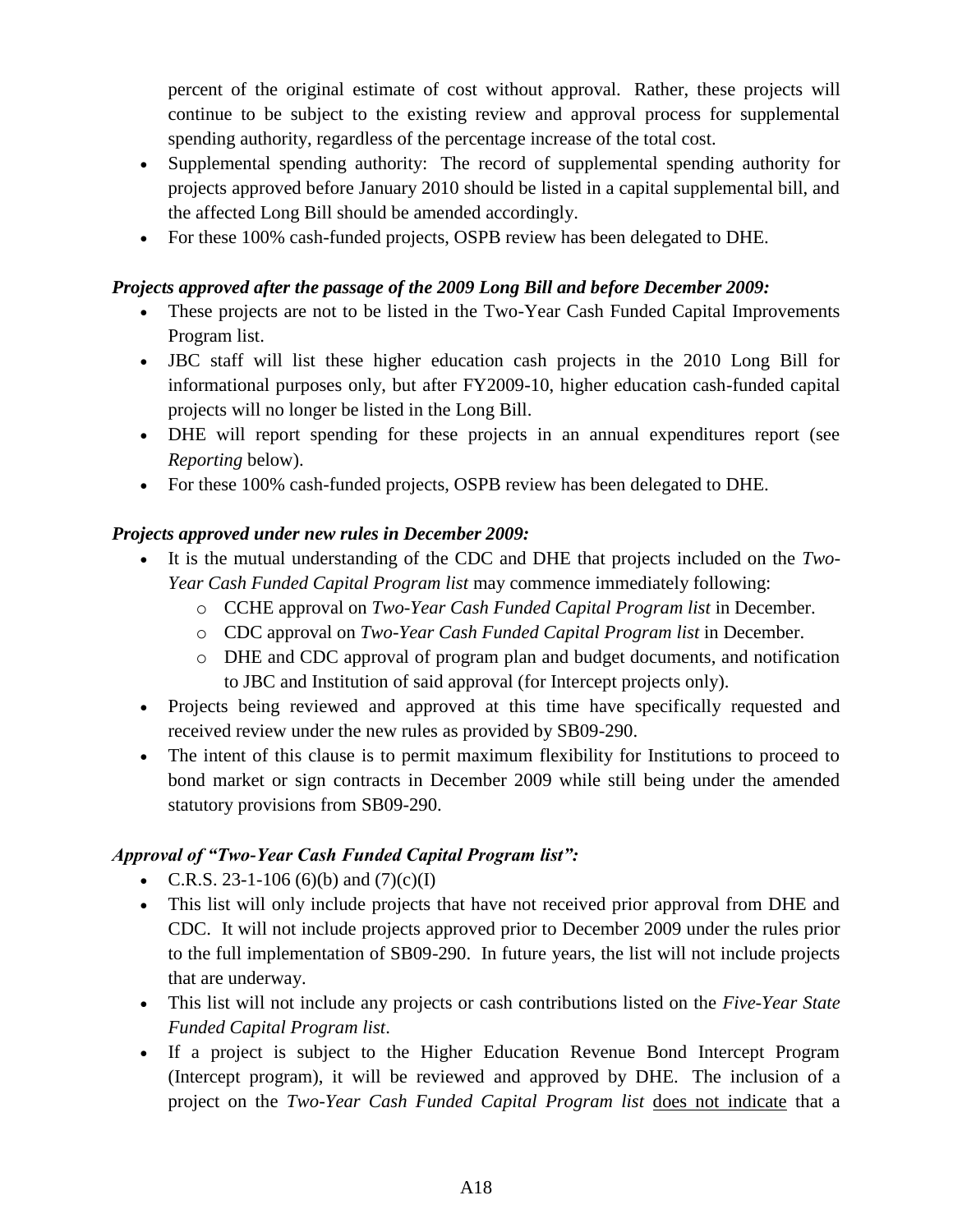percent of the original estimate of cost without approval. Rather, these projects will continue to be subject to the existing review and approval process for supplemental spending authority, regardless of the percentage increase of the total cost.

- Supplemental spending authority: The record of supplemental spending authority for projects approved before January 2010 should be listed in a capital supplemental bill, and the affected Long Bill should be amended accordingly.
- For these 100% cash-funded projects, OSPB review has been delegated to DHE.

#### *Projects approved after the passage of the 2009 Long Bill and before December 2009:*

- These projects are not to be listed in the Two-Year Cash Funded Capital Improvements Program list.
- JBC staff will list these higher education cash projects in the 2010 Long Bill for informational purposes only, but after FY2009-10, higher education cash-funded capital projects will no longer be listed in the Long Bill.
- DHE will report spending for these projects in an annual expenditures report (see *Reporting* below).
- For these 100% cash-funded projects, OSPB review has been delegated to DHE.

### *Projects approved under new rules in December 2009:*

- It is the mutual understanding of the CDC and DHE that projects included on the *Two-Year Cash Funded Capital Program list* may commence immediately following:
	- o CCHE approval on *Two-Year Cash Funded Capital Program list* in December.
	- o CDC approval on *Two-Year Cash Funded Capital Program list* in December.
	- o DHE and CDC approval of program plan and budget documents, and notification to JBC and Institution of said approval (for Intercept projects only).
- Projects being reviewed and approved at this time have specifically requested and received review under the new rules as provided by SB09-290.
- The intent of this clause is to permit maximum flexibility for Institutions to proceed to bond market or sign contracts in December 2009 while still being under the amended statutory provisions from SB09-290.

### *Approval of "Two-Year Cash Funded Capital Program list":*

- C.R.S. 23-1-106 (6)(b) and  $(7)(c)(I)$
- This list will only include projects that have not received prior approval from DHE and CDC. It will not include projects approved prior to December 2009 under the rules prior to the full implementation of SB09-290. In future years, the list will not include projects that are underway.
- This list will not include any projects or cash contributions listed on the *Five-Year State Funded Capital Program list*.
- If a project is subject to the Higher Education Revenue Bond Intercept Program (Intercept program), it will be reviewed and approved by DHE. The inclusion of a project on the *Two-Year Cash Funded Capital Program list* does not indicate that a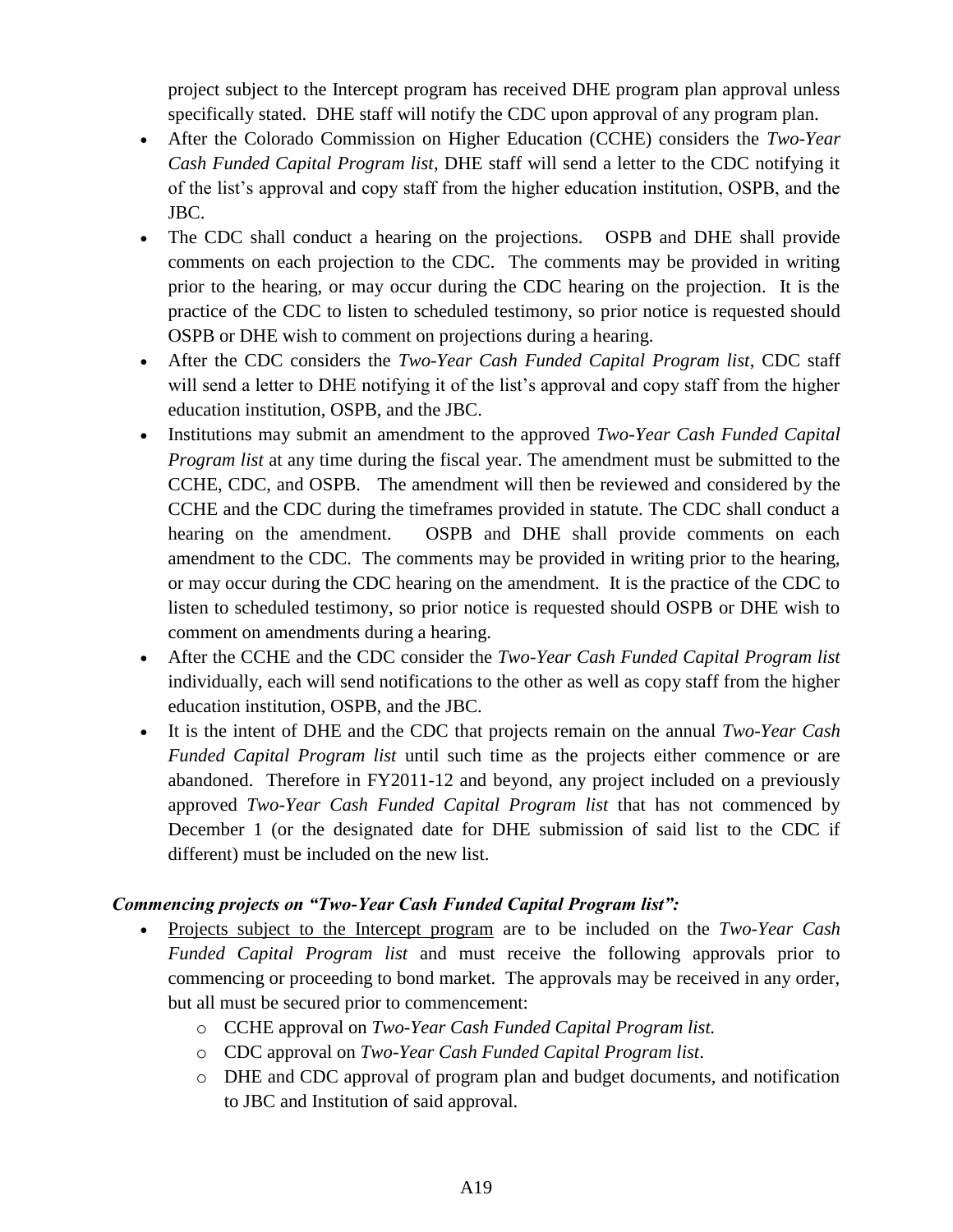project subject to the Intercept program has received DHE program plan approval unless specifically stated. DHE staff will notify the CDC upon approval of any program plan.

- After the Colorado Commission on Higher Education (CCHE) considers the *Two-Year Cash Funded Capital Program list*, DHE staff will send a letter to the CDC notifying it of the list's approval and copy staff from the higher education institution, OSPB, and the JBC.
- The CDC shall conduct a hearing on the projections. OSPB and DHE shall provide comments on each projection to the CDC. The comments may be provided in writing prior to the hearing, or may occur during the CDC hearing on the projection. It is the practice of the CDC to listen to scheduled testimony, so prior notice is requested should OSPB or DHE wish to comment on projections during a hearing.
- After the CDC considers the *Two-Year Cash Funded Capital Program list*, CDC staff will send a letter to DHE notifying it of the list's approval and copy staff from the higher education institution, OSPB, and the JBC.
- Institutions may submit an amendment to the approved *Two-Year Cash Funded Capital Program list* at any time during the fiscal year. The amendment must be submitted to the CCHE, CDC, and OSPB. The amendment will then be reviewed and considered by the CCHE and the CDC during the timeframes provided in statute. The CDC shall conduct a hearing on the amendment. OSPB and DHE shall provide comments on each amendment to the CDC. The comments may be provided in writing prior to the hearing, or may occur during the CDC hearing on the amendment. It is the practice of the CDC to listen to scheduled testimony, so prior notice is requested should OSPB or DHE wish to comment on amendments during a hearing.
- After the CCHE and the CDC consider the *Two-Year Cash Funded Capital Program list* individually, each will send notifications to the other as well as copy staff from the higher education institution, OSPB, and the JBC.
- It is the intent of DHE and the CDC that projects remain on the annual *Two-Year Cash Funded Capital Program list* until such time as the projects either commence or are abandoned. Therefore in FY2011-12 and beyond, any project included on a previously approved *Two-Year Cash Funded Capital Program list* that has not commenced by December 1 (or the designated date for DHE submission of said list to the CDC if different) must be included on the new list.

#### *Commencing projects on "Two-Year Cash Funded Capital Program list":*

- Projects subject to the Intercept program are to be included on the *Two-Year Cash Funded Capital Program list* and must receive the following approvals prior to commencing or proceeding to bond market. The approvals may be received in any order, but all must be secured prior to commencement:
	- o CCHE approval on *Two-Year Cash Funded Capital Program list.*
	- o CDC approval on *Two-Year Cash Funded Capital Program list*.
	- o DHE and CDC approval of program plan and budget documents, and notification to JBC and Institution of said approval.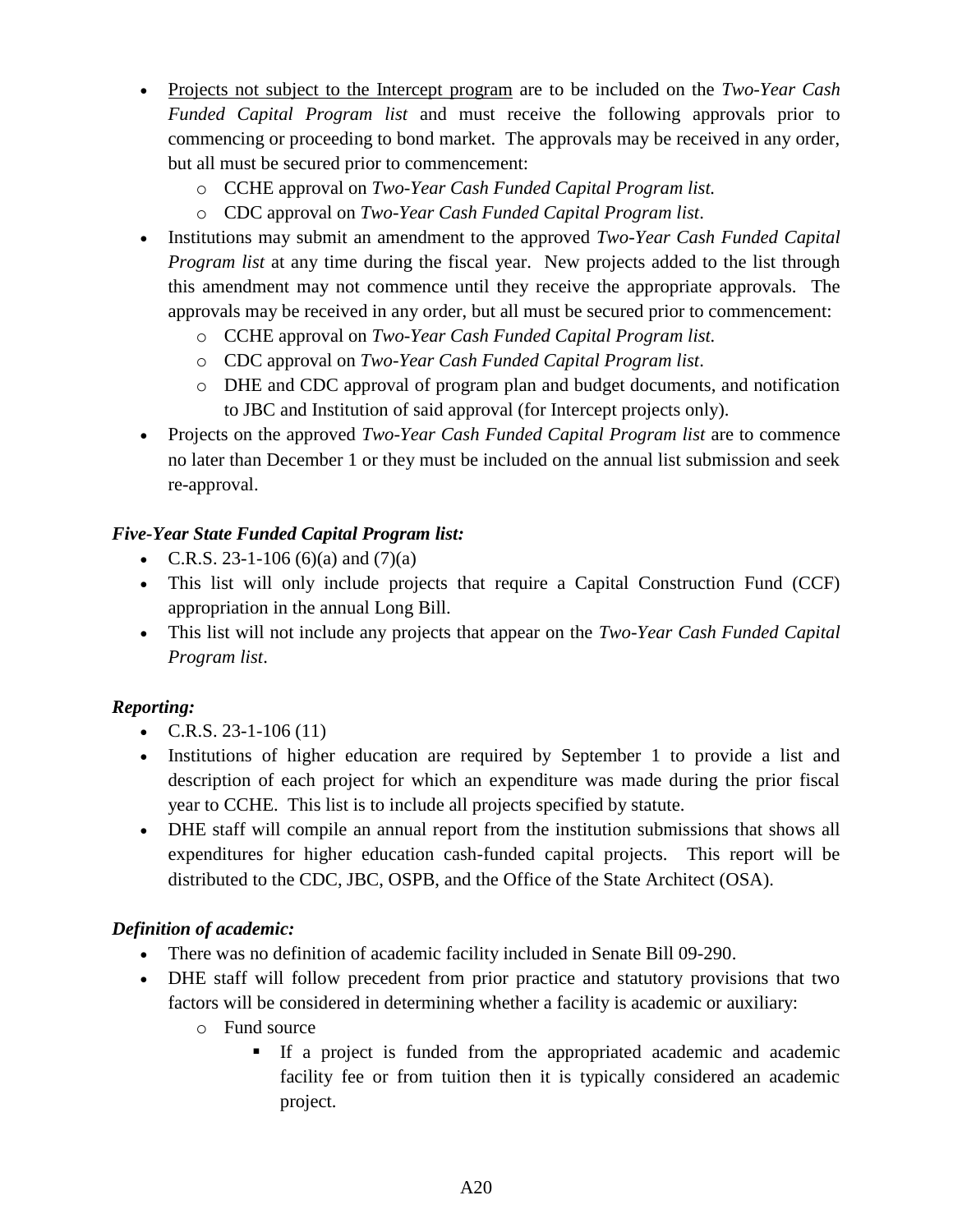- Projects not subject to the Intercept program are to be included on the *Two-Year Cash Funded Capital Program list* and must receive the following approvals prior to commencing or proceeding to bond market. The approvals may be received in any order, but all must be secured prior to commencement:
	- o CCHE approval on *Two-Year Cash Funded Capital Program list.*
	- o CDC approval on *Two-Year Cash Funded Capital Program list*.
- Institutions may submit an amendment to the approved *Two-Year Cash Funded Capital Program list* at any time during the fiscal year. New projects added to the list through this amendment may not commence until they receive the appropriate approvals. The approvals may be received in any order, but all must be secured prior to commencement:
	- o CCHE approval on *Two-Year Cash Funded Capital Program list.*
	- o CDC approval on *Two-Year Cash Funded Capital Program list*.
	- o DHE and CDC approval of program plan and budget documents, and notification to JBC and Institution of said approval (for Intercept projects only).
- Projects on the approved *Two-Year Cash Funded Capital Program list* are to commence no later than December 1 or they must be included on the annual list submission and seek re-approval.

### *Five-Year State Funded Capital Program list:*

- C.R.S. 23-1-106 (6)(a) and (7)(a)
- This list will only include projects that require a Capital Construction Fund (CCF) appropriation in the annual Long Bill.
- This list will not include any projects that appear on the *Two-Year Cash Funded Capital Program list*.

#### *Reporting:*

- C.R.S. 23-1-106 (11)
- Institutions of higher education are required by September 1 to provide a list and description of each project for which an expenditure was made during the prior fiscal year to CCHE. This list is to include all projects specified by statute.
- DHE staff will compile an annual report from the institution submissions that shows all expenditures for higher education cash-funded capital projects. This report will be distributed to the CDC, JBC, OSPB, and the Office of the State Architect (OSA).

#### *Definition of academic:*

- There was no definition of academic facility included in Senate Bill 09-290.
- DHE staff will follow precedent from prior practice and statutory provisions that two factors will be considered in determining whether a facility is academic or auxiliary:
	- o Fund source
		- If a project is funded from the appropriated academic and academic facility fee or from tuition then it is typically considered an academic project.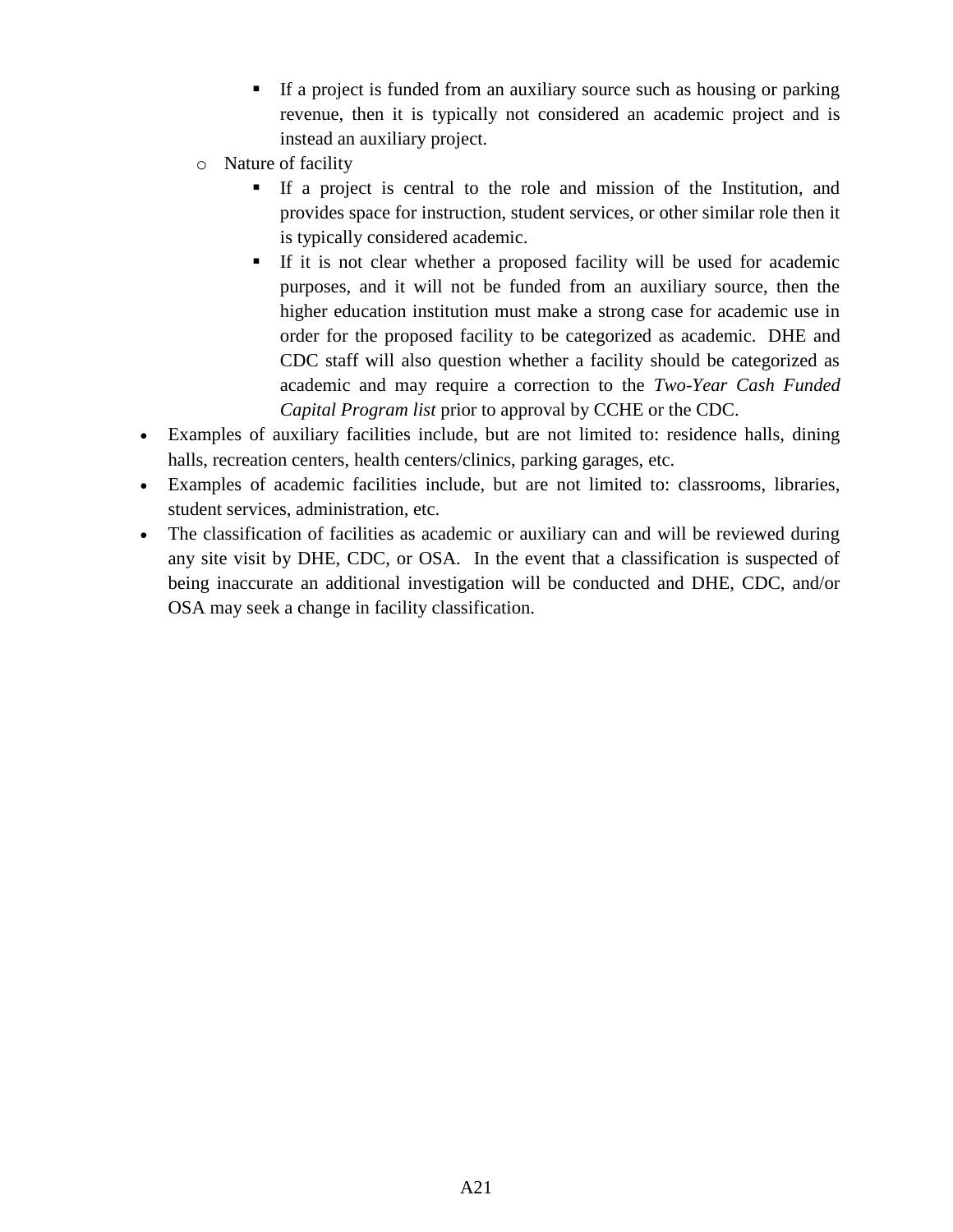- If a project is funded from an auxiliary source such as housing or parking revenue, then it is typically not considered an academic project and is instead an auxiliary project.
- o Nature of facility
	- If a project is central to the role and mission of the Institution, and provides space for instruction, student services, or other similar role then it is typically considered academic.
	- If it is not clear whether a proposed facility will be used for academic purposes, and it will not be funded from an auxiliary source, then the higher education institution must make a strong case for academic use in order for the proposed facility to be categorized as academic. DHE and CDC staff will also question whether a facility should be categorized as academic and may require a correction to the *Two-Year Cash Funded Capital Program list* prior to approval by CCHE or the CDC.
- Examples of auxiliary facilities include, but are not limited to: residence halls, dining halls, recreation centers, health centers/clinics, parking garages, etc.
- Examples of academic facilities include, but are not limited to: classrooms, libraries, student services, administration, etc.
- The classification of facilities as academic or auxiliary can and will be reviewed during any site visit by DHE, CDC, or OSA. In the event that a classification is suspected of being inaccurate an additional investigation will be conducted and DHE, CDC, and/or OSA may seek a change in facility classification.